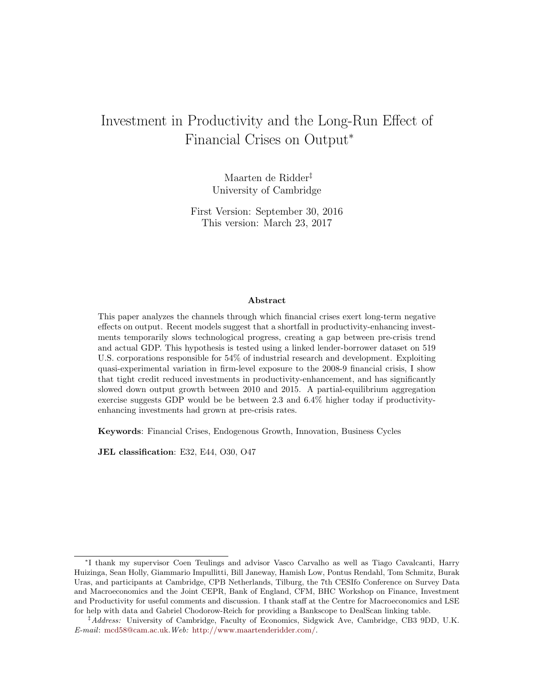# <span id="page-0-0"></span>Investment in Productivity and the Long-Run Effect of Financial Crises on Output<sup>∗</sup>

Maarten de Ridder‡ University of Cambridge

First Version: September 30, 2016 This version: March 23, 2017

#### Abstract

This paper analyzes the channels through which financial crises exert long-term negative effects on output. Recent models suggest that a shortfall in productivity-enhancing investments temporarily slows technological progress, creating a gap between pre-crisis trend and actual GDP. This hypothesis is tested using a linked lender-borrower dataset on 519 U.S. corporations responsible for 54% of industrial research and development. Exploiting quasi-experimental variation in firm-level exposure to the 2008-9 financial crisis, I show that tight credit reduced investments in productivity-enhancement, and has significantly slowed down output growth between 2010 and 2015. A partial-equilibrium aggregation exercise suggests GDP would be be between 2.3 and 6.4% higher today if productivityenhancing investments had grown at pre-crisis rates.

Keywords: Financial Crises, Endogenous Growth, Innovation, Business Cycles

JEL classification: E32, E44, O30, O47

<sup>∗</sup> I thank my supervisor Coen Teulings and advisor Vasco Carvalho as well as Tiago Cavalcanti, Harry Huizinga, Sean Holly, Giammario Impullitti, Bill Janeway, Hamish Low, Pontus Rendahl, Tom Schmitz, Burak Uras, and participants at Cambridge, CPB Netherlands, Tilburg, the 7th CESIfo Conference on Survey Data and Macroeconomics and the Joint CEPR, Bank of England, CFM, BHC Workshop on Finance, Investment and Productivity for useful comments and discussion. I thank staff at the Centre for Macroeconomics and LSE for help with data and Gabriel Chodorow-Reich for providing a Bankscope to DealScan linking table.

<sup>‡</sup>Address: University of Cambridge, Faculty of Economics, Sidgwick Ave, Cambridge, CB3 9DD, U.K. E-mail: [mcd58@cam.ac.uk.](mailto:mcd58@cam.ac.uk)Web: [http://www.maartenderidder.com/.](http://www.maartenderidder.com/)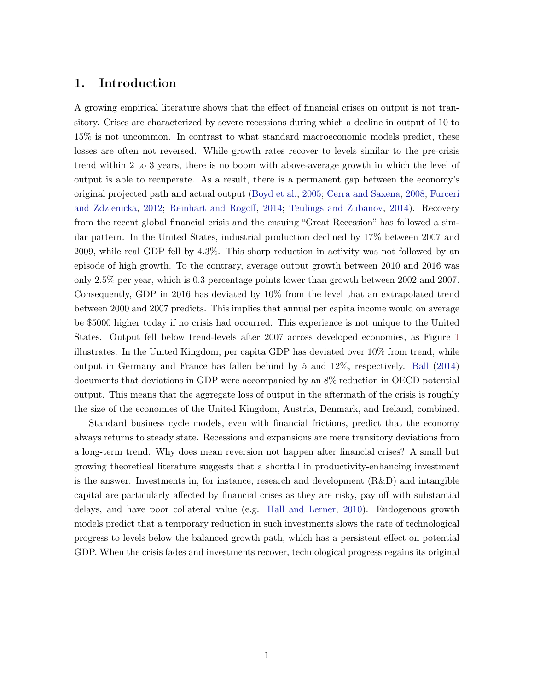## 1. Introduction

A growing empirical literature shows that the effect of financial crises on output is not transitory. Crises are characterized by severe recessions during which a decline in output of 10 to 15% is not uncommon. In contrast to what standard macroeconomic models predict, these losses are often not reversed. While growth rates recover to levels similar to the pre-crisis trend within 2 to 3 years, there is no boom with above-average growth in which the level of output is able to recuperate. As a result, there is a permanent gap between the economy's original projected path and actual output [\(Boyd et al.,](#page-40-0) [2005;](#page-40-0) [Cerra and Saxena,](#page-40-1) [2008;](#page-40-1) [Furceri](#page-41-0) [and Zdzienicka,](#page-41-0) [2012;](#page-41-0) [Reinhart and Rogoff,](#page-43-0) [2014;](#page-43-0) [Teulings and Zubanov,](#page-44-0) [2014\)](#page-44-0). Recovery from the recent global financial crisis and the ensuing "Great Recession" has followed a similar pattern. In the United States, industrial production declined by 17% between 2007 and 2009, while real GDP fell by 4.3%. This sharp reduction in activity was not followed by an episode of high growth. To the contrary, average output growth between 2010 and 2016 was only 2.5% per year, which is 0.3 percentage points lower than growth between 2002 and 2007. Consequently, GDP in 2016 has deviated by 10% from the level that an extrapolated trend between 2000 and 2007 predicts. This implies that annual per capita income would on average be \$5000 higher today if no crisis had occurred. This experience is not unique to the United States. Output fell below trend-levels after 2007 across developed economies, as Figure [1](#page-2-0) illustrates. In the United Kingdom, per capita GDP has deviated over 10% from trend, while output in Germany and France has fallen behind by 5 and 12%, respectively. [Ball](#page-39-0) [\(2014\)](#page-39-0) documents that deviations in GDP were accompanied by an 8% reduction in OECD potential output. This means that the aggregate loss of output in the aftermath of the crisis is roughly the size of the economies of the United Kingdom, Austria, Denmark, and Ireland, combined.

Standard business cycle models, even with financial frictions, predict that the economy always returns to steady state. Recessions and expansions are mere transitory deviations from a long-term trend. Why does mean reversion not happen after financial crises? A small but growing theoretical literature suggests that a shortfall in productivity-enhancing investment is the answer. Investments in, for instance, research and development (R&D) and intangible capital are particularly affected by financial crises as they are risky, pay off with substantial delays, and have poor collateral value (e.g. [Hall and Lerner,](#page-42-0) [2010\)](#page-42-0). Endogenous growth models predict that a temporary reduction in such investments slows the rate of technological progress to levels below the balanced growth path, which has a persistent effect on potential GDP. When the crisis fades and investments recover, technological progress regains its original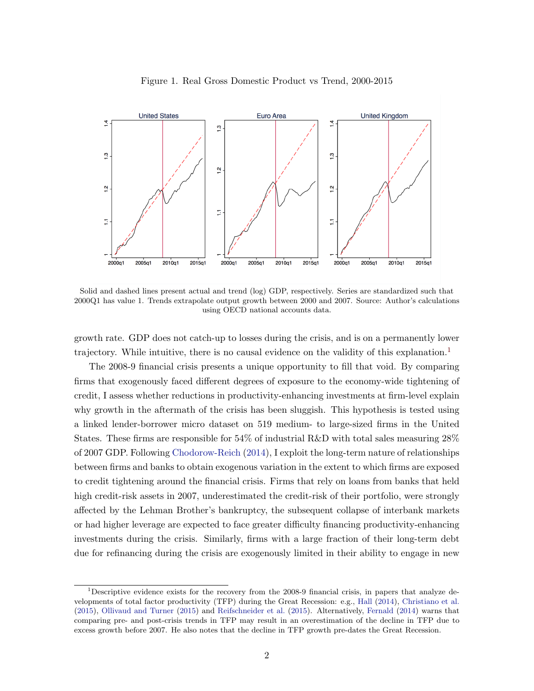

<span id="page-2-0"></span>Figure 1. Real Gross Domestic Product vs Trend, 2000-2015

Solid and dashed lines present actual and trend (log) GDP, respectively. Series are standardized such that 2000Q1 has value 1. Trends extrapolate output growth between 2000 and 2007. Source: Author's calculations using OECD national accounts data.

growth rate. GDP does not catch-up to losses during the crisis, and is on a permanently lower trajectory. While intuitive, there is no causal evidence on the validity of this explanation.<sup>[1](#page-0-0)</sup>

The 2008-9 financial crisis presents a unique opportunity to fill that void. By comparing firms that exogenously faced different degrees of exposure to the economy-wide tightening of credit, I assess whether reductions in productivity-enhancing investments at firm-level explain why growth in the aftermath of the crisis has been sluggish. This hypothesis is tested using a linked lender-borrower micro dataset on 519 medium- to large-sized firms in the United States. These firms are responsible for 54% of industrial R&D with total sales measuring 28% of 2007 GDP. Following [Chodorow-Reich](#page-40-2) [\(2014\)](#page-40-2), I exploit the long-term nature of relationships between firms and banks to obtain exogenous variation in the extent to which firms are exposed to credit tightening around the financial crisis. Firms that rely on loans from banks that held high credit-risk assets in 2007, underestimated the credit-risk of their portfolio, were strongly affected by the Lehman Brother's bankruptcy, the subsequent collapse of interbank markets or had higher leverage are expected to face greater difficulty financing productivity-enhancing investments during the crisis. Similarly, firms with a large fraction of their long-term debt due for refinancing during the crisis are exogenously limited in their ability to engage in new

<sup>&</sup>lt;sup>1</sup>Descriptive evidence exists for the recovery from the 2008-9 financial crisis, in papers that analyze developments of total factor productivity (TFP) during the Great Recession: e.g., [Hall](#page-42-1) [\(2014\)](#page-42-1), [Christiano et al.](#page-40-3) [\(2015\)](#page-40-3), [Ollivaud and Turner](#page-43-1) [\(2015\)](#page-43-1) and [Reifschneider et al.](#page-43-2) [\(2015\)](#page-43-2). Alternatively, [Fernald](#page-41-1) [\(2014\)](#page-41-1) warns that comparing pre- and post-crisis trends in TFP may result in an overestimation of the decline in TFP due to excess growth before 2007. He also notes that the decline in TFP growth pre-dates the Great Recession.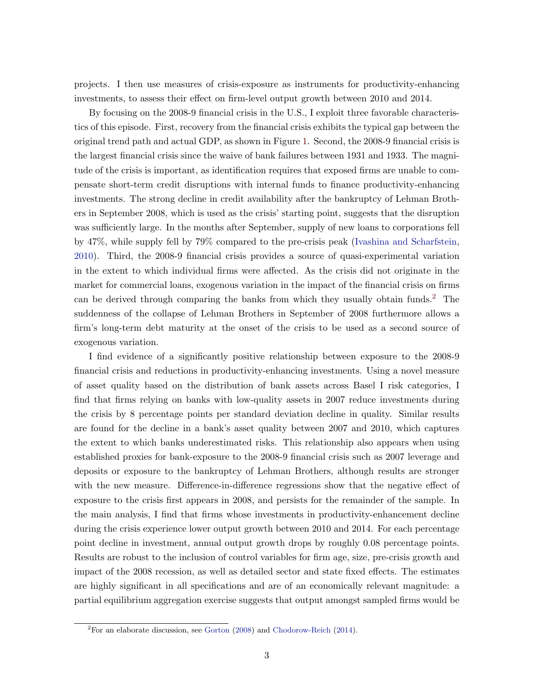projects. I then use measures of crisis-exposure as instruments for productivity-enhancing investments, to assess their effect on firm-level output growth between 2010 and 2014.

By focusing on the 2008-9 financial crisis in the U.S., I exploit three favorable characteristics of this episode. First, recovery from the financial crisis exhibits the typical gap between the original trend path and actual GDP, as shown in Figure [1.](#page-2-0) Second, the 2008-9 financial crisis is the largest financial crisis since the waive of bank failures between 1931 and 1933. The magnitude of the crisis is important, as identification requires that exposed firms are unable to compensate short-term credit disruptions with internal funds to finance productivity-enhancing investments. The strong decline in credit availability after the bankruptcy of Lehman Brothers in September 2008, which is used as the crisis' starting point, suggests that the disruption was sufficiently large. In the months after September, supply of new loans to corporations fell by 47%, while supply fell by 79% compared to the pre-crisis peak [\(Ivashina and Scharfstein,](#page-42-2) [2010\)](#page-42-2). Third, the 2008-9 financial crisis provides a source of quasi-experimental variation in the extent to which individual firms were affected. As the crisis did not originate in the market for commercial loans, exogenous variation in the impact of the financial crisis on firms can be derived through comparing the banks from which they usually obtain funds.[2](#page-0-0) The suddenness of the collapse of Lehman Brothers in September of 2008 furthermore allows a firm's long-term debt maturity at the onset of the crisis to be used as a second source of exogenous variation.

I find evidence of a significantly positive relationship between exposure to the 2008-9 financial crisis and reductions in productivity-enhancing investments. Using a novel measure of asset quality based on the distribution of bank assets across Basel I risk categories, I find that firms relying on banks with low-quality assets in 2007 reduce investments during the crisis by 8 percentage points per standard deviation decline in quality. Similar results are found for the decline in a bank's asset quality between 2007 and 2010, which captures the extent to which banks underestimated risks. This relationship also appears when using established proxies for bank-exposure to the 2008-9 financial crisis such as 2007 leverage and deposits or exposure to the bankruptcy of Lehman Brothers, although results are stronger with the new measure. Difference-in-difference regressions show that the negative effect of exposure to the crisis first appears in 2008, and persists for the remainder of the sample. In the main analysis, I find that firms whose investments in productivity-enhancement decline during the crisis experience lower output growth between 2010 and 2014. For each percentage point decline in investment, annual output growth drops by roughly 0.08 percentage points. Results are robust to the inclusion of control variables for firm age, size, pre-crisis growth and impact of the 2008 recession, as well as detailed sector and state fixed effects. The estimates are highly significant in all specifications and are of an economically relevant magnitude: a partial equilibrium aggregation exercise suggests that output amongst sampled firms would be

 ${}^{2}$ For an elaborate discussion, see [Gorton](#page-42-3) [\(2008\)](#page-42-3) and [Chodorow-Reich](#page-40-2) [\(2014\)](#page-40-2).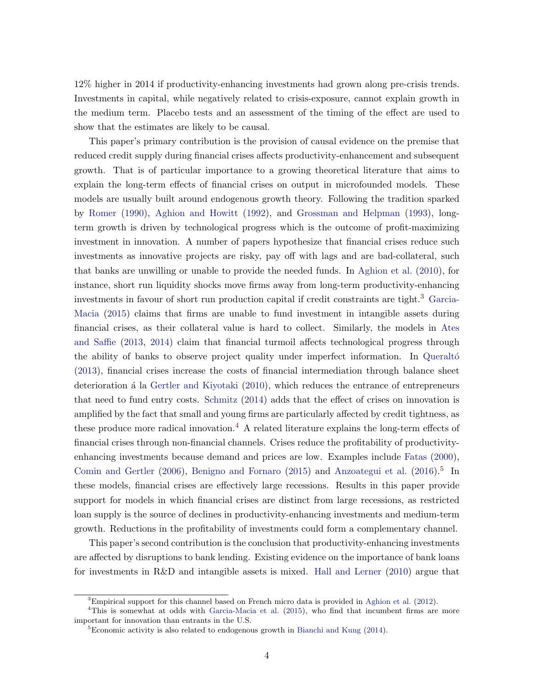12% higher in 2014 if productivity-enhancing investments had grown along pre-crisis trends. Investments in capital, while negatively related to crisis-exposure, cannot explain growth in the medium term. Placebo tests and an assessment of the timing of the effect are used to show that the estimates are likely to be causal.

This paper's primary contribution is the provision of causal evidence on the premise that reduced credit supply during financial crises affects productivity-enhancement and subsequent growth. That is of particular importance to a growing theoretical literature that aims to explain the long-term effects of financial crises on output in microfounded models. These models are usually built around endogenous growth theory. Following the tradition sparked by [Romer](#page-43-3) [\(1990\)](#page-43-3), [Aghion and Howitt](#page-39-1) [\(1992\)](#page-39-1), and [Grossman and Helpman](#page-42-4) [\(1993\)](#page-42-4), longterm growth is driven by technological progress which is the outcome of profit-maximizing investment in innovation. A number of papers hypothesize that financial crises reduce such investments as innovative projects are risky, pay off with lags and are bad-collateral, such that banks are unwilling or unable to provide the needed funds. In [Aghion et al.](#page-39-2) [\(2010\)](#page-39-2), for instance, short run liquidity shocks move firms away from long-term productivity-enhancing investments in favour of short run production capital if credit constraints are tight.[3](#page-0-0) [Garcia-](#page-41-2)[Macia](#page-41-2) [\(2015\)](#page-41-2) claims that firms are unable to fund investment in intangible assets during financial crises, as their collateral value is hard to collect. Similarly, the models in [Ates](#page-39-3) [and Saffie](#page-39-3) [\(2013,](#page-39-3) [2014\)](#page-39-4) claim that financial turmoil affects technological progress through the ability of banks to observe project quality under imperfect information. In Queralto [\(2013\)](#page-43-4), financial crises increase the costs of financial intermediation through balance sheet deterioration á la [Gertler and Kiyotaki](#page-42-5) [\(2010\)](#page-42-5), which reduces the entrance of entrepreneurs that need to fund entry costs. [Schmitz](#page-43-5) [\(2014\)](#page-43-5) adds that the effect of crises on innovation is amplified by the fact that small and young firms are particularly affected by credit tightness, as these produce more radical innovation.<sup>[4](#page-0-0)</sup> A related literature explains the long-term effects of financial crises through non-financial channels. Crises reduce the profitability of productivityenhancing investments because demand and prices are low. Examples include [Fatas](#page-41-3) [\(2000\)](#page-41-3), [Comin and Gertler](#page-41-4) [\(2006\)](#page-41-4), [Benigno and Fornaro](#page-40-4) [\(2015\)](#page-40-4) and [Anzoategui et al.](#page-39-5) [\(2016\)](#page-39-5).<sup>[5](#page-0-0)</sup> In these models, financial crises are effectively large recessions. Results in this paper provide support for models in which financial crises are distinct from large recessions, as restricted loan supply is the source of declines in productivity-enhancing investments and medium-term growth. Reductions in the profitability of investments could form a complementary channel.

This paper's second contribution is the conclusion that productivity-enhancing investments are affected by disruptions to bank lending. Existing evidence on the importance of bank loans for investments in R&D and intangible assets is mixed. [Hall and Lerner](#page-42-0) [\(2010\)](#page-42-0) argue that

<sup>&</sup>lt;sup>3</sup>Empirical support for this channel based on French micro data is provided in [Aghion et al.](#page-39-6) [\(2012\)](#page-39-6).

<sup>&</sup>lt;sup>4</sup>This is somewhat at odds with [Garcia-Macia et al.](#page-42-6) [\(2015\)](#page-42-6), who find that incumbent firms are more important for innovation than entrants in the U.S.

<sup>&</sup>lt;sup>5</sup>Economic activity is also related to endogenous growth in [Bianchi and Kung](#page-40-5)  $(2014)$ .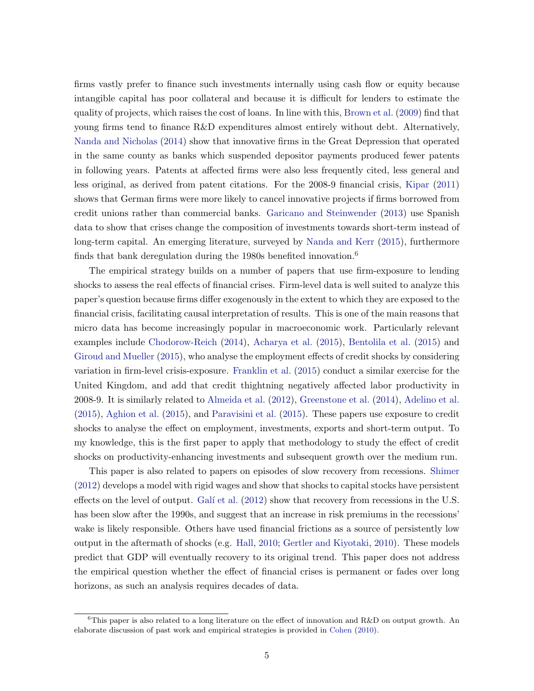firms vastly prefer to finance such investments internally using cash flow or equity because intangible capital has poor collateral and because it is difficult for lenders to estimate the quality of projects, which raises the cost of loans. In line with this, [Brown et al.](#page-40-6) [\(2009\)](#page-40-6) find that young firms tend to finance R&D expenditures almost entirely without debt. Alternatively, [Nanda and Nicholas](#page-43-6) [\(2014\)](#page-43-6) show that innovative firms in the Great Depression that operated in the same county as banks which suspended depositor payments produced fewer patents in following years. Patents at affected firms were also less frequently cited, less general and less original, as derived from patent citations. For the 2008-9 financial crisis, [Kipar](#page-42-7) [\(2011\)](#page-42-7) shows that German firms were more likely to cancel innovative projects if firms borrowed from credit unions rather than commercial banks. [Garicano and Steinwender](#page-42-8) [\(2013\)](#page-42-8) use Spanish data to show that crises change the composition of investments towards short-term instead of long-term capital. An emerging literature, surveyed by [Nanda and Kerr](#page-43-7) [\(2015\)](#page-43-7), furthermore finds that bank deregulation during the 1980s benefited innovation.<sup>[6](#page-0-0)</sup>

The empirical strategy builds on a number of papers that use firm-exposure to lending shocks to assess the real effects of financial crises. Firm-level data is well suited to analyze this paper's question because firms differ exogenously in the extent to which they are exposed to the financial crisis, facilitating causal interpretation of results. This is one of the main reasons that micro data has become increasingly popular in macroeconomic work. Particularly relevant examples include [Chodorow-Reich](#page-40-2) [\(2014\)](#page-40-2), [Acharya et al.](#page-39-7) [\(2015\)](#page-39-7), [Bentolila et al.](#page-40-7) [\(2015\)](#page-40-7) and [Giroud and Mueller](#page-42-9) [\(2015\)](#page-42-9), who analyse the employment effects of credit shocks by considering variation in firm-level crisis-exposure. [Franklin et al.](#page-41-5) [\(2015\)](#page-41-5) conduct a similar exercise for the United Kingdom, and add that credit thightning negatively affected labor productivity in 2008-9. It is similarly related to [Almeida et al.](#page-39-8) [\(2012\)](#page-39-8), [Greenstone et al.](#page-42-10) [\(2014\)](#page-42-10), [Adelino et al.](#page-39-9) [\(2015\)](#page-39-9), [Aghion et al.](#page-39-10) [\(2015\)](#page-39-10), and [Paravisini et al.](#page-43-8) [\(2015\)](#page-43-8). These papers use exposure to credit shocks to analyse the effect on employment, investments, exports and short-term output. To my knowledge, this is the first paper to apply that methodology to study the effect of credit shocks on productivity-enhancing investments and subsequent growth over the medium run.

This paper is also related to papers on episodes of slow recovery from recessions. [Shimer](#page-44-1) [\(2012\)](#page-44-1) develops a model with rigid wages and show that shocks to capital stocks have persistent effects on the level of output. Galí et al.  $(2012)$  show that recovery from recessions in the U.S. has been slow after the 1990s, and suggest that an increase in risk premiums in the recessions' wake is likely responsible. Others have used financial frictions as a source of persistently low output in the aftermath of shocks (e.g. [Hall,](#page-42-11) [2010;](#page-42-11) [Gertler and Kiyotaki,](#page-42-5) [2010\)](#page-42-5). These models predict that GDP will eventually recovery to its original trend. This paper does not address the empirical question whether the effect of financial crises is permanent or fades over long horizons, as such an analysis requires decades of data.

 $6$ This paper is also related to a long literature on the effect of innovation and R&D on output growth. An elaborate discussion of past work and empirical strategies is provided in [Cohen](#page-41-7) [\(2010\)](#page-41-7).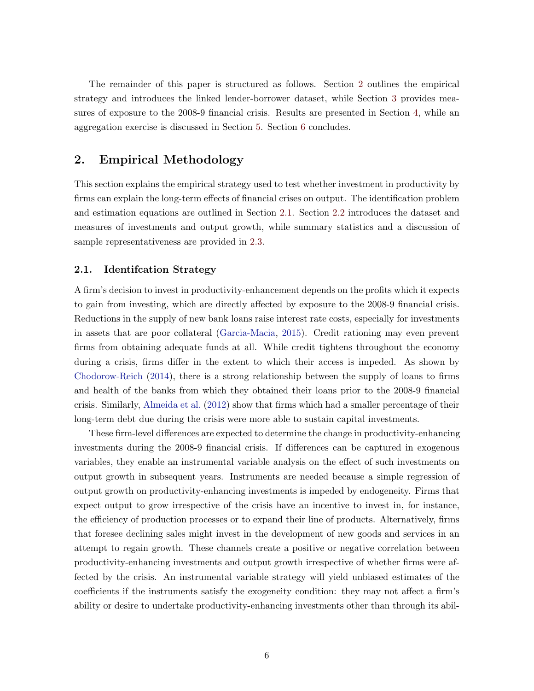The remainder of this paper is structured as follows. Section [2](#page-6-0) outlines the empirical strategy and introduces the linked lender-borrower dataset, while Section [3](#page-12-0) provides measures of exposure to the 2008-9 financial crisis. Results are presented in Section [4,](#page-16-0) while an aggregation exercise is discussed in Section [5.](#page-32-0) Section [6](#page-37-0) concludes.

## <span id="page-6-0"></span>2. Empirical Methodology

This section explains the empirical strategy used to test whether investment in productivity by firms can explain the long-term effects of financial crises on output. The identification problem and estimation equations are outlined in Section [2.1.](#page-6-1) Section [2.2](#page-8-0) introduces the dataset and measures of investments and output growth, while summary statistics and a discussion of sample representativeness are provided in [2.3.](#page-11-0)

#### <span id="page-6-1"></span>2.1. Identifcation Strategy

A firm's decision to invest in productivity-enhancement depends on the profits which it expects to gain from investing, which are directly affected by exposure to the 2008-9 financial crisis. Reductions in the supply of new bank loans raise interest rate costs, especially for investments in assets that are poor collateral [\(Garcia-Macia,](#page-41-2) [2015\)](#page-41-2). Credit rationing may even prevent firms from obtaining adequate funds at all. While credit tightens throughout the economy during a crisis, firms differ in the extent to which their access is impeded. As shown by [Chodorow-Reich](#page-40-2) [\(2014\)](#page-40-2), there is a strong relationship between the supply of loans to firms and health of the banks from which they obtained their loans prior to the 2008-9 financial crisis. Similarly, [Almeida et al.](#page-39-8) [\(2012\)](#page-39-8) show that firms which had a smaller percentage of their long-term debt due during the crisis were more able to sustain capital investments.

These firm-level differences are expected to determine the change in productivity-enhancing investments during the 2008-9 financial crisis. If differences can be captured in exogenous variables, they enable an instrumental variable analysis on the effect of such investments on output growth in subsequent years. Instruments are needed because a simple regression of output growth on productivity-enhancing investments is impeded by endogeneity. Firms that expect output to grow irrespective of the crisis have an incentive to invest in, for instance, the efficiency of production processes or to expand their line of products. Alternatively, firms that foresee declining sales might invest in the development of new goods and services in an attempt to regain growth. These channels create a positive or negative correlation between productivity-enhancing investments and output growth irrespective of whether firms were affected by the crisis. An instrumental variable strategy will yield unbiased estimates of the coefficients if the instruments satisfy the exogeneity condition: they may not affect a firm's ability or desire to undertake productivity-enhancing investments other than through its abil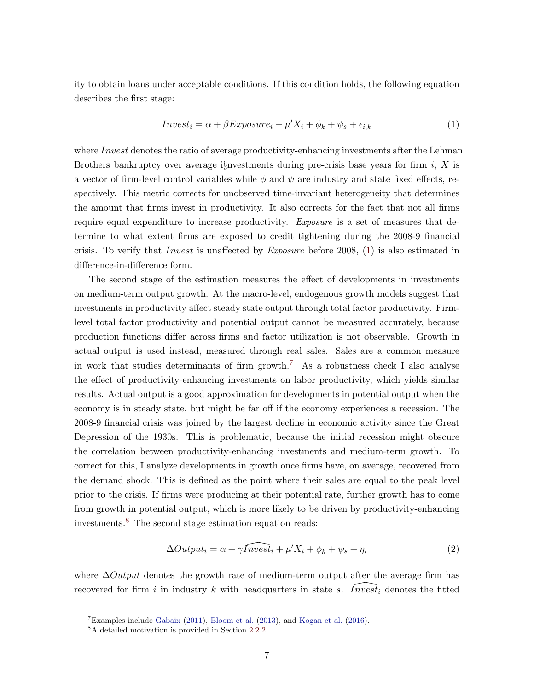ity to obtain loans under acceptable conditions. If this condition holds, the following equation describes the first stage:

<span id="page-7-0"></span>
$$
Invest_i = \alpha + \beta Exposure_i + \mu' X_i + \phi_k + \psi_s + \epsilon_{i,k}
$$
\n<sup>(1)</sup>

where  $Invest$  denotes the ratio of average productivity-enhancing investments after the Lehman Brothers bankruptcy over average i§nvestments during pre-crisis base years for firm  $i, X$  is a vector of firm-level control variables while  $\phi$  and  $\psi$  are industry and state fixed effects, respectively. This metric corrects for unobserved time-invariant heterogeneity that determines the amount that firms invest in productivity. It also corrects for the fact that not all firms require equal expenditure to increase productivity. Exposure is a set of measures that determine to what extent firms are exposed to credit tightening during the 2008-9 financial crisis. To verify that Invest is unaffected by  $Exposure$  before 2008, [\(1\)](#page-7-0) is also estimated in difference-in-difference form.

The second stage of the estimation measures the effect of developments in investments on medium-term output growth. At the macro-level, endogenous growth models suggest that investments in productivity affect steady state output through total factor productivity. Firmlevel total factor productivity and potential output cannot be measured accurately, because production functions differ across firms and factor utilization is not observable. Growth in actual output is used instead, measured through real sales. Sales are a common measure in work that studies determinants of firm growth.<sup>[7](#page-0-0)</sup> As a robustness check I also analyse the effect of productivity-enhancing investments on labor productivity, which yields similar results. Actual output is a good approximation for developments in potential output when the economy is in steady state, but might be far off if the economy experiences a recession. The 2008-9 financial crisis was joined by the largest decline in economic activity since the Great Depression of the 1930s. This is problematic, because the initial recession might obscure the correlation between productivity-enhancing investments and medium-term growth. To correct for this, I analyze developments in growth once firms have, on average, recovered from the demand shock. This is defined as the point where their sales are equal to the peak level prior to the crisis. If firms were producing at their potential rate, further growth has to come from growth in potential output, which is more likely to be driven by productivity-enhancing investments.[8](#page-0-0) The second stage estimation equation reads:

<span id="page-7-1"></span>
$$
\Delta Output_i = \alpha + \gamma \widehat{Invest}_i + \mu' X_i + \phi_k + \psi_s + \eta_i \tag{2}
$$

where  $\Delta Output$  denotes the growth rate of medium-term output after the average firm has recovered for firm i in industry k with headquarters in state s. Invest<sub>i</sub> denotes the fitted

 ${}^{7}$ Examples include [Gabaix](#page-41-8) [\(2011\)](#page-41-8), [Bloom et al.](#page-40-8) [\(2013\)](#page-40-8), and [Kogan et al.](#page-43-9) [\(2016\)](#page-43-9).

<sup>8</sup>A detailed motivation is provided in Section [2.2.2.](#page-9-0)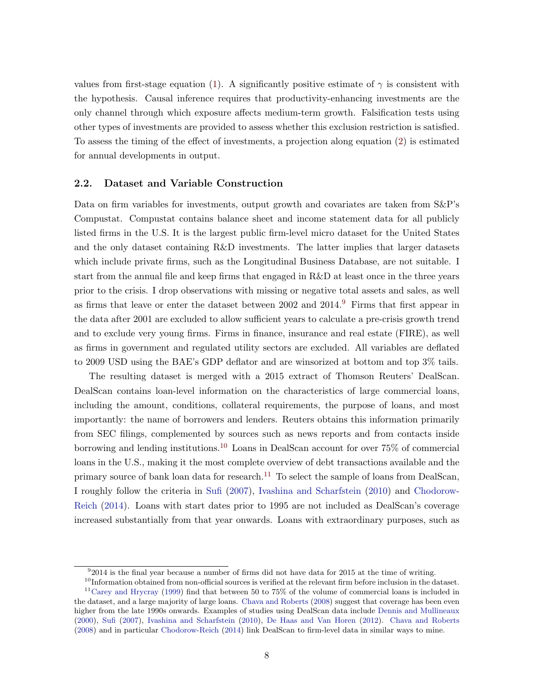values from first-stage equation [\(1\)](#page-7-0). A significantly positive estimate of  $\gamma$  is consistent with the hypothesis. Causal inference requires that productivity-enhancing investments are the only channel through which exposure affects medium-term growth. Falsification tests using other types of investments are provided to assess whether this exclusion restriction is satisfied. To assess the timing of the effect of investments, a projection along equation [\(2\)](#page-7-1) is estimated for annual developments in output.

#### <span id="page-8-0"></span>2.2. Dataset and Variable Construction

Data on firm variables for investments, output growth and covariates are taken from S&P's Compustat. Compustat contains balance sheet and income statement data for all publicly listed firms in the U.S. It is the largest public firm-level micro dataset for the United States and the only dataset containing R&D investments. The latter implies that larger datasets which include private firms, such as the Longitudinal Business Database, are not suitable. I start from the annual file and keep firms that engaged in R&D at least once in the three years prior to the crisis. I drop observations with missing or negative total assets and sales, as well as firms that leave or enter the dataset between 2002 and 2014.[9](#page-0-0) Firms that first appear in the data after 2001 are excluded to allow sufficient years to calculate a pre-crisis growth trend and to exclude very young firms. Firms in finance, insurance and real estate (FIRE), as well as firms in government and regulated utility sectors are excluded. All variables are deflated to 2009 USD using the BAE's GDP deflator and are winsorized at bottom and top 3% tails.

The resulting dataset is merged with a 2015 extract of Thomson Reuters' DealScan. DealScan contains loan-level information on the characteristics of large commercial loans, including the amount, conditions, collateral requirements, the purpose of loans, and most importantly: the name of borrowers and lenders. Reuters obtains this information primarily from SEC filings, complemented by sources such as news reports and from contacts inside borrowing and lending institutions.[10](#page-0-0) Loans in DealScan account for over 75% of commercial loans in the U.S., making it the most complete overview of debt transactions available and the primary source of bank loan data for research.<sup>[11](#page-0-0)</sup> To select the sample of loans from DealScan, I roughly follow the criteria in [Sufi](#page-44-2) [\(2007\)](#page-44-2), [Ivashina and Scharfstein](#page-42-2) [\(2010\)](#page-42-2) and [Chodorow-](#page-40-2)[Reich](#page-40-2) [\(2014\)](#page-40-2). Loans with start dates prior to 1995 are not included as DealScan's coverage increased substantially from that year onwards. Loans with extraordinary purposes, such as

 $92014$  is the final year because a number of firms did not have data for 2015 at the time of writing.

 $10$ Information obtained from non-official sources is verified at the relevant firm before inclusion in the dataset.  $11$ [Carey and Hrycray](#page-40-9) [\(1999\)](#page-40-9) find that between 50 to 75% of the volume of commercial loans is included in the dataset, and a large majority of large loans. [Chava and Roberts](#page-40-10) [\(2008\)](#page-40-10) suggest that coverage has been even

higher from the late 1990s onwards. Examples of studies using DealScan data include [Dennis and Mullineaux](#page-41-9) [\(2000\)](#page-41-9), [Sufi](#page-44-2) [\(2007\)](#page-44-2), [Ivashina and Scharfstein](#page-42-2) [\(2010\)](#page-42-2), [De Haas and Van Horen](#page-41-10) [\(2012\)](#page-41-10). [Chava and Roberts](#page-40-10) [\(2008\)](#page-40-10) and in particular [Chodorow-Reich](#page-40-2) [\(2014\)](#page-40-2) link DealScan to firm-level data in similar ways to mine.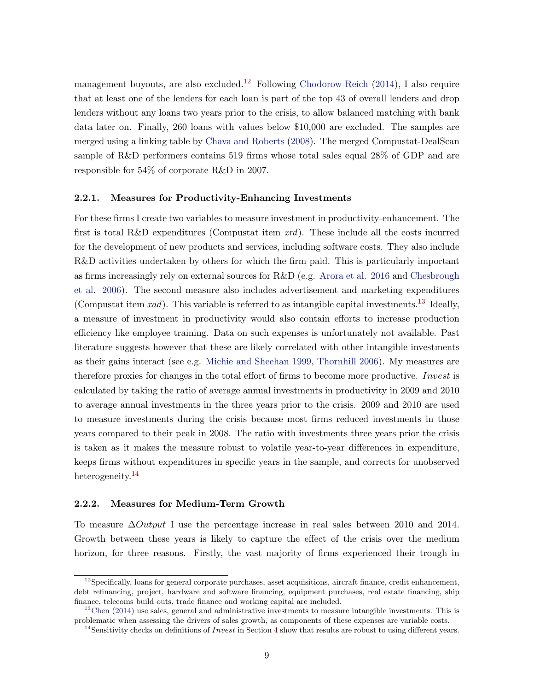management buyouts, are also excluded.<sup>[12](#page-0-0)</sup> Following [Chodorow-Reich](#page-40-2)  $(2014)$ , I also require that at least one of the lenders for each loan is part of the top 43 of overall lenders and drop lenders without any loans two years prior to the crisis, to allow balanced matching with bank data later on. Finally, 260 loans with values below \$10,000 are excluded. The samples are merged using a linking table by [Chava and Roberts](#page-40-10) [\(2008\)](#page-40-10). The merged Compustat-DealScan sample of R&D performers contains 519 firms whose total sales equal 28% of GDP and are responsible for 54% of corporate R&D in 2007.

#### 2.2.1. Measures for Productivity-Enhancing Investments

For these firms I create two variables to measure investment in productivity-enhancement. The first is total R&D expenditures (Compustat item  $xrd$ ). These include all the costs incurred for the development of new products and services, including software costs. They also include R&D activities undertaken by others for which the firm paid. This is particularly important as firms increasingly rely on external sources for R&D (e.g. [Arora et al.](#page-39-11) [2016](#page-39-11) and [Chesbrough](#page-40-11) [et al.](#page-40-11) [2006\)](#page-40-11). The second measure also includes advertisement and marketing expenditures (Compustat item  $rad$ ). This variable is referred to as intangible capital investments.<sup>[13](#page-0-0)</sup> Ideally, a measure of investment in productivity would also contain efforts to increase production efficiency like employee training. Data on such expenses is unfortunately not available. Past literature suggests however that these are likely correlated with other intangible investments as their gains interact (see e.g. [Michie and Sheehan](#page-43-10) [1999,](#page-43-10) [Thornhill](#page-44-3) [2006\)](#page-44-3). My measures are therefore proxies for changes in the total effort of firms to become more productive. Invest is calculated by taking the ratio of average annual investments in productivity in 2009 and 2010 to average annual investments in the three years prior to the crisis. 2009 and 2010 are used to measure investments during the crisis because most firms reduced investments in those years compared to their peak in 2008. The ratio with investments three years prior the crisis is taken as it makes the measure robust to volatile year-to-year differences in expenditure, keeps firms without expenditures in specific years in the sample, and corrects for unobserved heterogeneity.<sup>[14](#page-0-0)</sup>

#### <span id="page-9-0"></span>2.2.2. Measures for Medium-Term Growth

To measure  $\Delta Output$  I use the percentage increase in real sales between 2010 and 2014. Growth between these years is likely to capture the effect of the crisis over the medium horizon, for three reasons. Firstly, the vast majority of firms experienced their trough in

 $12$ Specifically, loans for general corporate purchases, asset acquisitions, aircraft finance, credit enhancement, debt refinancing, project, hardware and software financing, equipment purchases, real estate financing, ship finance, telecoms build outs, trade finance and working capital are included.

 $13$ [Chen](#page-40-12) [\(2014\)](#page-40-12) use sales, general and administrative investments to measure intangible investments. This is problematic when assessing the drivers of sales growth, as components of these expenses are variable costs.

<sup>&</sup>lt;sup>1[4](#page-16-0)</sup>Sensitivity checks on definitions of *Invest* in Section 4 show that results are robust to using different years.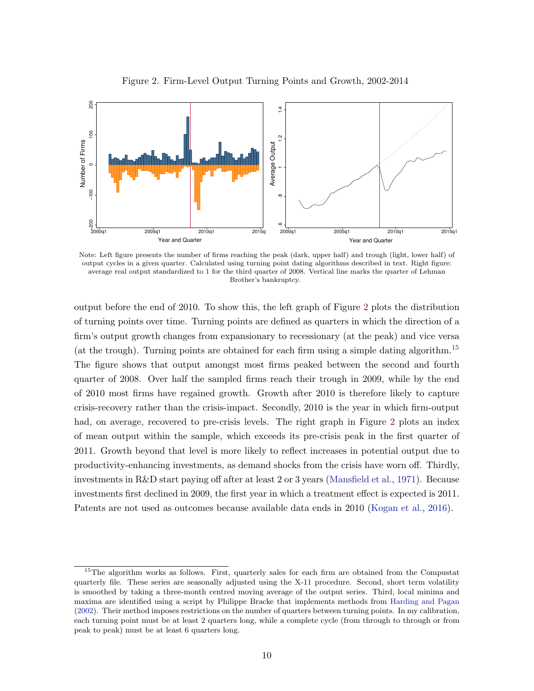

<span id="page-10-0"></span>Figure 2. Firm-Level Output Turning Points and Growth, 2002-2014

Note: Left figure presents the number of firms reaching the peak (dark, upper half) and trough (light, lower half) of output cycles in a given quarter. Calculated using turning point dating algorithms described in text. Right figure: average real output standardized to 1 for the third quarter of 2008. Vertical line marks the quarter of Lehman Brother's bankruptcy.

output before the end of 2010. To show this, the left graph of Figure [2](#page-10-0) plots the distribution of turning points over time. Turning points are defined as quarters in which the direction of a firm's output growth changes from expansionary to recessionary (at the peak) and vice versa (at the trough). Turning points are obtained for each firm using a simple dating algorithm.<sup>[15](#page-0-0)</sup> The figure shows that output amongst most firms peaked between the second and fourth quarter of 2008. Over half the sampled firms reach their trough in 2009, while by the end of 2010 most firms have regained growth. Growth after 2010 is therefore likely to capture crisis-recovery rather than the crisis-impact. Secondly, 2010 is the year in which firm-output had, on average, recovered to pre-crisis levels. The right graph in Figure [2](#page-10-0) plots an index of mean output within the sample, which exceeds its pre-crisis peak in the first quarter of 2011. Growth beyond that level is more likely to reflect increases in potential output due to productivity-enhancing investments, as demand shocks from the crisis have worn off. Thirdly, investments in R&D start paying off after at least 2 or 3 years [\(Mansfield et al.,](#page-43-11) [1971\)](#page-43-11). Because investments first declined in 2009, the first year in which a treatment effect is expected is 2011. Patents are not used as outcomes because available data ends in 2010 [\(Kogan et al.,](#page-43-9) [2016\)](#page-43-9).

 $15$ The algorithm works as follows. First, quarterly sales for each firm are obtained from the Compustat quarterly file. These series are seasonally adjusted using the X-11 procedure. Second, short term volatility is smoothed by taking a three-month centred moving average of the output series. Third, local minima and maxima are identified using a script by Philippe Bracke that implements methods from [Harding and Pagan](#page-42-12) [\(2002\)](#page-42-12). Their method imposes restrictions on the number of quarters between turning points. In my calibration, each turning point must be at least 2 quarters long, while a complete cycle (from through to through or from peak to peak) must be at least 6 quarters long.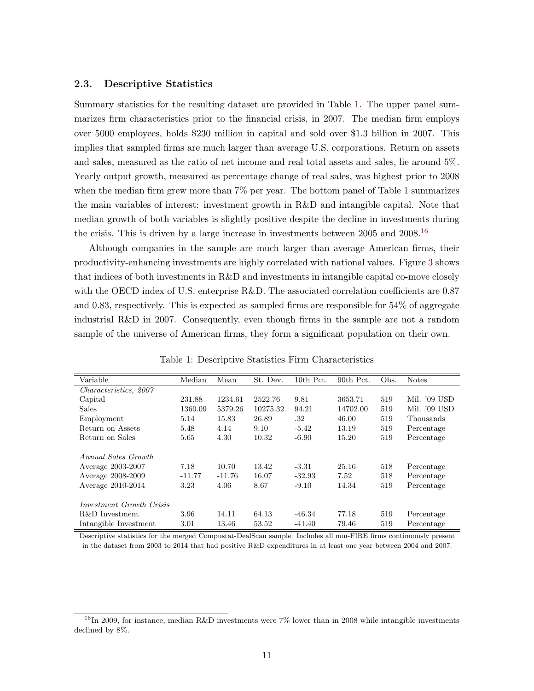#### <span id="page-11-0"></span>2.3. Descriptive Statistics

Summary statistics for the resulting dataset are provided in Table [1.](#page-11-1) The upper panel summarizes firm characteristics prior to the financial crisis, in 2007. The median firm employs over 5000 employees, holds \$230 million in capital and sold over \$1.3 billion in 2007. This implies that sampled firms are much larger than average U.S. corporations. Return on assets and sales, measured as the ratio of net income and real total assets and sales, lie around 5%. Yearly output growth, measured as percentage change of real sales, was highest prior to 2008 when the median firm grew more than 7% per year. The bottom panel of Table [1](#page-11-1) summarizes the main variables of interest: investment growth in R&D and intangible capital. Note that median growth of both variables is slightly positive despite the decline in investments during the crisis. This is driven by a large increase in investments between  $2005$  and  $2008$ .<sup>[16](#page-0-0)</sup>

Although companies in the sample are much larger than average American firms, their productivity-enhancing investments are highly correlated with national values. Figure [3](#page-12-1) shows that indices of both investments in R&D and investments in intangible capital co-move closely with the OECD index of U.S. enterprise R&D. The associated correlation coefficients are 0.87 and 0.83, respectively. This is expected as sampled firms are responsible for 54% of aggregate industrial R&D in 2007. Consequently, even though firms in the sample are not a random sample of the universe of American firms, they form a significant population on their own.

| Variable                        | Median   | Mean     | St. Dev. | 10th Pct. | 90th Pct. | Obs. | <b>Notes</b>    |
|---------------------------------|----------|----------|----------|-----------|-----------|------|-----------------|
| Characteristics, 2007           |          |          |          |           |           |      |                 |
| Capital                         | 231.88   | 1234.61  | 2522.76  | 9.81      | 3653.71   | 519  | Mil.<br>'09 USD |
| Sales                           | 1360.09  | 5379.26  | 10275.32 | 94.21     | 14702.00  | 519  | Mil. '09 USD    |
| Employment                      | 5.14     | 15.83    | 26.89    | .32       | 46.00     | 519  | Thousands       |
| Return on Assets                | 5.48     | 4.14     | 9.10     | $-5.42$   | 13.19     | 519  | Percentage      |
| Return on Sales                 | 5.65     | 4.30     | 10.32    | $-6.90$   | 15.20     | 519  | Percentage      |
| Annual Sales Growth             |          |          |          |           |           |      |                 |
| Average 2003-2007               | 7.18     | 10.70    | 13.42    | $-3.31$   | 25.16     | 518  | Percentage      |
| Average 2008-2009               | $-11.77$ | $-11.76$ | 16.07    | $-32.93$  | 7.52      | 518  | Percentage      |
| Average 2010-2014               | 3.23     | 4.06     | 8.67     | $-9.10$   | 14.34     | 519  | Percentage      |
|                                 |          |          |          |           |           |      |                 |
| <i>Investment Growth Crisis</i> |          |          |          |           |           |      |                 |
| R&D Investment                  | 3.96     | 14.11    | 64.13    | $-46.34$  | 77.18     | 519  | Percentage      |
| Intangible Investment           | 3.01     | 13.46    | 53.52    | $-41.40$  | 79.46     | 519  | Percentage      |

<span id="page-11-1"></span>Table 1: Descriptive Statistics Firm Characteristics

Descriptive statistics for the merged Compustat-DealScan sample. Includes all non-FIRE firms continuously present in the dataset from 2003 to 2014 that had positive R&D expenditures in at least one year between 2004 and 2007.

<sup>&</sup>lt;sup>16</sup>In 2009, for instance, median R&D investments were 7% lower than in 2008 while intangible investments declined by 8%.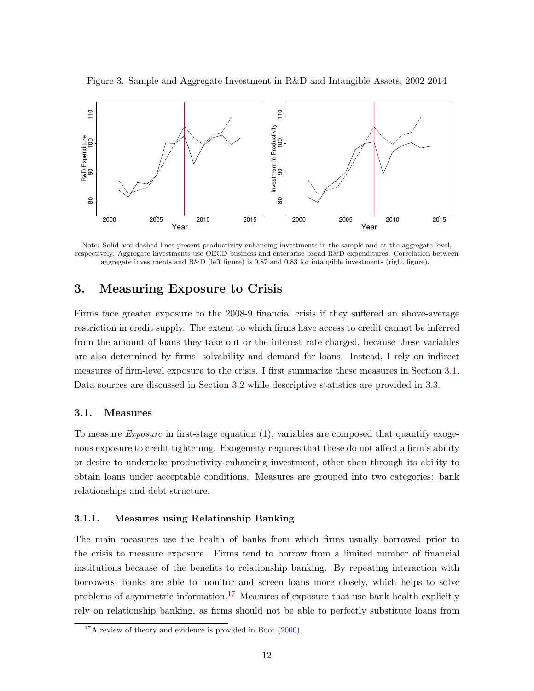<span id="page-12-1"></span>



Note: Solid and dashed lines present productivity-enhancing investments in the sample and at the aggregate level, respectively. Aggregate investments use OECD business and enterprise broad R&D expenditures. Correlation between aggregate investments and R&D (left figure) is 0.87 and 0.83 for intangible investments (right figure).

## <span id="page-12-0"></span>3. Measuring Exposure to Crisis

Firms face greater exposure to the 2008-9 financial crisis if they suffered an above-average restriction in credit supply. The extent to which firms have access to credit cannot be inferred from the amount of loans they take out or the interest rate charged, because these variables are also determined by firms' solvability and demand for loans. Instead, I rely on indirect measures of firm-level exposure to the crisis. I first summarize these measures in Section [3.1.](#page-12-2) Data sources are discussed in Section [3.2](#page-15-0) while descriptive statistics are provided in [3.3.](#page-16-1)

#### <span id="page-12-2"></span>3.1. Measures

To measure *Exposure* in first-stage equation [\(1\)](#page-7-0), variables are composed that quantify exogenous exposure to credit tightening. Exogeneity requires that these do not affect a firm's ability or desire to undertake productivity-enhancing investment, other than through its ability to obtain loans under acceptable conditions. Measures are grouped into two categories: bank relationships and debt structure.

#### 3.1.1. Measures using Relationship Banking

The main measures use the health of banks from which firms usually borrowed prior to the crisis to measure exposure. Firms tend to borrow from a limited number of financial institutions because of the benefits to relationship banking. By repeating interaction with borrowers, banks are able to monitor and screen loans more closely, which helps to solve problems of asymmetric information.<sup>[17](#page-0-0)</sup> Measures of exposure that use bank health explicitly rely on relationship banking, as firms should not be able to perfectly substitute loans from

 $17A$  review of theory and evidence is provided in [Boot](#page-40-13) [\(2000\)](#page-40-13).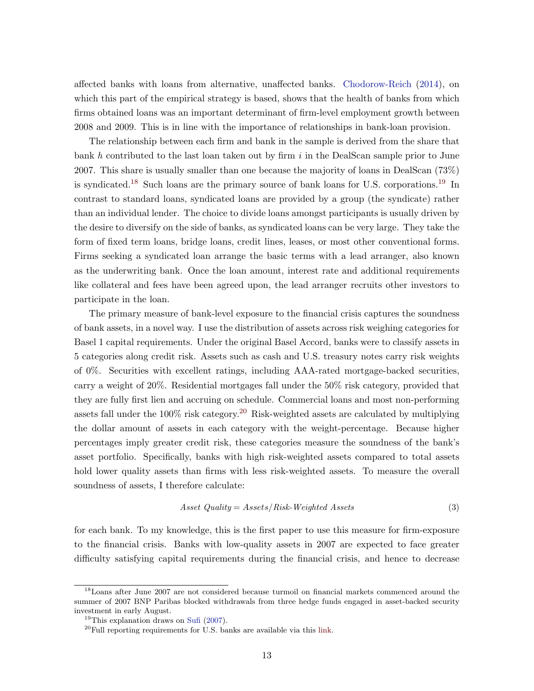affected banks with loans from alternative, unaffected banks. [Chodorow-Reich](#page-40-2) [\(2014\)](#page-40-2), on which this part of the empirical strategy is based, shows that the health of banks from which firms obtained loans was an important determinant of firm-level employment growth between 2008 and 2009. This is in line with the importance of relationships in bank-loan provision.

The relationship between each firm and bank in the sample is derived from the share that bank h contributed to the last loan taken out by firm  $i$  in the DealScan sample prior to June 2007. This share is usually smaller than one because the majority of loans in DealScan (73%) is syndicated.<sup>[18](#page-0-0)</sup> Such loans are the primary source of bank loans for U.S. corporations.<sup>[19](#page-0-0)</sup> In contrast to standard loans, syndicated loans are provided by a group (the syndicate) rather than an individual lender. The choice to divide loans amongst participants is usually driven by the desire to diversify on the side of banks, as syndicated loans can be very large. They take the form of fixed term loans, bridge loans, credit lines, leases, or most other conventional forms. Firms seeking a syndicated loan arrange the basic terms with a lead arranger, also known as the underwriting bank. Once the loan amount, interest rate and additional requirements like collateral and fees have been agreed upon, the lead arranger recruits other investors to participate in the loan.

The primary measure of bank-level exposure to the financial crisis captures the soundness of bank assets, in a novel way. I use the distribution of assets across risk weighing categories for Basel 1 capital requirements. Under the original Basel Accord, banks were to classify assets in 5 categories along credit risk. Assets such as cash and U.S. treasury notes carry risk weights of 0%. Securities with excellent ratings, including AAA-rated mortgage-backed securities, carry a weight of 20%. Residential mortgages fall under the 50% risk category, provided that they are fully first lien and accruing on schedule. Commercial loans and most non-performing assets fall under the  $100\%$  risk category.<sup>[20](#page-0-0)</sup> Risk-weighted assets are calculated by multiplying the dollar amount of assets in each category with the weight-percentage. Because higher percentages imply greater credit risk, these categories measure the soundness of the bank's asset portfolio. Specifically, banks with high risk-weighted assets compared to total assets hold lower quality assets than firms with less risk-weighted assets. To measure the overall soundness of assets, I therefore calculate:

$$
Asset\ Quality = Assets/Risk-Weighted\ Assets
$$
\n(3)

for each bank. To my knowledge, this is the first paper to use this measure for firm-exposure to the financial crisis. Banks with low-quality assets in 2007 are expected to face greater difficulty satisfying capital requirements during the financial crisis, and hence to decrease

<sup>&</sup>lt;sup>18</sup>Loans after June 2007 are not considered because turmoil on financial markets commenced around the summer of 2007 BNP Paribas blocked withdrawals from three hedge funds engaged in asset-backed security investment in early August.

<sup>19</sup>This explanation draws on [Sufi](#page-44-2) [\(2007\)](#page-44-2).

 $^{20}$ Full reporting requirements for U.S. banks are available via this [link.](http://www.federalreserve.gov/reportforms/formsreview/FRY9C_20140806_i.pdf)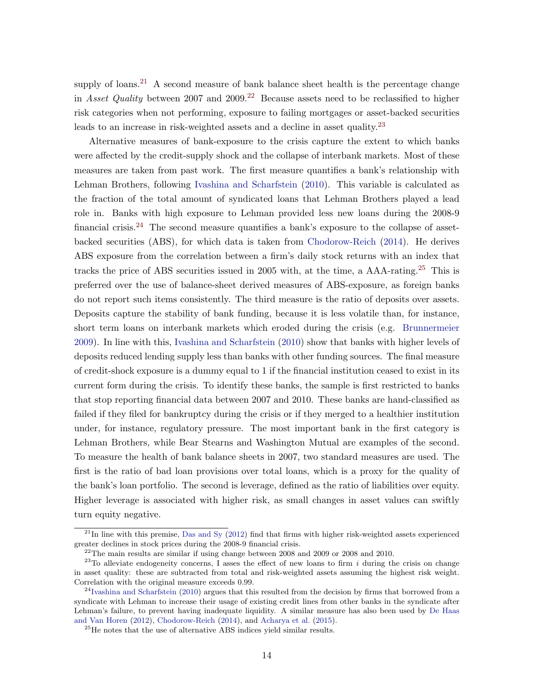supply of loans.<sup>[21](#page-0-0)</sup> A second measure of bank balance sheet health is the percentage change in Asset Quality between 2007 and 2009.<sup>[22](#page-0-0)</sup> Because assets need to be reclassified to higher risk categories when not performing, exposure to failing mortgages or asset-backed securities leads to an increase in risk-weighted assets and a decline in asset quality.[23](#page-0-0)

Alternative measures of bank-exposure to the crisis capture the extent to which banks were affected by the credit-supply shock and the collapse of interbank markets. Most of these measures are taken from past work. The first measure quantifies a bank's relationship with Lehman Brothers, following [Ivashina and Scharfstein](#page-42-2) [\(2010\)](#page-42-2). This variable is calculated as the fraction of the total amount of syndicated loans that Lehman Brothers played a lead role in. Banks with high exposure to Lehman provided less new loans during the 2008-9 financial crisis.<sup>[24](#page-0-0)</sup> The second measure quantifies a bank's exposure to the collapse of assetbacked securities (ABS), for which data is taken from [Chodorow-Reich](#page-40-2) [\(2014\)](#page-40-2). He derives ABS exposure from the correlation between a firm's daily stock returns with an index that tracks the price of ABS securities issued in 2005 with, at the time, a  $AAA$ -rating.<sup>[25](#page-0-0)</sup> This is preferred over the use of balance-sheet derived measures of ABS-exposure, as foreign banks do not report such items consistently. The third measure is the ratio of deposits over assets. Deposits capture the stability of bank funding, because it is less volatile than, for instance, short term loans on interbank markets which eroded during the crisis (e.g. [Brunnermeier](#page-40-14) [2009\)](#page-40-14). In line with this, [Ivashina and Scharfstein](#page-42-2) [\(2010\)](#page-42-2) show that banks with higher levels of deposits reduced lending supply less than banks with other funding sources. The final measure of credit-shock exposure is a dummy equal to 1 if the financial institution ceased to exist in its current form during the crisis. To identify these banks, the sample is first restricted to banks that stop reporting financial data between 2007 and 2010. These banks are hand-classified as failed if they filed for bankruptcy during the crisis or if they merged to a healthier institution under, for instance, regulatory pressure. The most important bank in the first category is Lehman Brothers, while Bear Stearns and Washington Mutual are examples of the second. To measure the health of bank balance sheets in 2007, two standard measures are used. The first is the ratio of bad loan provisions over total loans, which is a proxy for the quality of the bank's loan portfolio. The second is leverage, defined as the ratio of liabilities over equity. Higher leverage is associated with higher risk, as small changes in asset values can swiftly turn equity negative.

 $^{21}$ In line with this premise, [Das and Sy](#page-41-11) [\(2012\)](#page-41-11) find that firms with higher risk-weighted assets experienced greater declines in stock prices during the 2008-9 financial crisis.

<sup>22</sup>The main results are similar if using change between 2008 and 2009 or 2008 and 2010.

<sup>&</sup>lt;sup>23</sup>To alleviate endogeneity concerns, I asses the effect of new loans to firm i during the crisis on change in asset quality: these are subtracted from total and risk-weighted assets assuming the highest risk weight. Correlation with the original measure exceeds 0.99.

 $^{24}$ [Ivashina and Scharfstein](#page-42-2) [\(2010\)](#page-42-2) argues that this resulted from the decision by firms that borrowed from a syndicate with Lehman to increase their usage of existing credit lines from other banks in the syndicate after Lehman's failure, to prevent having inadequate liquidity. A similar measure has also been used by [De Haas](#page-41-10) [and Van Horen](#page-41-10) [\(2012\)](#page-41-10), [Chodorow-Reich](#page-40-2) [\(2014\)](#page-40-2), and [Acharya et al.](#page-39-7) [\(2015\)](#page-39-7).

<sup>25</sup>He notes that the use of alternative ABS indices yield similar results.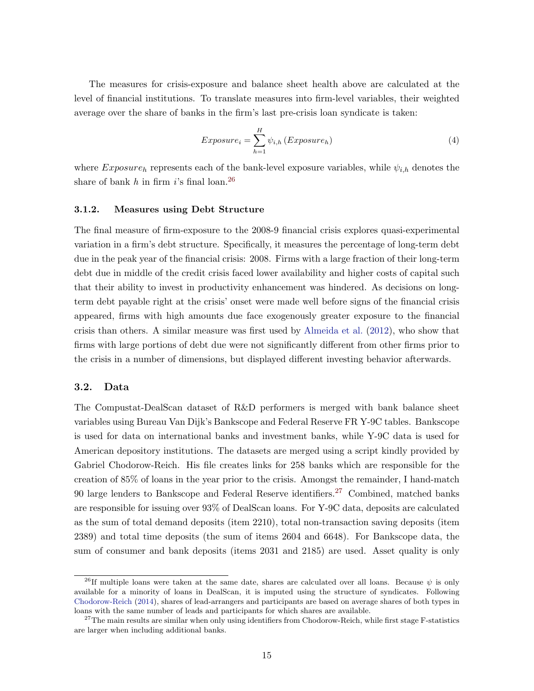The measures for crisis-exposure and balance sheet health above are calculated at the level of financial institutions. To translate measures into firm-level variables, their weighted average over the share of banks in the firm's last pre-crisis loan syndicate is taken:

$$
Exposure_i = \sum_{h=1}^{H} \psi_{i,h} \left( Exposure_h \right) \tag{4}
$$

where  $Exposure_h$  represents each of the bank-level exposure variables, while  $\psi_{i,h}$  denotes the share of bank h in firm i's final loan.<sup>[26](#page-0-0)</sup>

#### 3.1.2. Measures using Debt Structure

The final measure of firm-exposure to the 2008-9 financial crisis explores quasi-experimental variation in a firm's debt structure. Specifically, it measures the percentage of long-term debt due in the peak year of the financial crisis: 2008. Firms with a large fraction of their long-term debt due in middle of the credit crisis faced lower availability and higher costs of capital such that their ability to invest in productivity enhancement was hindered. As decisions on longterm debt payable right at the crisis' onset were made well before signs of the financial crisis appeared, firms with high amounts due face exogenously greater exposure to the financial crisis than others. A similar measure was first used by [Almeida et al.](#page-39-8) [\(2012\)](#page-39-8), who show that firms with large portions of debt due were not significantly different from other firms prior to the crisis in a number of dimensions, but displayed different investing behavior afterwards.

#### <span id="page-15-0"></span>3.2. Data

The Compustat-DealScan dataset of R&D performers is merged with bank balance sheet variables using Bureau Van Dijk's Bankscope and Federal Reserve FR Y-9C tables. Bankscope is used for data on international banks and investment banks, while Y-9C data is used for American depository institutions. The datasets are merged using a script kindly provided by Gabriel Chodorow-Reich. His file creates links for 258 banks which are responsible for the creation of 85% of loans in the year prior to the crisis. Amongst the remainder, I hand-match 90 large lenders to Bankscope and Federal Reserve identifiers.<sup>[27](#page-0-0)</sup> Combined, matched banks are responsible for issuing over 93% of DealScan loans. For Y-9C data, deposits are calculated as the sum of total demand deposits (item 2210), total non-transaction saving deposits (item 2389) and total time deposits (the sum of items 2604 and 6648). For Bankscope data, the sum of consumer and bank deposits (items 2031 and 2185) are used. Asset quality is only

<sup>&</sup>lt;sup>26</sup>If multiple loans were taken at the same date, shares are calculated over all loans. Because  $\psi$  is only available for a minority of loans in DealScan, it is imputed using the structure of syndicates. Following [Chodorow-Reich](#page-40-2) [\(2014\)](#page-40-2), shares of lead-arrangers and participants are based on average shares of both types in loans with the same number of leads and participants for which shares are available.

 $^{27}$ The main results are similar when only using identifiers from Chodorow-Reich, while first stage F-statistics are larger when including additional banks.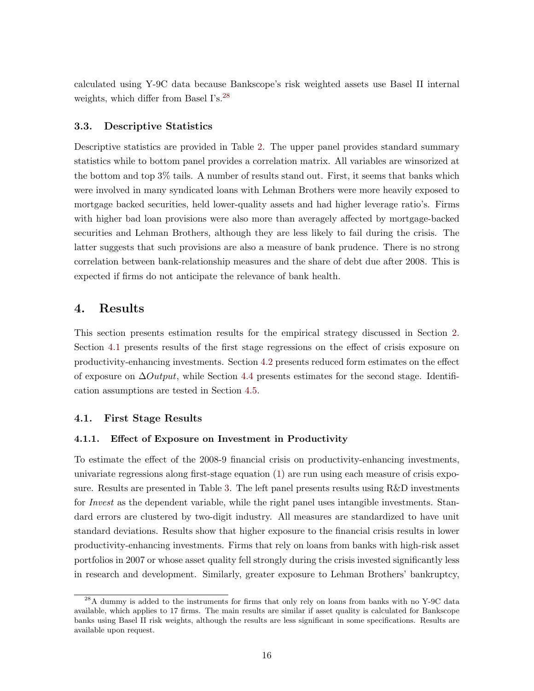calculated using Y-9C data because Bankscope's risk weighted assets use Basel II internal weights, which differ from Basel I's.[28](#page-0-0)

#### <span id="page-16-1"></span>3.3. Descriptive Statistics

Descriptive statistics are provided in Table [2.](#page-17-0) The upper panel provides standard summary statistics while to bottom panel provides a correlation matrix. All variables are winsorized at the bottom and top 3% tails. A number of results stand out. First, it seems that banks which were involved in many syndicated loans with Lehman Brothers were more heavily exposed to mortgage backed securities, held lower-quality assets and had higher leverage ratio's. Firms with higher bad loan provisions were also more than averagely affected by mortgage-backed securities and Lehman Brothers, although they are less likely to fail during the crisis. The latter suggests that such provisions are also a measure of bank prudence. There is no strong correlation between bank-relationship measures and the share of debt due after 2008. This is expected if firms do not anticipate the relevance of bank health.

### <span id="page-16-0"></span>4. Results

This section presents estimation results for the empirical strategy discussed in Section [2.](#page-6-0) Section [4.1](#page-16-2) presents results of the first stage regressions on the effect of crisis exposure on productivity-enhancing investments. Section [4.2](#page-24-0) presents reduced form estimates on the effect of exposure on  $\Delta Output$ , while Section [4.4](#page-28-0) presents estimates for the second stage. Identification assumptions are tested in Section [4.5.](#page-28-1)

#### <span id="page-16-2"></span>4.1. First Stage Results

#### 4.1.1. Effect of Exposure on Investment in Productivity

To estimate the effect of the 2008-9 financial crisis on productivity-enhancing investments, univariate regressions along first-stage equation [\(1\)](#page-7-0) are run using each measure of crisis exposure. Results are presented in Table [3.](#page-18-0) The left panel presents results using R&D investments for *Invest* as the dependent variable, while the right panel uses intangible investments. Standard errors are clustered by two-digit industry. All measures are standardized to have unit standard deviations. Results show that higher exposure to the financial crisis results in lower productivity-enhancing investments. Firms that rely on loans from banks with high-risk asset portfolios in 2007 or whose asset quality fell strongly during the crisis invested significantly less in research and development. Similarly, greater exposure to Lehman Brothers' bankruptcy,

<sup>&</sup>lt;sup>28</sup>A dummy is added to the instruments for firms that only rely on loans from banks with no Y-9C data available, which applies to 17 firms. The main results are similar if asset quality is calculated for Bankscope banks using Basel II risk weights, although the results are less significant in some specifications. Results are available upon request.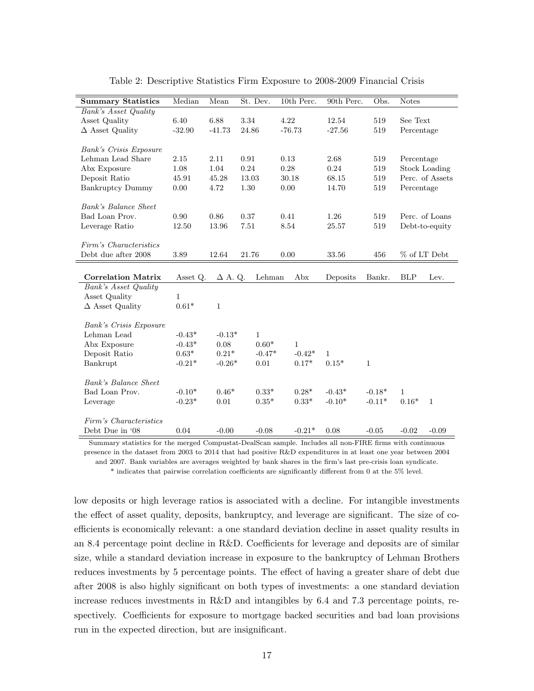| <b>Summary Statistics</b>                 | Median   | Mean           | St. Dev.     | 10th Perc.   | 90th Perc.   | Obs.         | <b>Notes</b> |                 |
|-------------------------------------------|----------|----------------|--------------|--------------|--------------|--------------|--------------|-----------------|
| <b>Bank's Asset Quality</b>               |          |                |              |              |              |              |              |                 |
| Asset Quality                             | 6.40     | 6.88           | 3.34         | 4.22         | 12.54        | 519          | See Text     |                 |
| $\Delta$ Asset Quality                    | $-32.90$ | $-41.73$       | 24.86        | $-76.73$     | $-27.56$     | 519          | Percentage   |                 |
|                                           |          |                |              |              |              |              |              |                 |
| Bank's Crisis Exposure                    |          |                |              |              |              |              |              |                 |
| Lehman Lead Share                         | 2.15     | 2.11           | 0.91         | 0.13         | 2.68         | 519          | Percentage   |                 |
| Abx Exposure                              | 1.08     | 1.04           | 0.24         | 0.28         | 0.24         | 519          |              | Stock Loading   |
| Deposit Ratio                             | 45.91    | 45.28          | 13.03        | 30.18        | 68.15        | 519          |              | Perc. of Assets |
| <b>Bankruptcy Dummy</b>                   | 0.00     | 4.72           | 1.30         | 0.00         | 14.70        | 519          | Percentage   |                 |
|                                           |          |                |              |              |              |              |              |                 |
| Bank's Balance Sheet                      |          |                |              |              |              |              |              |                 |
| Bad Loan Prov.                            | 0.90     | 0.86           | 0.37         | 0.41         | 1.26         | 519          |              | Perc. of Loans  |
| Leverage Ratio                            | 12.50    | 13.96          | 7.51         | 8.54         | 25.57        | 519          |              | Debt-to-equity  |
|                                           |          |                |              |              |              |              |              |                 |
| Firm's Characteristics                    |          |                |              |              |              |              |              |                 |
| Debt due after 2008                       | 3.89     | 12.64          | 21.76        | 0.00         | 33.56        | 456          |              | $\%$ of LT Debt |
|                                           |          |                |              |              |              |              |              |                 |
|                                           |          |                |              |              |              |              |              |                 |
|                                           |          |                |              |              |              |              |              |                 |
| <b>Correlation Matrix</b>                 | Asset Q. | $\Delta$ A. Q. | Lehman       | Abx          | Deposits     | Bankr.       | <b>BLP</b>   | Lev.            |
| <b>Bank's Asset Quality</b>               |          |                |              |              |              |              |              |                 |
| Asset Quality                             | 1        |                |              |              |              |              |              |                 |
| $\Delta$ Asset Quality                    | $0.61*$  | $\mathbf{1}$   |              |              |              |              |              |                 |
|                                           |          |                |              |              |              |              |              |                 |
| Bank's Crisis Exposure                    |          |                |              |              |              |              |              |                 |
| Lehman Lead                               | $-0.43*$ | $-0.13*$       | $\mathbf{1}$ |              |              |              |              |                 |
| Abx Exposure                              | $-0.43*$ | 0.08           | $0.60*$      | $\mathbf{1}$ |              |              |              |                 |
| Deposit Ratio                             | $0.63*$  | $0.21*$        | $-0.47*$     | $-0.42*$     | $\mathbf{1}$ |              |              |                 |
| Bankrupt                                  | $-0.21*$ | $-0.26*$       | 0.01         | $0.17*$      | $0.15*$      | $\mathbf{1}$ |              |                 |
| Bank's Balance Sheet                      |          |                |              |              |              |              |              |                 |
|                                           | $-0.10*$ | $0.46*$        | $0.33*$      | $0.28*$      | $-0.43*$     | $-0.18*$     | 1            |                 |
| Bad Loan Prov.<br>Leverage                | $-0.23*$ | 0.01           | $0.35*$      | $0.33*$      | $-0.10*$     | $-0.11*$     | $0.16*$      | $\mathbf{1}$    |
|                                           |          |                |              |              |              |              |              |                 |
| Firm's Characteristics<br>Debt Due in '08 | 0.04     | $-0.00$        | $-0.08$      | $-0.21*$     | 0.08         | $-0.05$      | $-0.02$      | $-0.09$         |

<span id="page-17-0"></span>Table 2: Descriptive Statistics Firm Exposure to 2008-2009 Financial Crisis

Summary statistics for the merged Compustat-DealScan sample. Includes all non-FIRE firms with continuous presence in the dataset from 2003 to 2014 that had positive R&D expenditures in at least one year between 2004 and 2007. Bank variables are averages weighted by bank shares in the firm's last pre-crisis loan syndicate.

\* indicates that pairwise correlation coefficients are significantly different from 0 at the 5% level.

low deposits or high leverage ratios is associated with a decline. For intangible investments the effect of asset quality, deposits, bankruptcy, and leverage are significant. The size of coefficients is economically relevant: a one standard deviation decline in asset quality results in an 8.4 percentage point decline in R&D. Coefficients for leverage and deposits are of similar size, while a standard deviation increase in exposure to the bankruptcy of Lehman Brothers reduces investments by 5 percentage points. The effect of having a greater share of debt due after 2008 is also highly significant on both types of investments: a one standard deviation increase reduces investments in R&D and intangibles by 6.4 and 7.3 percentage points, respectively. Coefficients for exposure to mortgage backed securities and bad loan provisions run in the expected direction, but are insignificant.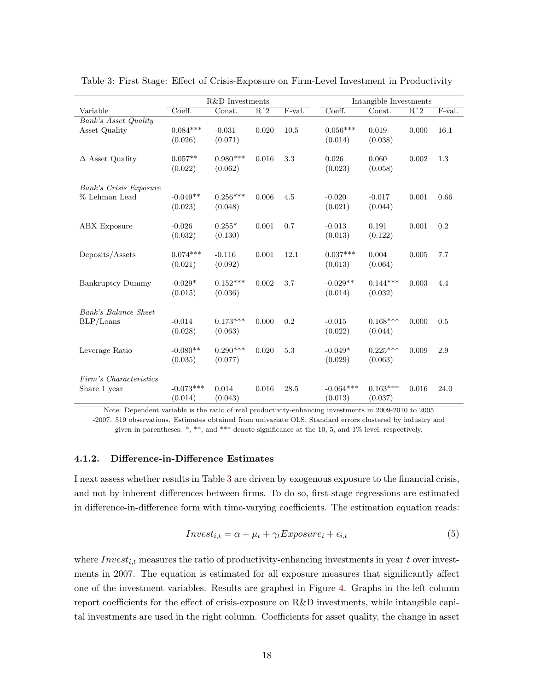|                                         |             | R&D Investments |       |         | Intangible Investments     |            |       |           |  |
|-----------------------------------------|-------------|-----------------|-------|---------|----------------------------|------------|-------|-----------|--|
| Variable                                | Coeff.      | Const.          | $R^2$ | F-val.  | $\overline{\text{Coeff.}}$ | Const.     | $R^2$ | $F$ -val. |  |
| <b>Bank's Asset Quality</b>             |             |                 |       |         |                            |            |       |           |  |
| Asset Quality                           | $0.084***$  | $-0.031$        | 0.020 | 10.5    | $0.056***$                 | 0.019      | 0.000 | 16.1      |  |
|                                         | (0.026)     | (0.071)         |       |         | (0.014)                    | (0.038)    |       |           |  |
|                                         |             |                 |       |         |                            |            |       |           |  |
| $\Delta$ Asset Quality                  | $0.057**$   | $0.980***$      | 0.016 | 3.3     | 0.026                      | 0.060      | 0.002 | $1.3\,$   |  |
|                                         | (0.022)     | (0.062)         |       |         | (0.023)                    | (0.058)    |       |           |  |
|                                         |             |                 |       |         |                            |            |       |           |  |
| Bank's Crisis Exposure<br>% Lehman Lead | $-0.049**$  | $0.256***$      | 0.006 | 4.5     | $-0.020$                   | $-0.017$   | 0.001 | 0.66      |  |
|                                         | (0.023)     | (0.048)         |       |         | (0.021)                    | (0.044)    |       |           |  |
|                                         |             |                 |       |         |                            |            |       |           |  |
| <b>ABX</b> Exposure                     | $-0.026$    | $0.255*$        | 0.001 | 0.7     | $-0.013$                   | 0.191      | 0.001 | 0.2       |  |
|                                         | (0.032)     | (0.130)         |       |         | (0.013)                    | (0.122)    |       |           |  |
|                                         |             |                 |       |         |                            |            |       |           |  |
| Deposits/Assets                         | $0.074***$  | $-0.116$        | 0.001 | 12.1    | $0.037***$                 | 0.004      | 0.005 | 7.7       |  |
|                                         | (0.021)     | (0.092)         |       |         | (0.013)                    | (0.064)    |       |           |  |
|                                         |             |                 |       |         |                            |            |       |           |  |
| Bankruptcy Dummy                        | $-0.029*$   | $0.152***$      | 0.002 | 3.7     | $-0.029**$                 | $0.144***$ | 0.003 | 4.4       |  |
|                                         | (0.015)     | (0.036)         |       |         | (0.014)                    | (0.032)    |       |           |  |
|                                         |             |                 |       |         |                            |            |       |           |  |
| Bank's Balance Sheet                    |             |                 |       |         |                            |            |       |           |  |
| BLP/Loans                               | $-0.014$    | $0.173***$      | 0.000 | 0.2     | $-0.015$                   | $0.168***$ | 0.000 | 0.5       |  |
|                                         | (0.028)     | (0.063)         |       |         | (0.022)                    | (0.044)    |       |           |  |
| Leverage Ratio                          | $-0.080**$  | $0.290***$      | 0.020 | $5.3\,$ | $-0.049*$                  | $0.225***$ | 0.009 | 2.9       |  |
|                                         | (0.035)     | (0.077)         |       |         | (0.029)                    | (0.063)    |       |           |  |
|                                         |             |                 |       |         |                            |            |       |           |  |
| Firm's Characteristics                  |             |                 |       |         |                            |            |       |           |  |
| Share 1 year                            | $-0.073***$ | 0.014           | 0.016 | 28.5    | $-0.064***$                | $0.163***$ | 0.016 | 24.0      |  |
|                                         | (0.014)     | (0.043)         |       |         | (0.013)                    | (0.037)    |       |           |  |

<span id="page-18-0"></span>Table 3: First Stage: Effect of Crisis-Exposure on Firm-Level Investment in Productivity

Note: Dependent variable is the ratio of real productivity-enhancing investments in 2009-2010 to 2005

-2007. 519 observations. Estimates obtained from univariate OLS. Standard errors clustered by industry and given in parentheses. \*, \*\*, and \*\*\* denote significance at the 10, 5, and 1% level, respectively.

#### 4.1.2. Difference-in-Difference Estimates

I next assess whether results in Table [3](#page-18-0) are driven by exogenous exposure to the financial crisis, and not by inherent differences between firms. To do so, first-stage regressions are estimated in difference-in-difference form with time-varying coefficients. The estimation equation reads:

<span id="page-18-1"></span>
$$
Invest_{i,t} = \alpha + \mu_t + \gamma_t Exposure_i + \epsilon_{i,t} \tag{5}
$$

where  $Invest_{i,t}$  measures the ratio of productivity-enhancing investments in year t over investments in 2007. The equation is estimated for all exposure measures that significantly affect one of the investment variables. Results are graphed in Figure [4.](#page-20-0) Graphs in the left column report coefficients for the effect of crisis-exposure on R&D investments, while intangible capital investments are used in the right column. Coefficients for asset quality, the change in asset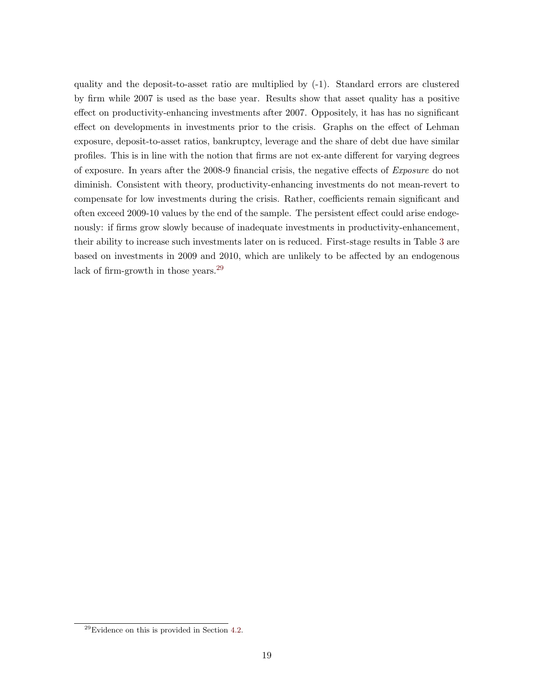quality and the deposit-to-asset ratio are multiplied by (-1). Standard errors are clustered by firm while 2007 is used as the base year. Results show that asset quality has a positive effect on productivity-enhancing investments after 2007. Oppositely, it has has no significant effect on developments in investments prior to the crisis. Graphs on the effect of Lehman exposure, deposit-to-asset ratios, bankruptcy, leverage and the share of debt due have similar profiles. This is in line with the notion that firms are not ex-ante different for varying degrees of exposure. In years after the 2008-9 financial crisis, the negative effects of Exposure do not diminish. Consistent with theory, productivity-enhancing investments do not mean-revert to compensate for low investments during the crisis. Rather, coefficients remain significant and often exceed 2009-10 values by the end of the sample. The persistent effect could arise endogenously: if firms grow slowly because of inadequate investments in productivity-enhancement, their ability to increase such investments later on is reduced. First-stage results in Table [3](#page-18-0) are based on investments in 2009 and 2010, which are unlikely to be affected by an endogenous lack of firm-growth in those years.<sup>[29](#page-0-0)</sup>

<sup>29</sup>Evidence on this is provided in Section [4.2.](#page-24-0)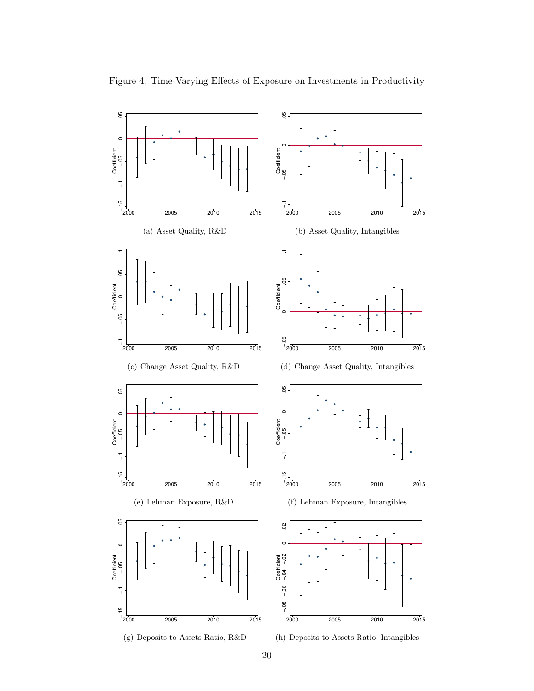

<span id="page-20-0"></span>Figure 4. Time-Varying Effects of Exposure on Investments in Productivity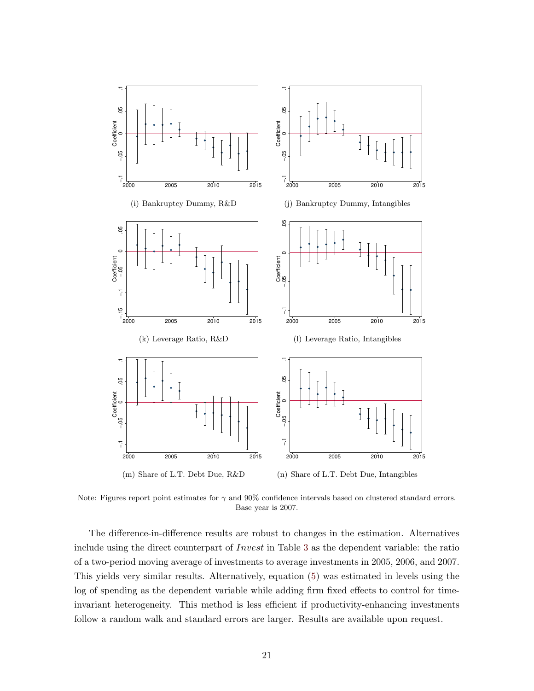

Note: Figures report point estimates for  $\gamma$  and 90% confidence intervals based on clustered standard errors. Base year is 2007.

The difference-in-difference results are robust to changes in the estimation. Alternatives include using the direct counterpart of Invest in Table [3](#page-18-0) as the dependent variable: the ratio of a two-period moving average of investments to average investments in 2005, 2006, and 2007. This yields very similar results. Alternatively, equation [\(5\)](#page-18-1) was estimated in levels using the log of spending as the dependent variable while adding firm fixed effects to control for timeinvariant heterogeneity. This method is less efficient if productivity-enhancing investments follow a random walk and standard errors are larger. Results are available upon request.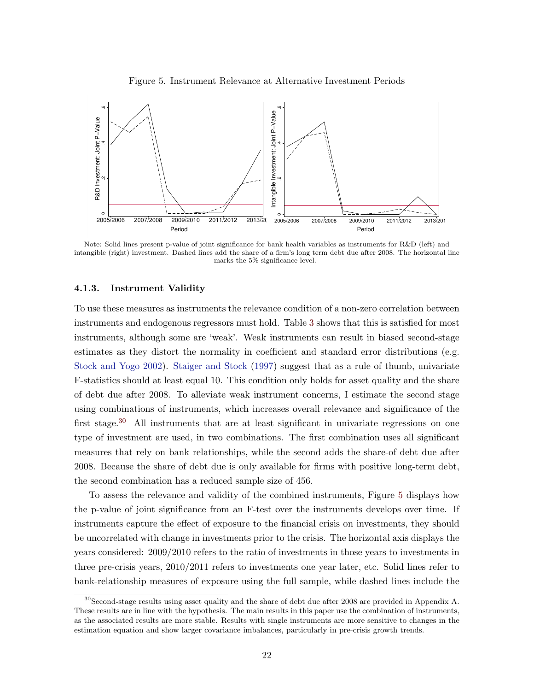<span id="page-22-0"></span>



Note: Solid lines present p-value of joint significance for bank health variables as instruments for R&D (left) and intangible (right) investment. Dashed lines add the share of a firm's long term debt due after 2008. The horizontal line marks the 5% significance level.

#### 4.1.3. Instrument Validity

To use these measures as instruments the relevance condition of a non-zero correlation between instruments and endogenous regressors must hold. Table [3](#page-18-0) shows that this is satisfied for most instruments, although some are 'weak'. Weak instruments can result in biased second-stage estimates as they distort the normality in coefficient and standard error distributions (e.g. [Stock and Yogo](#page-44-4) [2002\)](#page-44-4). [Staiger and Stock](#page-44-5) [\(1997\)](#page-44-5) suggest that as a rule of thumb, univariate F-statistics should at least equal 10. This condition only holds for asset quality and the share of debt due after 2008. To alleviate weak instrument concerns, I estimate the second stage using combinations of instruments, which increases overall relevance and significance of the first stage.<sup>[30](#page-0-0)</sup> All instruments that are at least significant in univariate regressions on one type of investment are used, in two combinations. The first combination uses all significant measures that rely on bank relationships, while the second adds the share-of debt due after 2008. Because the share of debt due is only available for firms with positive long-term debt, the second combination has a reduced sample size of 456.

To assess the relevance and validity of the combined instruments, Figure [5](#page-22-0) displays how the p-value of joint significance from an F-test over the instruments develops over time. If instruments capture the effect of exposure to the financial crisis on investments, they should be uncorrelated with change in investments prior to the crisis. The horizontal axis displays the years considered: 2009/2010 refers to the ratio of investments in those years to investments in three pre-crisis years, 2010/2011 refers to investments one year later, etc. Solid lines refer to bank-relationship measures of exposure using the full sample, while dashed lines include the

<sup>30</sup>Second-stage results using asset quality and the share of debt due after 2008 are provided in Appendix A. These results are in line with the hypothesis. The main results in this paper use the combination of instruments, as the associated results are more stable. Results with single instruments are more sensitive to changes in the estimation equation and show larger covariance imbalances, particularly in pre-crisis growth trends.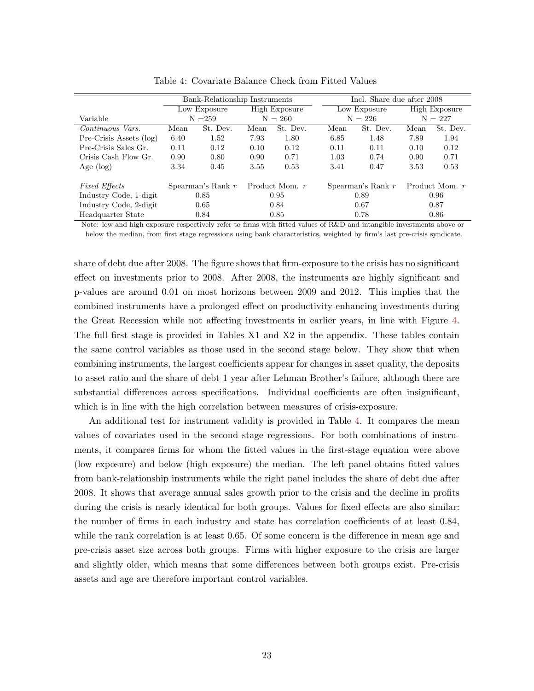|                         |      | Bank-Relationship Instruments |               |                                       | Incl. Share due after 2008 |              |           |                |  |
|-------------------------|------|-------------------------------|---------------|---------------------------------------|----------------------------|--------------|-----------|----------------|--|
|                         |      | Low Exposure                  | High Exposure |                                       |                            | Low Exposure |           | High Exposure  |  |
| Variable                |      | $N = 259$                     |               | $N = 260$                             | $N = 226$                  |              | $N = 227$ |                |  |
| Continuous Vars.        | Mean | St. Dev.                      | Mean          | St. Dev.                              | Mean                       | St. Dev.     | Mean      | St. Dev.       |  |
| Pre-Crisis Assets (log) | 6.40 | 1.52                          | 7.93          | 1.80                                  | 6.85                       | 1.48         | 7.89      | 1.94           |  |
| Pre-Crisis Sales Gr.    | 0.11 | 0.12                          | 0.10          | 0.12                                  | 0.11                       | 0.11         | 0.10      | 0.12           |  |
| Crisis Cash Flow Gr.    | 0.90 | 0.80                          | 0.90          | 0.71                                  | 1.03                       | 0.74         | 0.90      | 0.71           |  |
| Age $(\log)$            | 3.34 | 0.45                          | 3.55          | 0.53                                  | 3.41                       | 0.47         | 3.53      | 0.53           |  |
| <i>Fixed Effects</i>    |      | Spearman's Rank $r$           |               | Product Mom. r<br>Spearman's Rank $r$ |                            |              |           | Product Mom. r |  |
| Industry Code, 1-digit  |      | 0.85                          |               | 0.95                                  |                            | 0.89         | 0.96      |                |  |
| Industry Code, 2-digit  |      | 0.65                          |               | 0.84                                  | 0.67                       |              | 0.87      |                |  |
| Headquarter State       |      | 0.84                          |               | 0.85                                  |                            | 0.78         | 0.86      |                |  |

<span id="page-23-0"></span>Table 4: Covariate Balance Check from Fitted Values

Note: low and high exposure respectively refer to firms with fitted values of R&D and intangible investments above or below the median, from first stage regressions using bank characteristics, weighted by firm's last pre-crisis syndicate.

share of debt due after 2008. The figure shows that firm-exposure to the crisis has no significant effect on investments prior to 2008. After 2008, the instruments are highly significant and p-values are around 0.01 on most horizons between 2009 and 2012. This implies that the combined instruments have a prolonged effect on productivity-enhancing investments during the Great Recession while not affecting investments in earlier years, in line with Figure [4.](#page-20-0) The full first stage is provided in Tables X1 and X2 in the appendix. These tables contain the same control variables as those used in the second stage below. They show that when combining instruments, the largest coefficients appear for changes in asset quality, the deposits to asset ratio and the share of debt 1 year after Lehman Brother's failure, although there are substantial differences across specifications. Individual coefficients are often insignificant, which is in line with the high correlation between measures of crisis-exposure.

An additional test for instrument validity is provided in Table [4.](#page-23-0) It compares the mean values of covariates used in the second stage regressions. For both combinations of instruments, it compares firms for whom the fitted values in the first-stage equation were above (low exposure) and below (high exposure) the median. The left panel obtains fitted values from bank-relationship instruments while the right panel includes the share of debt due after 2008. It shows that average annual sales growth prior to the crisis and the decline in profits during the crisis is nearly identical for both groups. Values for fixed effects are also similar: the number of firms in each industry and state has correlation coefficients of at least 0.84, while the rank correlation is at least 0.65. Of some concern is the difference in mean age and pre-crisis asset size across both groups. Firms with higher exposure to the crisis are larger and slightly older, which means that some differences between both groups exist. Pre-crisis assets and age are therefore important control variables.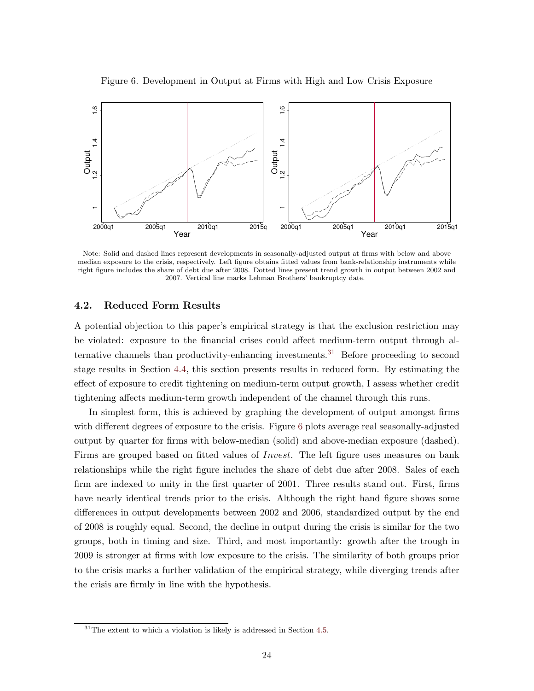

<span id="page-24-1"></span>Figure 6. Development in Output at Firms with High and Low Crisis Exposure

Note: Solid and dashed lines represent developments in seasonally-adjusted output at firms with below and above median exposure to the crisis, respectively. Left figure obtains fitted values from bank-relationship instruments while right figure includes the share of debt due after 2008. Dotted lines present trend growth in output between 2002 and 2007. Vertical line marks Lehman Brothers' bankruptcy date.

#### <span id="page-24-0"></span>4.2. Reduced Form Results

A potential objection to this paper's empirical strategy is that the exclusion restriction may be violated: exposure to the financial crises could affect medium-term output through al-ternative channels than productivity-enhancing investments.<sup>[31](#page-0-0)</sup> Before proceeding to second stage results in Section [4.4,](#page-28-0) this section presents results in reduced form. By estimating the effect of exposure to credit tightening on medium-term output growth, I assess whether credit tightening affects medium-term growth independent of the channel through this runs.

In simplest form, this is achieved by graphing the development of output amongst firms with different degrees of exposure to the crisis. Figure [6](#page-24-1) plots average real seasonally-adjusted output by quarter for firms with below-median (solid) and above-median exposure (dashed). Firms are grouped based on fitted values of Invest. The left figure uses measures on bank relationships while the right figure includes the share of debt due after 2008. Sales of each firm are indexed to unity in the first quarter of 2001. Three results stand out. First, firms have nearly identical trends prior to the crisis. Although the right hand figure shows some differences in output developments between 2002 and 2006, standardized output by the end of 2008 is roughly equal. Second, the decline in output during the crisis is similar for the two groups, both in timing and size. Third, and most importantly: growth after the trough in 2009 is stronger at firms with low exposure to the crisis. The similarity of both groups prior to the crisis marks a further validation of the empirical strategy, while diverging trends after the crisis are firmly in line with the hypothesis.

 $31$ The extent to which a violation is likely is addressed in Section [4.5.](#page-28-1)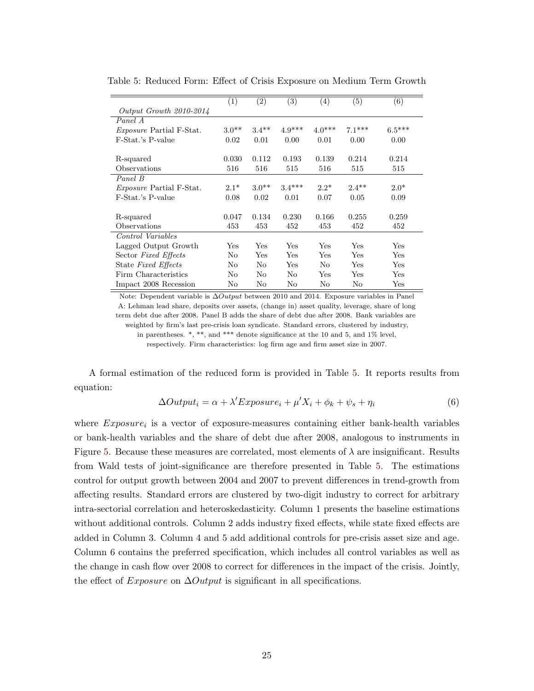|                                 | (1)     | (2)            | (3)      | (4)            | (5)      | (6)      |
|---------------------------------|---------|----------------|----------|----------------|----------|----------|
| Output Growth 2010-2014         |         |                |          |                |          |          |
| Panel A                         |         |                |          |                |          |          |
| <i>Exposure</i> Partial F-Stat. | $3.0**$ | $3.4**$        | $4.9***$ | $4.0***$       | $7.1***$ | $6.5***$ |
| F-Stat.'s P-value               | 0.02    | 0.01           | 0.00     | 0.01           | 0.00     | 0.00     |
| R-squared                       | 0.030   | 0.112          | 0.193    | 0.139          | 0.214    | 0.214    |
| Observations                    | 516     | 516            | 515      | 516            | 515      | 515      |
| Panel B                         |         |                |          |                |          |          |
| <i>Exposure</i> Partial F-Stat. | $2.1*$  | $3.0**$        | $3.4***$ | $2.2*$         | $2.4**$  | $2.0*$   |
| F-Stat.'s P-value               | 0.08    | 0.02           | 0.01     | 0.07           | 0.05     | 0.09     |
| R-squared                       | 0.047   | 0.134          | 0.230    | 0.166          | 0.255    | 0.259    |
| Observations                    | 453     | 453            | 452      | 453            | 452      | 452      |
| Control Variables               |         |                |          |                |          |          |
| Lagged Output Growth            | Yes     | Yes            | Yes      | Yes            | Yes      | Yes      |
| Sector Fixed Effects            | No      | Yes            | Yes      | Yes            | Yes      | Yes      |
| State Fixed Effects             | No      | N <sub>o</sub> | Yes      | N <sub>o</sub> | Yes      | Yes      |
| Firm Characteristics            | No      | N <sub>o</sub> | No       | Yes            | Yes      | Yes      |
| Impact 2008 Recession           | No      | No             | No       | No             | No       | Yes      |

<span id="page-25-0"></span>Table 5: Reduced Form: Effect of Crisis Exposure on Medium Term Growth

Note: Dependent variable is ∆Output between 2010 and 2014. Exposure variables in Panel A: Lehman lead share, deposits over assets, (change in) asset quality, leverage, share of long term debt due after 2008. Panel B adds the share of debt due after 2008. Bank variables are weighted by firm's last pre-crisis loan syndicate. Standard errors, clustered by industry, in parentheses. \*, \*\*, and \*\*\* denote significance at the 10 and 5, and 1% level, respectively. Firm characteristics: log firm age and firm asset size in 2007.

A formal estimation of the reduced form is provided in Table [5.](#page-25-0) It reports results from equation:

$$
\Delta Output_i = \alpha + \lambda' Exposure_i + \mu' X_i + \phi_k + \psi_s + \eta_i \tag{6}
$$

where  $Exposure_i$  is a vector of exposure-measures containing either bank-health variables or bank-health variables and the share of debt due after 2008, analogous to instruments in Figure [5.](#page-22-0) Because these measures are correlated, most elements of  $\lambda$  are insignificant. Results from Wald tests of joint-significance are therefore presented in Table [5.](#page-25-0) The estimations control for output growth between 2004 and 2007 to prevent differences in trend-growth from affecting results. Standard errors are clustered by two-digit industry to correct for arbitrary intra-sectorial correlation and heteroskedasticity. Column 1 presents the baseline estimations without additional controls. Column 2 adds industry fixed effects, while state fixed effects are added in Column 3. Column 4 and 5 add additional controls for pre-crisis asset size and age. Column 6 contains the preferred specification, which includes all control variables as well as the change in cash flow over 2008 to correct for differences in the impact of the crisis. Jointly, the effect of  $Exposure$  on  $\Delta Output$  is significant in all specifications.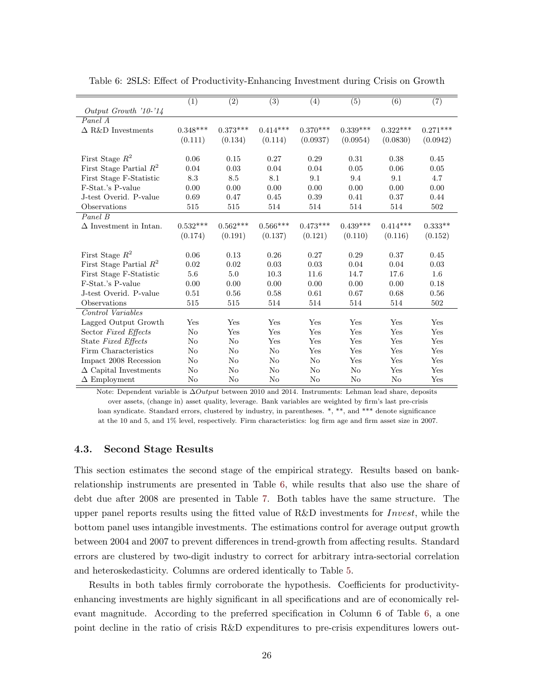|                               | $\overline{(1)}$ | $\overline{(2)}$ | $\overline{(3)}$ | (4)            | (5)        | $\overline{(6)}$ | (7)        |
|-------------------------------|------------------|------------------|------------------|----------------|------------|------------------|------------|
| Output Growth $10-114$        |                  |                  |                  |                |            |                  |            |
| Panel A                       |                  |                  |                  |                |            |                  |            |
| $\Delta$ R&D Investments      | $0.348***$       | $0.373***$       | $0.414***$       | $0.370***$     | $0.339***$ | $0.322***$       | $0.271***$ |
|                               | (0.111)          | (0.134)          | (0.114)          | (0.0937)       | (0.0954)   | (0.0830)         | (0.0942)   |
|                               |                  |                  |                  |                |            |                  |            |
| First Stage $R^2$             | 0.06             | 0.15             | 0.27             | 0.29           | 0.31       | 0.38             | 0.45       |
| First Stage Partial $R^2$     | 0.04             | 0.03             | 0.04             | 0.04           | 0.05       | 0.06             | 0.05       |
| First Stage F-Statistic       | 8.3              | 8.5              | 8.1              | 9.1            | 9.4        | 9.1              | 4.7        |
| F-Stat.'s P-value             | 0.00             | 0.00             | 0.00             | 0.00           | 0.00       | 0.00             | 0.00       |
| J-test Overid. P-value        | 0.69             | 0.47             | 0.45             | 0.39           | 0.41       | 0.37             | 0.44       |
| Observations                  | 515              | 515              | 514              | 514            | 514        | 514              | 502        |
| Panel B                       |                  |                  |                  |                |            |                  |            |
| $\Delta$ Investment in Intan. | $0.532***$       | $0.562***$       | $0.566***$       | $0.473***$     | $0.439***$ | $0.414***$       | $0.333**$  |
|                               | (0.174)          | (0.191)          | (0.137)          | (0.121)        | (0.110)    | (0.116)          | (0.152)    |
|                               |                  |                  |                  |                |            |                  |            |
| First Stage $R^2$             | 0.06             | 0.13             | 0.26             | 0.27           | 0.29       | 0.37             | 0.45       |
| First Stage Partial $R^2$     | 0.02             | 0.02             | 0.03             | 0.03           | 0.04       | 0.04             | 0.03       |
| First Stage F-Statistic       | 5.6              | 5.0              | 10.3             | 11.6           | 14.7       | 17.6             | $1.6\,$    |
| F-Stat.'s P-value             | 0.00             | 0.00             | 0.00             | 0.00           | 0.00       | 0.00             | 0.18       |
| J-test Overid. P-value        | 0.51             | 0.56             | 0.58             | 0.61           | 0.67       | 0.68             | 0.56       |
| Observations                  | 515              | 515              | 514              | 514            | 514        | 514              | 502        |
| Control Variables             |                  |                  |                  |                |            |                  |            |
| Lagged Output Growth          | Yes              | Yes              | Yes              | Yes            | Yes        | Yes              | Yes        |
| Sector Fixed Effects          | No               | Yes              | Yes              | Yes            | Yes        | Yes              | Yes        |
| State Fixed Effects           | No               | No               | Yes              | Yes            | Yes        | Yes              | Yes        |
| Firm Characteristics          | No               | No               | No               | Yes            | Yes        | Yes              | Yes        |
| Impact 2008 Recession         | No               | $\rm No$         | No               | N <sub>0</sub> | Yes        | Yes              | Yes        |
| $\Delta$ Capital Investments  | No               | $\rm No$         | No               | No             | No         | Yes              | Yes        |
| $\Delta$ Employment           | No               | No               | No               | No             | No         | No               | Yes        |

<span id="page-26-0"></span>Table 6: 2SLS: Effect of Productivity-Enhancing Investment during Crisis on Growth

Note: Dependent variable is ∆Output between 2010 and 2014. Instruments: Lehman lead share, deposits over assets, (change in) asset quality, leverage. Bank variables are weighted by firm's last pre-crisis loan syndicate. Standard errors, clustered by industry, in parentheses. \*, \*\*, and \*\*\* denote significance at the 10 and 5, and 1% level, respectively. Firm characteristics: log firm age and firm asset size in 2007.

#### 4.3. Second Stage Results

This section estimates the second stage of the empirical strategy. Results based on bankrelationship instruments are presented in Table [6,](#page-26-0) while results that also use the share of debt due after 2008 are presented in Table [7.](#page-27-0) Both tables have the same structure. The upper panel reports results using the fitted value of  $R\&D$  investments for Invest, while the bottom panel uses intangible investments. The estimations control for average output growth between 2004 and 2007 to prevent differences in trend-growth from affecting results. Standard errors are clustered by two-digit industry to correct for arbitrary intra-sectorial correlation and heteroskedasticity. Columns are ordered identically to Table [5.](#page-25-0)

Results in both tables firmly corroborate the hypothesis. Coefficients for productivityenhancing investments are highly significant in all specifications and are of economically relevant magnitude. According to the preferred specification in Column 6 of Table [6,](#page-26-0) a one point decline in the ratio of crisis R&D expenditures to pre-crisis expenditures lowers out-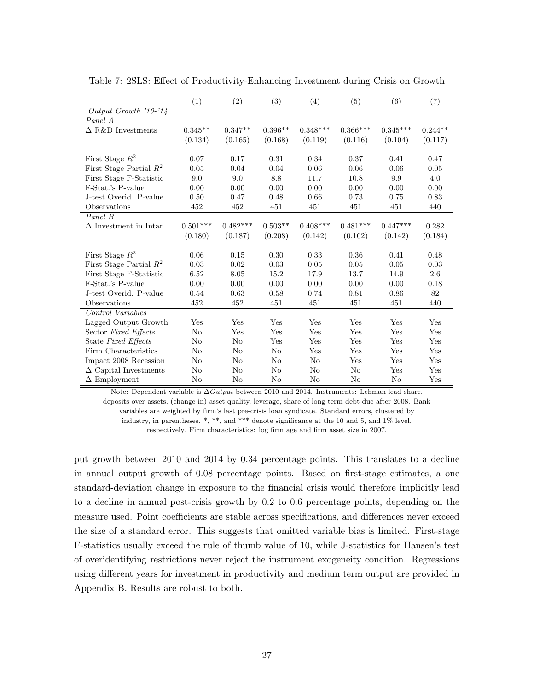|                               | (1)        | $\overline{(2)}$ | $\overline{(3)}$ | (4)            | (5)        | (6)        | (7)       |
|-------------------------------|------------|------------------|------------------|----------------|------------|------------|-----------|
| Output Growth $10-114$        |            |                  |                  |                |            |            |           |
| Panel A                       |            |                  |                  |                |            |            |           |
| $\Delta$ R&D Investments      | $0.345**$  | $0.347**$        | $0.396**$        | $0.348***$     | $0.366***$ | $0.345***$ | $0.244**$ |
|                               | (0.134)    | (0.165)          | (0.168)          | (0.119)        | (0.116)    | (0.104)    | (0.117)   |
|                               |            |                  |                  |                |            |            |           |
| First Stage $R^2$             | 0.07       | 0.17             | 0.31             | 0.34           | 0.37       | 0.41       | 0.47      |
| First Stage Partial $R^2$     | 0.05       | 0.04             | 0.04             | 0.06           | 0.06       | 0.06       | 0.05      |
| First Stage F-Statistic       | 9.0        | 9.0              | 8.8              | 11.7           | 10.8       | 9.9        | 4.0       |
| F-Stat.'s P-value             | 0.00       | 0.00             | 0.00             | 0.00           | 0.00       | 0.00       | 0.00      |
| J-test Overid. P-value        | 0.50       | 0.47             | 0.48             | 0.66           | 0.73       | 0.75       | 0.83      |
| <b>Observations</b>           | 452        | 452              | 451              | 451            | 451        | 451        | 440       |
| Panel B                       |            |                  |                  |                |            |            |           |
| $\Delta$ Investment in Intan. | $0.501***$ | $0.482***$       | $0.503**$        | $0.408***$     | $0.481***$ | $0.447***$ | 0.282     |
|                               | (0.180)    | (0.187)          | (0.208)          | (0.142)        | (0.162)    | (0.142)    | (0.184)   |
|                               |            |                  |                  |                |            |            |           |
| First Stage $R^2$             | 0.06       | 0.15             | 0.30             | 0.33           | 0.36       | 0.41       | 0.48      |
| First Stage Partial $R^2$     | 0.03       | 0.02             | 0.03             | 0.05           | 0.05       | 0.05       | 0.03      |
| First Stage F-Statistic       | 6.52       | 8.05             | 15.2             | 17.9           | 13.7       | 14.9       | 2.6       |
| F-Stat.'s P-value             | 0.00       | 0.00             | 0.00             | 0.00           | 0.00       | 0.00       | 0.18      |
| J-test Overid. P-value        | 0.54       | 0.63             | 0.58             | 0.74           | 0.81       | 0.86       | 82        |
| Observations                  | 452        | 452              | 451              | 451            | 451        | 451        | 440       |
| Control Variables             |            |                  |                  |                |            |            |           |
| Lagged Output Growth          | Yes        | Yes              | Yes              | Yes            | Yes        | Yes        | Yes       |
| Sector Fixed Effects          | No         | Yes              | Yes              | Yes            | <b>Yes</b> | Yes        | Yes       |
| State Fixed Effects           | No         | N <sub>o</sub>   | Yes              | Yes            | Yes        | Yes        | Yes       |
| Firm Characteristics          | No         | No               | No               | Yes            | <b>Yes</b> | Yes        | Yes       |
| Impact 2008 Recession         | $\rm No$   | N <sub>o</sub>   | No               | N <sub>o</sub> | Yes        | Yes        | Yes       |
| $\Delta$ Capital Investments  | No         | No               | No               | No             | No         | Yes        | Yes       |
| $\Delta$ Employment           | No         | No               | No               | No             | No         | No         | Yes       |

<span id="page-27-0"></span>Table 7: 2SLS: Effect of Productivity-Enhancing Investment during Crisis on Growth

Note: Dependent variable is ∆Output between 2010 and 2014. Instruments: Lehman lead share, deposits over assets, (change in) asset quality, leverage, share of long term debt due after 2008. Bank variables are weighted by firm's last pre-crisis loan syndicate. Standard errors, clustered by industry, in parentheses. \*, \*\*, and \*\*\* denote significance at the 10 and 5, and 1% level, respectively. Firm characteristics: log firm age and firm asset size in 2007.

put growth between 2010 and 2014 by 0.34 percentage points. This translates to a decline in annual output growth of 0.08 percentage points. Based on first-stage estimates, a one standard-deviation change in exposure to the financial crisis would therefore implicitly lead to a decline in annual post-crisis growth by 0.2 to 0.6 percentage points, depending on the measure used. Point coefficients are stable across specifications, and differences never exceed the size of a standard error. This suggests that omitted variable bias is limited. First-stage F-statistics usually exceed the rule of thumb value of 10, while J-statistics for Hansen's test of overidentifying restrictions never reject the instrument exogeneity condition. Regressions using different years for investment in productivity and medium term output are provided in Appendix B. Results are robust to both.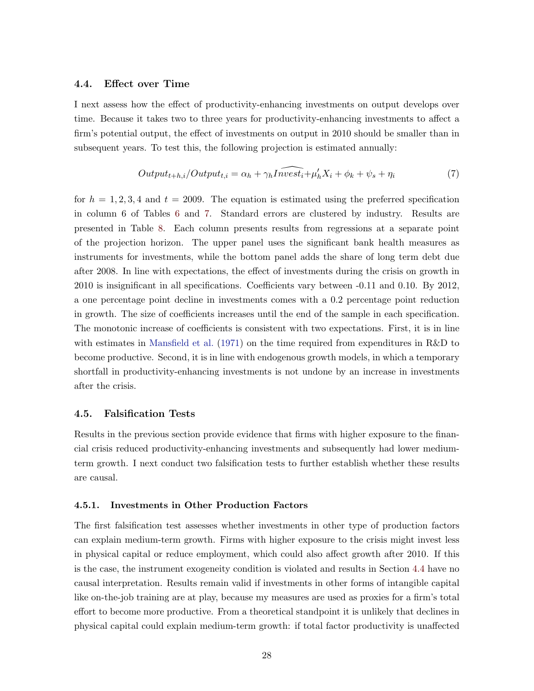#### <span id="page-28-0"></span>4.4. Effect over Time

I next assess how the effect of productivity-enhancing investments on output develops over time. Because it takes two to three years for productivity-enhancing investments to affect a firm's potential output, the effect of investments on output in 2010 should be smaller than in subsequent years. To test this, the following projection is estimated annually:

$$
Output_{t+h,i}/Output_{t,i} = \alpha_h + \gamma_h \widehat{Invest_i} + \mu'_h X_i + \phi_k + \psi_s + \eta_i \tag{7}
$$

for  $h = 1, 2, 3, 4$  and  $t = 2009$ . The equation is estimated using the preferred specification in column 6 of Tables [6](#page-26-0) and [7.](#page-27-0) Standard errors are clustered by industry. Results are presented in Table [8.](#page-29-0) Each column presents results from regressions at a separate point of the projection horizon. The upper panel uses the significant bank health measures as instruments for investments, while the bottom panel adds the share of long term debt due after 2008. In line with expectations, the effect of investments during the crisis on growth in 2010 is insignificant in all specifications. Coefficients vary between -0.11 and 0.10. By 2012, a one percentage point decline in investments comes with a 0.2 percentage point reduction in growth. The size of coefficients increases until the end of the sample in each specification. The monotonic increase of coefficients is consistent with two expectations. First, it is in line with estimates in [Mansfield et al.](#page-43-11) [\(1971\)](#page-43-11) on the time required from expenditures in R&D to become productive. Second, it is in line with endogenous growth models, in which a temporary shortfall in productivity-enhancing investments is not undone by an increase in investments after the crisis.

#### <span id="page-28-1"></span>4.5. Falsification Tests

Results in the previous section provide evidence that firms with higher exposure to the financial crisis reduced productivity-enhancing investments and subsequently had lower mediumterm growth. I next conduct two falsification tests to further establish whether these results are causal.

#### 4.5.1. Investments in Other Production Factors

The first falsification test assesses whether investments in other type of production factors can explain medium-term growth. Firms with higher exposure to the crisis might invest less in physical capital or reduce employment, which could also affect growth after 2010. If this is the case, the instrument exogeneity condition is violated and results in Section [4.4](#page-28-0) have no causal interpretation. Results remain valid if investments in other forms of intangible capital like on-the-job training are at play, because my measures are used as proxies for a firm's total effort to become more productive. From a theoretical standpoint it is unlikely that declines in physical capital could explain medium-term growth: if total factor productivity is unaffected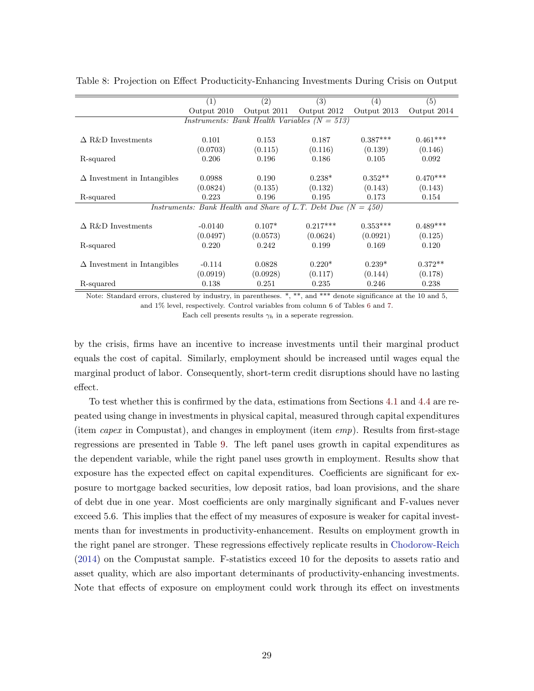|                                    | (1)         | $\left( 2\right)$ | (3)                                                             | (4)         | (5)         |
|------------------------------------|-------------|-------------------|-----------------------------------------------------------------|-------------|-------------|
|                                    | Output 2010 | Output 2011       | Output 2012                                                     | Output 2013 | Output 2014 |
|                                    |             |                   | Instruments: Bank Health Variables $(N = 513)$                  |             |             |
|                                    |             |                   |                                                                 |             |             |
| $\Delta$ R&D Investments           | 0.101       | 0.153             | 0.187                                                           | $0.387***$  | $0.461***$  |
|                                    | (0.0703)    | (0.115)           | (0.116)                                                         | (0.139)     | (0.146)     |
| R-squared                          | 0.206       | 0.196             | 0.186                                                           | 0.105       | 0.092       |
|                                    |             |                   |                                                                 |             |             |
| $\Delta$ Investment in Intangibles | 0.0988      | 0.190             | $0.238*$                                                        | $0.352**$   | $0.470***$  |
|                                    | (0.0824)    | (0.135)           | (0.132)                                                         | (0.143)     | (0.143)     |
| R-squared                          | 0.223       | 0.196             | 0.195                                                           | 0.173       | 0.154       |
|                                    |             |                   | Instruments: Bank Health and Share of L.T. Debt Due $(N = 450)$ |             |             |
|                                    |             |                   |                                                                 |             |             |
| $\Delta$ R&D Investments           | $-0.0140$   | $0.107*$          | $0.217***$                                                      | $0.353***$  | $0.489***$  |
|                                    | (0.0497)    | (0.0573)          | (0.0624)                                                        | (0.0921)    | (0.125)     |
| R-squared                          | 0.220       | 0.242             | 0.199                                                           | 0.169       | 0.120       |
|                                    |             |                   |                                                                 |             |             |
| $\Delta$ Investment in Intangibles | $-0.114$    | 0.0828            | $0.220*$                                                        | $0.239*$    | $0.372**$   |
|                                    | (0.0919)    | (0.0928)          | (0.117)                                                         | (0.144)     | (0.178)     |
| R-squared                          | 0.138       | 0.251             | 0.235                                                           | 0.246       | 0.238       |
|                                    |             |                   |                                                                 |             |             |

<span id="page-29-0"></span>Table 8: Projection on Effect Producticity-Enhancing Investments During Crisis on Output

Note: Standard errors, clustered by industry, in parentheses. \*, \*\*, and \*\*\* denote significance at the 10 and 5, and 1% level, respectively. Control variables from column 6 of Tables [6](#page-26-0) and [7.](#page-27-0)

Each cell presents results  $\gamma_h$  in a seperate regression.

by the crisis, firms have an incentive to increase investments until their marginal product equals the cost of capital. Similarly, employment should be increased until wages equal the marginal product of labor. Consequently, short-term credit disruptions should have no lasting effect.

To test whether this is confirmed by the data, estimations from Sections [4.1](#page-16-2) and [4.4](#page-28-0) are repeated using change in investments in physical capital, measured through capital expenditures (item capex in Compustat), and changes in employment (item emp). Results from first-stage regressions are presented in Table [9.](#page-30-0) The left panel uses growth in capital expenditures as the dependent variable, while the right panel uses growth in employment. Results show that exposure has the expected effect on capital expenditures. Coefficients are significant for exposure to mortgage backed securities, low deposit ratios, bad loan provisions, and the share of debt due in one year. Most coefficients are only marginally significant and F-values never exceed 5.6. This implies that the effect of my measures of exposure is weaker for capital investments than for investments in productivity-enhancement. Results on employment growth in the right panel are stronger. These regressions effectively replicate results in [Chodorow-Reich](#page-40-2) [\(2014\)](#page-40-2) on the Compustat sample. F-statistics exceed 10 for the deposits to assets ratio and asset quality, which are also important determinants of productivity-enhancing investments. Note that effects of exposure on employment could work through its effect on investments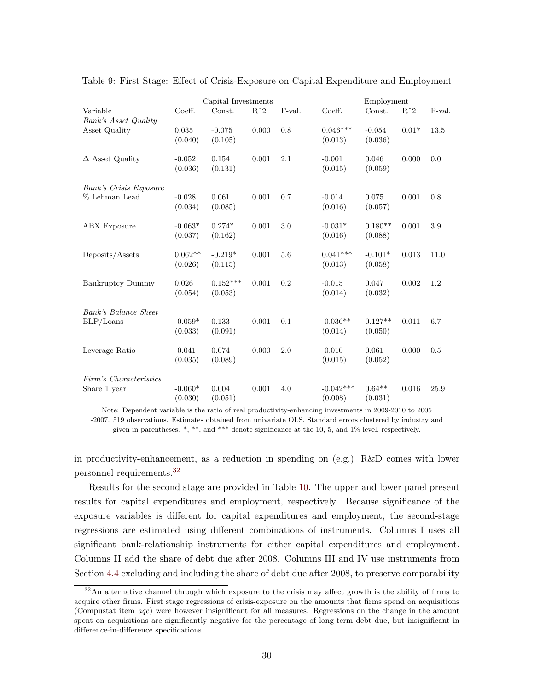|                             |           | Capital Investments |       |           |                            | Employment  |       |           |
|-----------------------------|-----------|---------------------|-------|-----------|----------------------------|-------------|-------|-----------|
| Variable                    | Coeff.    | Const.              | $R^2$ | $F$ -val. | $\overline{\text{Coeff.}}$ | Const.      | $R^2$ | $F$ -val. |
| <b>Bank's Asset Quality</b> |           |                     |       |           |                            |             |       |           |
| Asset Quality               | 0.035     | $-0.075$            | 0.000 | 0.8       | $0.046***$                 | $-0.054$    | 0.017 | 13.5      |
|                             | (0.040)   | (0.105)             |       |           | (0.013)                    | (0.036)     |       |           |
|                             |           |                     |       |           |                            |             |       |           |
| $\Delta$ Asset Quality      | $-0.052$  | 0.154               | 0.001 | 2.1       | $-0.001$                   | 0.046       | 0.000 | 0.0       |
|                             | (0.036)   | (0.131)             |       |           | (0.015)                    | (0.059)     |       |           |
|                             |           |                     |       |           |                            |             |       |           |
| Bank's Crisis Exposure      |           |                     |       |           |                            |             |       |           |
| % Lehman Lead               | $-0.028$  | 0.061               | 0.001 | 0.7       | $-0.014$                   | 0.075       | 0.001 | 0.8       |
|                             | (0.034)   | (0.085)             |       |           | (0.016)                    | (0.057)     |       |           |
|                             | $-0.063*$ |                     | 0.001 | 3.0       | $-0.031*$                  | $0.180**$   | 0.001 | 3.9       |
| <b>ABX</b> Exposure         |           | $0.274*$            |       |           |                            |             |       |           |
|                             | (0.037)   | (0.162)             |       |           | (0.016)                    | (0.088)     |       |           |
| Deposits/Assets             | $0.062**$ | $-0.219*$           | 0.001 | 5.6       | $0.041***$                 | $-0.101*$   | 0.013 | 11.0      |
|                             | (0.026)   | (0.115)             |       |           | (0.013)                    | (0.058)     |       |           |
|                             |           |                     |       |           |                            |             |       |           |
| <b>Bankruptcy Dummy</b>     | 0.026     | $0.152***$          | 0.001 | 0.2       | $-0.015$                   | 0.047       | 0.002 | 1.2       |
|                             | (0.054)   | (0.053)             |       |           | (0.014)                    | (0.032)     |       |           |
|                             |           |                     |       |           |                            |             |       |           |
| Bank's Balance Sheet        |           |                     |       |           |                            |             |       |           |
| BLP/Loans                   | $-0.059*$ | 0.133               | 0.001 | 0.1       | $-0.036**$                 | $0.127**$   | 0.011 | 6.7       |
|                             | (0.033)   | (0.091)             |       |           | (0.014)                    | (0.050)     |       |           |
|                             |           |                     |       |           |                            |             |       |           |
| Leverage Ratio              | $-0.041$  | 0.074               | 0.000 | 2.0       | $-0.010$                   | $\,0.061\,$ | 0.000 | 0.5       |
|                             | (0.035)   | (0.089)             |       |           | (0.015)                    | (0.052)     |       |           |
|                             |           |                     |       |           |                            |             |       |           |
| Firm's Characteristics      |           |                     |       |           |                            |             |       |           |
| Share 1 year                | $-0.060*$ | 0.004               | 0.001 | 4.0       | $-0.042***$                | $0.64**$    | 0.016 | 25.9      |
|                             | (0.030)   | (0.051)             |       |           | (0.008)                    | (0.031)     |       |           |

<span id="page-30-0"></span>Table 9: First Stage: Effect of Crisis-Exposure on Capital Expenditure and Employment

Note: Dependent variable is the ratio of real productivity-enhancing investments in 2009-2010 to 2005 -2007. 519 observations. Estimates obtained from univariate OLS. Standard errors clustered by industry and given in parentheses. \*, \*\*, and \*\*\* denote significance at the 10, 5, and 1% level, respectively.

in productivity-enhancement, as a reduction in spending on (e.g.) R&D comes with lower personnel requirements.[32](#page-0-0)

Results for the second stage are provided in Table [10.](#page-31-0) The upper and lower panel present results for capital expenditures and employment, respectively. Because significance of the exposure variables is different for capital expenditures and employment, the second-stage regressions are estimated using different combinations of instruments. Columns I uses all significant bank-relationship instruments for either capital expenditures and employment. Columns II add the share of debt due after 2008. Columns III and IV use instruments from Section [4.4](#page-28-0) excluding and including the share of debt due after 2008, to preserve comparability

 $32$ An alternative channel through which exposure to the crisis may affect growth is the ability of firms to acquire other firms. First stage regressions of crisis-exposure on the amounts that firms spend on acquisitions (Compustat item aqc) were however insignificant for all measures. Regressions on the change in the amount spent on acquisitions are significantly negative for the percentage of long-term debt due, but insignificant in difference-in-difference specifications.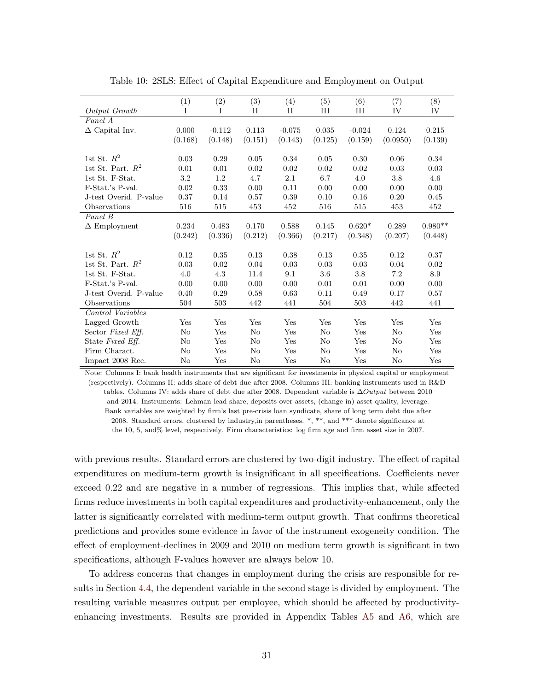|                        | (1)     | $\overline{(2)}$ | $\overline{(3)}$ | (4)      | $\overline{(5)}$ | $\overline{(6)}$ | $\overline{(7)}$ | (8)       |
|------------------------|---------|------------------|------------------|----------|------------------|------------------|------------------|-----------|
| Output Growth          | Ι       | Ι                | $_{\rm II}$      | П        | III              | Ш                | IV               | IV        |
| Panel A                |         |                  |                  |          |                  |                  |                  |           |
| $\Delta$ Capital Inv.  | 0.000   | $-0.112$         | 0.113            | $-0.075$ | 0.035            | $-0.024$         | 0.124            | 0.215     |
|                        | (0.168) | (0.148)          | (0.151)          | (0.143)  | (0.125)          | (0.159)          | (0.0950)         | (0.139)   |
|                        |         |                  |                  |          |                  |                  |                  |           |
| 1st St. $R^2$          | 0.03    | 0.29             | 0.05             | 0.34     | 0.05             | 0.30             | 0.06             | 0.34      |
| 1st St. Part. $R^2$    | 0.01    | 0.01             | 0.02             | 0.02     | 0.02             | 0.02             | 0.03             | 0.03      |
| 1st St. F-Stat.        | 3.2     | 1.2              | 4.7              | 2.1      | 6.7              | 4.0              | 3.8              | 4.6       |
| F-Stat.'s P-val.       | 0.02    | 0.33             | 0.00             | 0.11     | 0.00             | 0.00             | 0.00             | 0.00      |
| J-test Overid. P-value | 0.37    | 0.14             | 0.57             | 0.39     | 0.10             | 0.16             | 0.20             | 0.45      |
| Observations           | 516     | 515              | 453              | 452      | 516              | 515              | 453              | 452       |
| Panel B                |         |                  |                  |          |                  |                  |                  |           |
| $\Delta$ Employment    | 0.234   | 0.483            | 0.170            | 0.588    | 0.145            | $0.620*$         | 0.289            | $0.980**$ |
|                        | (0.242) | (0.336)          | (0.212)          | (0.366)  | (0.217)          | (0.348)          | (0.207)          | (0.448)   |
|                        |         |                  |                  |          |                  |                  |                  |           |
| 1st St. $R^2$          | 0.12    | 0.35             | 0.13             | 0.38     | 0.13             | 0.35             | 0.12             | 0.37      |
| 1st St. Part. $R^2$    | 0.03    | 0.02             | 0.04             | 0.03     | 0.03             | 0.03             | 0.04             | 0.02      |
| 1st St. F-Stat.        | 4.0     | $4.3\,$          | 11.4             | $9.1\,$  | 3.6              | $3.8\,$          | $7.2\,$          | 8.9       |
| F-Stat.'s P-val.       | 0.00    | 0.00             | 0.00             | 0.00     | 0.01             | 0.01             | 0.00             | 0.00      |
| J-test Overid. P-value | 0.40    | 0.29             | 0.58             | 0.63     | 0.11             | 0.49             | 0.17             | 0.57      |
| Observations           | 504     | 503              | 442              | 441      | 504              | 503              | 442              | 441       |
| Control Variables      |         |                  |                  |          |                  |                  |                  |           |
| Lagged Growth          | Yes     | Yes              | Yes              | Yes      | Yes              | Yes              | Yes              | Yes       |
| Sector Fixed Eff.      | No      | Yes              | No               | Yes      | No               | Yes              | N <sub>o</sub>   | Yes       |
| State Fixed Eff.       | No      | Yes              | No               | Yes      | No               | Yes              | No               | Yes       |
| Firm Charact.          | No      | Yes              | $\rm No$         | Yes      | No               | Yes              | No               | Yes       |
| Impact 2008 Rec.       | No      | Yes              | No               | Yes      | No               | Yes              | No               | Yes       |

<span id="page-31-0"></span>Table 10: 2SLS: Effect of Capital Expenditure and Employment on Output

Note: Columns I: bank health instruments that are significant for investments in physical capital or employment (respectively). Columns II: adds share of debt due after 2008. Columns III: banking instruments used in R&D tables. Columns IV: adds share of debt due after 2008. Dependent variable is ∆Output between 2010 and 2014. Instruments: Lehman lead share, deposits over assets, (change in) asset quality, leverage. Bank variables are weighted by firm's last pre-crisis loan syndicate, share of long term debt due after 2008. Standard errors, clustered by industry,in parentheses. \*, \*\*, and \*\*\* denote significance at the 10, 5, and% level, respectively. Firm characteristics: log firm age and firm asset size in 2007.

with previous results. Standard errors are clustered by two-digit industry. The effect of capital expenditures on medium-term growth is insignificant in all specifications. Coefficients never exceed 0.22 and are negative in a number of regressions. This implies that, while affected firms reduce investments in both capital expenditures and productivity-enhancement, only the latter is significantly correlated with medium-term output growth. That confirms theoretical predictions and provides some evidence in favor of the instrument exogeneity condition. The effect of employment-declines in 2009 and 2010 on medium term growth is significant in two specifications, although F-values however are always below 10.

To address concerns that changes in employment during the crisis are responsible for results in Section [4.4,](#page-28-0) the dependent variable in the second stage is divided by employment. The resulting variable measures output per employee, which should be affected by productivityenhancing investments. Results are provided in Appendix Tables [A5](#page-25-0) and [A6,](#page-26-0) which are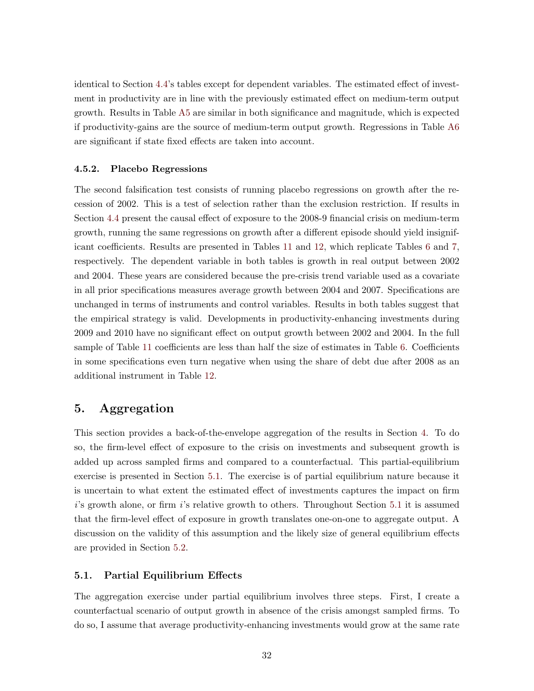identical to Section [4.4'](#page-28-0)s tables except for dependent variables. The estimated effect of investment in productivity are in line with the previously estimated effect on medium-term output growth. Results in Table [A5](#page-25-0) are similar in both significance and magnitude, which is expected if productivity-gains are the source of medium-term output growth. Regressions in Table [A6](#page-26-0) are significant if state fixed effects are taken into account.

#### 4.5.2. Placebo Regressions

The second falsification test consists of running placebo regressions on growth after the recession of 2002. This is a test of selection rather than the exclusion restriction. If results in Section [4.4](#page-28-0) present the causal effect of exposure to the 2008-9 financial crisis on medium-term growth, running the same regressions on growth after a different episode should yield insignificant coefficients. Results are presented in Tables [11](#page-33-0) and [12,](#page-34-0) which replicate Tables [6](#page-26-0) and [7,](#page-27-0) respectively. The dependent variable in both tables is growth in real output between 2002 and 2004. These years are considered because the pre-crisis trend variable used as a covariate in all prior specifications measures average growth between 2004 and 2007. Specifications are unchanged in terms of instruments and control variables. Results in both tables suggest that the empirical strategy is valid. Developments in productivity-enhancing investments during 2009 and 2010 have no significant effect on output growth between 2002 and 2004. In the full sample of Table [11](#page-33-0) coefficients are less than half the size of estimates in Table [6.](#page-26-0) Coefficients in some specifications even turn negative when using the share of debt due after 2008 as an additional instrument in Table [12.](#page-34-0)

### <span id="page-32-0"></span>5. Aggregation

This section provides a back-of-the-envelope aggregation of the results in Section [4.](#page-16-0) To do so, the firm-level effect of exposure to the crisis on investments and subsequent growth is added up across sampled firms and compared to a counterfactual. This partial-equilibrium exercise is presented in Section [5.1.](#page-32-1) The exercise is of partial equilibrium nature because it is uncertain to what extent the estimated effect of investments captures the impact on firm  $i$ 's growth alone, or firm  $i$ 's relative growth to others. Throughout Section [5.1](#page-32-1) it is assumed that the firm-level effect of exposure in growth translates one-on-one to aggregate output. A discussion on the validity of this assumption and the likely size of general equilibrium effects are provided in Section [5.2.](#page-35-0)

#### <span id="page-32-1"></span>5.1. Partial Equilibrium Effects

The aggregation exercise under partial equilibrium involves three steps. First, I create a counterfactual scenario of output growth in absence of the crisis amongst sampled firms. To do so, I assume that average productivity-enhancing investments would grow at the same rate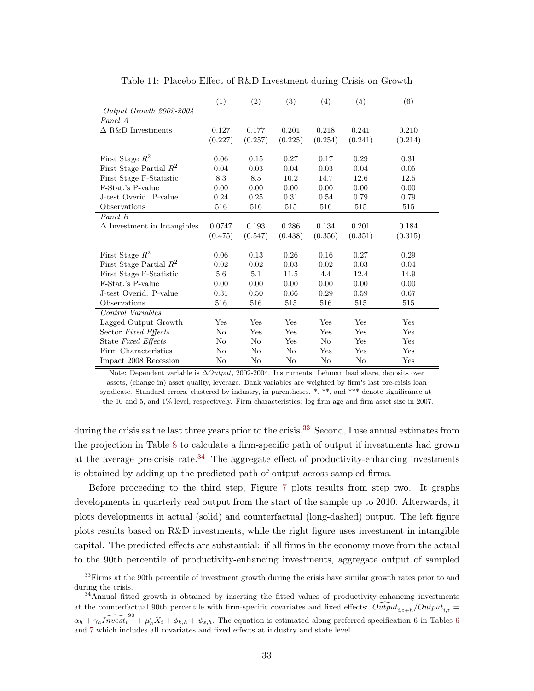|                                    | (1)     | $\overline{(2)}$ | $\overline{(3)}$ | (4)            | $\overline{(5)}$ | (6)     |
|------------------------------------|---------|------------------|------------------|----------------|------------------|---------|
| Output Growth 2002-2004            |         |                  |                  |                |                  |         |
| Panel A                            |         |                  |                  |                |                  |         |
| $\Delta$ R&D Investments           | 0.127   | 0.177            | 0.201            | 0.218          | 0.241            | 0.210   |
|                                    | (0.227) | (0.257)          | (0.225)          | (0.254)        | (0.241)          | (0.214) |
|                                    |         |                  |                  |                |                  |         |
| First Stage $R^2$                  | 0.06    | 0.15             | 0.27             | 0.17           | 0.29             | 0.31    |
| First Stage Partial $R^2$          | 0.04    | 0.03             | 0.04             | 0.03           | 0.04             | 0.05    |
| First Stage F-Statistic            | 8.3     | 8.5              | 10.2             | 14.7           | 12.6             | 12.5    |
| F-Stat.'s P-value                  | 0.00    | 0.00             | 0.00             | 0.00           | 0.00             | 0.00    |
| J-test Overid. P-value             | 0.24    | 0.25             | 0.31             | 0.54           | 0.79             | 0.79    |
| Observations                       | 516     | 516              | 515              | 516            | 515              | 515     |
| Panel B                            |         |                  |                  |                |                  |         |
| $\Delta$ Investment in Intangibles | 0.0747  | 0.193            | 0.286            | 0.134          | 0.201            | 0.184   |
|                                    | (0.475) | (0.547)          | (0.438)          | (0.356)        | (0.351)          | (0.315) |
|                                    |         |                  |                  |                |                  |         |
| First Stage $R^2$                  | 0.06    | 0.13             | 0.26             | 0.16           | 0.27             | 0.29    |
| First Stage Partial $R^2$          | 0.02    | 0.02             | 0.03             | 0.02           | 0.03             | 0.04    |
| First Stage F-Statistic            | 5.6     | 5.1              | 11.5             | 4.4            | 12.4             | 14.9    |
| F-Stat.'s P-value                  | 0.00    | 0.00             | 0.00             | 0.00           | 0.00             | 0.00    |
| J-test Overid. P-value             | 0.31    | 0.50             | 0.66             | 0.29           | 0.59             | 0.67    |
| Observations                       | 516     | 516              | 515              | 516            | 515              | 515     |
| Control Variables                  |         |                  |                  |                |                  |         |
| Lagged Output Growth               | Yes     | Yes              | Yes              | Yes            | Yes              | Yes     |
| Sector Fixed Effects               | No      | Yes              | Yes              | Yes            | Yes              | Yes     |
| State Fixed Effects                | No      | No               | Yes              | N <sub>o</sub> | Yes              | Yes     |
| Firm Characteristics               | No      | No               | N <sub>o</sub>   | Yes            | Yes              | Yes     |
| Impact 2008 Recession              | No      | No               | No               | No             | No               | Yes     |

<span id="page-33-0"></span>Table 11: Placebo Effect of R&D Investment during Crisis on Growth

Note: Dependent variable is ∆Output, 2002-2004. Instruments: Lehman lead share, deposits over assets, (change in) asset quality, leverage. Bank variables are weighted by firm's last pre-crisis loan syndicate. Standard errors, clustered by industry, in parentheses. \*, \*\*, and \*\*\* denote significance at the 10 and 5, and 1% level, respectively. Firm characteristics: log firm age and firm asset size in 2007.

during the crisis as the last three years prior to the crisis.<sup>[33](#page-0-0)</sup> Second, I use annual estimates from the projection in Table [8](#page-29-0) to calculate a firm-specific path of output if investments had grown at the average pre-crisis rate. $34$  The aggregate effect of productivity-enhancing investments is obtained by adding up the predicted path of output across sampled firms.

Before proceeding to the third step, Figure [7](#page-34-1) plots results from step two. It graphs developments in quarterly real output from the start of the sample up to 2010. Afterwards, it plots developments in actual (solid) and counterfactual (long-dashed) output. The left figure plots results based on R&D investments, while the right figure uses investment in intangible capital. The predicted effects are substantial: if all firms in the economy move from the actual to the 90th percentile of productivity-enhancing investments, aggregate output of sampled

<sup>&</sup>lt;sup>33</sup>Firms at the 90th percentile of investment growth during the crisis have similar growth rates prior to and during the crisis.

 $34$ Annual fitted growth is obtained by inserting the fitted values of productivity-enhancing investments at the counterfactual 90th percentile with firm-specific covariates and fixed effects:  $\widehat{Output}_{i,t+h}/Output_{i,t} =$  $\alpha_h + \gamma_h \widehat{Invest}_i^{\,90} + \mu'_h X_i + \phi_{k,h} + \psi_{s,h}.$  The equation is estimated along preferred specification [6](#page-26-0) in Tables 6 and [7](#page-27-0) which includes all covariates and fixed effects at industry and state level.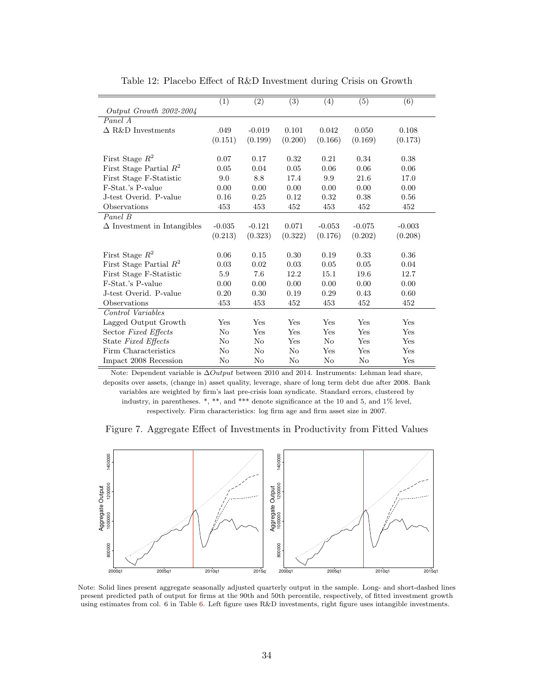|                                    |          | $\overline{(2)}$ | $\overline{(3)}$ |          | $\overline{(5)}$ | $\overline{(6)}$ |
|------------------------------------|----------|------------------|------------------|----------|------------------|------------------|
|                                    | (1)      |                  |                  | (4)      |                  |                  |
| Output Growth 2002-2004<br>Panel A |          |                  |                  |          |                  |                  |
| $\Delta$ R&D Investments           | .049     | $-0.019$         | 0.101            | 0.042    | 0.050            | 0.108            |
|                                    |          |                  |                  |          |                  |                  |
|                                    | (0.151)  | (0.199)          | (0.200)          | (0.166)  | (0.169)          | (0.173)          |
| First Stage $R^2$                  | 0.07     | 0.17             | 0.32             | 0.21     | 0.34             | 0.38             |
| First Stage Partial $R^2$          | 0.05     | 0.04             | 0.05             | 0.06     | 0.06             | 0.06             |
| First Stage F-Statistic            | 9.0      | 8.8              | 17.4             | 9.9      | 21.6             | 17.0             |
| F-Stat.'s P-value                  | 0.00     | 0.00             | 0.00             | 0.00     | 0.00             | 0.00             |
| J-test Overid. P-value             | 0.16     | 0.25             | 0.12             | 0.32     | 0.38             | 0.56             |
| Observations                       | 453      | 453              | 452              | 453      | 452              | 452              |
| Panel B                            |          |                  |                  |          |                  |                  |
| $\Delta$ Investment in Intangibles | $-0.035$ | $-0.121$         | 0.071            | $-0.053$ | $-0.075$         | $-0.003$         |
|                                    | (0.213)  | (0.323)          | (0.322)          | (0.176)  | (0.202)          | (0.208)          |
|                                    |          |                  |                  |          |                  |                  |
| First Stage $R^2$                  | 0.06     | 0.15             | 0.30             | 0.19     | 0.33             | 0.36             |
| First Stage Partial $R^2$          | 0.03     | 0.02             | 0.03             | 0.05     | 0.05             | 0.04             |
| First Stage F-Statistic            | 5.9      | 7.6              | 12.2             | 15.1     | 19.6             | 12.7             |
| F-Stat.'s P-value                  | 0.00     | 0.00             | 0.00             | 0.00     | 0.00             | 0.00             |
| J-test Overid. P-value             | 0.20     | 0.30             | 0.19             | 0.29     | 0.43             | 0.60             |
| Observations                       | 453      | 453              | 452              | 453      | 452              | 452              |
| Control Variables                  |          |                  |                  |          |                  |                  |
| Lagged Output Growth               | Yes      | Yes              | Yes              | Yes      | Yes              | Yes              |
| Sector Fixed Effects               | No       | Yes              | Yes              | Yes      | Yes              | Yes              |
| State Fixed Effects                | No       | No               | Yes              | No       | Yes              | Yes              |
| Firm Characteristics               | No       | No               | No               | Yes      | Yes              | Yes              |
| Impact 2008 Recession              | No       | No               | No               | No       | No               | Yes              |

<span id="page-34-0"></span>Table 12: Placebo Effect of R&D Investment during Crisis on Growth

Note: Dependent variable is  $ΔOutput$  between 2010 and 2014. Instruments: Lehman lead share, deposits over assets, (change in) asset quality, leverage, share of long term debt due after 2008. Bank variables are weighted by firm's last pre-crisis loan syndicate. Standard errors, clustered by industry, in parentheses. \*, \*\*, and \*\*\* denote significance at the 10 and 5, and 1% level, respectively. Firm characteristics: log firm age and firm asset size in 2007.



<span id="page-34-1"></span>Figure 7. Aggregate Effect of Investments in Productivity from Fitted Values

Note: Solid lines present aggregate seasonally adjusted quarterly output in the sample. Long- and short-dashed lines present predicted path of output for firms at the 90th and 50th percentile, respectively, of fitted investment growth using estimates from col. 6 in Table [6.](#page-26-0) Left figure uses R&D investments, right figure uses intangible investments.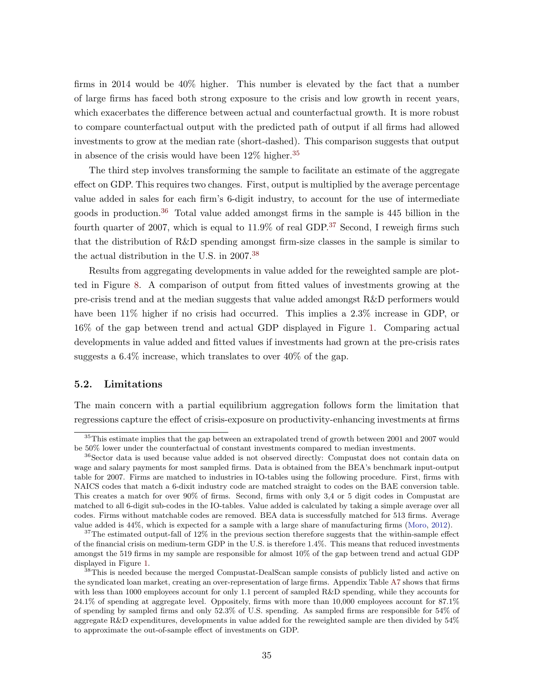firms in 2014 would be 40% higher. This number is elevated by the fact that a number of large firms has faced both strong exposure to the crisis and low growth in recent years, which exacerbates the difference between actual and counterfactual growth. It is more robust to compare counterfactual output with the predicted path of output if all firms had allowed investments to grow at the median rate (short-dashed). This comparison suggests that output in absence of the crisis would have been  $12\%$  higher.<sup>[35](#page-0-0)</sup>

The third step involves transforming the sample to facilitate an estimate of the aggregate effect on GDP. This requires two changes. First, output is multiplied by the average percentage value added in sales for each firm's 6-digit industry, to account for the use of intermediate goods in production.[36](#page-0-0) Total value added amongst firms in the sample is 445 billion in the fourth quarter of 2007, which is equal to  $11.9\%$  of real GDP.<sup>[37](#page-0-0)</sup> Second, I reweigh firms such that the distribution of R&D spending amongst firm-size classes in the sample is similar to the actual distribution in the U.S. in 2007.[38](#page-0-0)

Results from aggregating developments in value added for the reweighted sample are plotted in Figure [8.](#page-36-0) A comparison of output from fitted values of investments growing at the pre-crisis trend and at the median suggests that value added amongst R&D performers would have been  $11\%$  higher if no crisis had occurred. This implies a 2.3% increase in GDP, or 16% of the gap between trend and actual GDP displayed in Figure [1.](#page-2-0) Comparing actual developments in value added and fitted values if investments had grown at the pre-crisis rates suggests a 6.4% increase, which translates to over 40% of the gap.

#### <span id="page-35-0"></span>5.2. Limitations

The main concern with a partial equilibrium aggregation follows form the limitation that regressions capture the effect of crisis-exposure on productivity-enhancing investments at firms

<sup>&</sup>lt;sup>35</sup>This estimate implies that the gap between an extrapolated trend of growth between 2001 and 2007 would be 50% lower under the counterfactual of constant investments compared to median investments.

<sup>&</sup>lt;sup>36</sup>Sector data is used because value added is not observed directly: Compustat does not contain data on wage and salary payments for most sampled firms. Data is obtained from the BEA's benchmark input-output table for 2007. Firms are matched to industries in IO-tables using the following procedure. First, firms with NAICS codes that match a 6-dixit industry code are matched straight to codes on the BAE conversion table. This creates a match for over 90% of firms. Second, firms with only 3,4 or 5 digit codes in Compustat are matched to all 6-digit sub-codes in the IO-tables. Value added is calculated by taking a simple average over all codes. Firms without matchable codes are removed. BEA data is successfully matched for 513 firms. Average value added is 44%, which is expected for a sample with a large share of manufacturing firms [\(Moro,](#page-43-12) [2012\)](#page-43-12).

 $37$ The estimated output-fall of 12% in the previous section therefore suggests that the within-sample effect of the financial crisis on medium-term GDP in the U.S. is therefore 1.4%. This means that reduced investments amongst the 519 firms in my sample are responsible for almost 10% of the gap between trend and actual GDP displayed in Figure [1.](#page-2-0)

<sup>&</sup>lt;sup>38</sup>This is needed because the merged Compustat-DealScan sample consists of publicly listed and active on the syndicated loan market, creating an over-representation of large firms. Appendix Table [A7](#page-27-0) shows that firms with less than 1000 employees account for only 1.1 percent of sampled R&D spending, while they accounts for 24.1% of spending at aggregate level. Oppositely, firms with more than 10,000 employees account for 87.1% of spending by sampled firms and only 52.3% of U.S. spending. As sampled firms are responsible for 54% of aggregate R&D expenditures, developments in value added for the reweighted sample are then divided by 54% to approximate the out-of-sample effect of investments on GDP.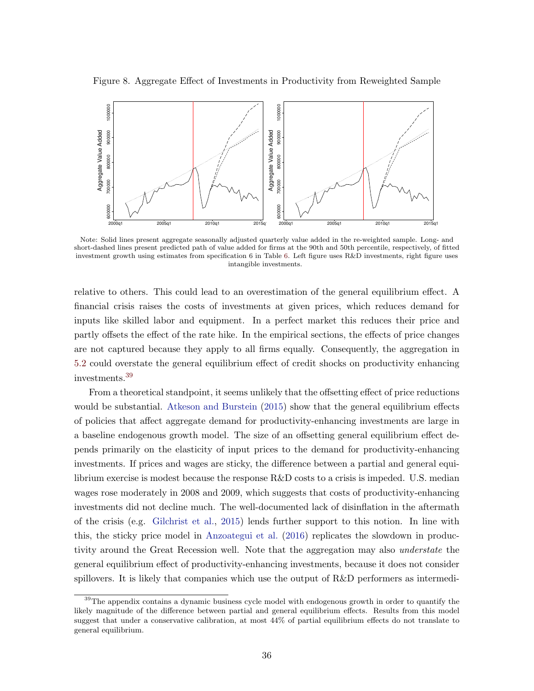<span id="page-36-0"></span>Figure 8. Aggregate Effect of Investments in Productivity from Reweighted Sample



Note: Solid lines present aggregate seasonally adjusted quarterly value added in the re-weighted sample. Long- and short-dashed lines present predicted path of value added for firms at the 90th and 50th percentile, respectively, of fitted investment growth using estimates from specification 6 in Table [6.](#page-26-0) Left figure uses R&D investments, right figure uses intangible investments.

relative to others. This could lead to an overestimation of the general equilibrium effect. A financial crisis raises the costs of investments at given prices, which reduces demand for inputs like skilled labor and equipment. In a perfect market this reduces their price and partly offsets the effect of the rate hike. In the empirical sections, the effects of price changes are not captured because they apply to all firms equally. Consequently, the aggregation in [5.2](#page-35-0) could overstate the general equilibrium effect of credit shocks on productivity enhancing investments.[39](#page-0-0)

From a theoretical standpoint, it seems unlikely that the offsetting effect of price reductions would be substantial. [Atkeson and Burstein](#page-39-12) [\(2015\)](#page-39-12) show that the general equilibrium effects of policies that affect aggregate demand for productivity-enhancing investments are large in a baseline endogenous growth model. The size of an offsetting general equilibrium effect depends primarily on the elasticity of input prices to the demand for productivity-enhancing investments. If prices and wages are sticky, the difference between a partial and general equilibrium exercise is modest because the response R&D costs to a crisis is impeded. U.S. median wages rose moderately in 2008 and 2009, which suggests that costs of productivity-enhancing investments did not decline much. The well-documented lack of disinflation in the aftermath of the crisis (e.g. [Gilchrist et al.,](#page-42-13) [2015\)](#page-42-13) lends further support to this notion. In line with this, the sticky price model in [Anzoategui et al.](#page-39-5) [\(2016\)](#page-39-5) replicates the slowdown in productivity around the Great Recession well. Note that the aggregation may also understate the general equilibrium effect of productivity-enhancing investments, because it does not consider spillovers. It is likely that companies which use the output of R&D performers as intermedi-

<sup>&</sup>lt;sup>39</sup>The appendix contains a dynamic business cycle model with endogenous growth in order to quantify the likely magnitude of the difference between partial and general equilibrium effects. Results from this model suggest that under a conservative calibration, at most 44% of partial equilibrium effects do not translate to general equilibrium.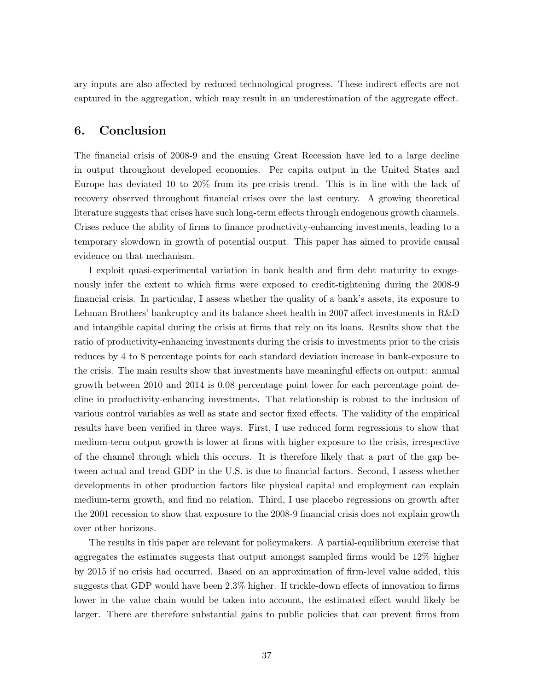ary inputs are also affected by reduced technological progress. These indirect effects are not captured in the aggregation, which may result in an underestimation of the aggregate effect.

## <span id="page-37-0"></span>6. Conclusion

The financial crisis of 2008-9 and the ensuing Great Recession have led to a large decline in output throughout developed economies. Per capita output in the United States and Europe has deviated 10 to 20% from its pre-crisis trend. This is in line with the lack of recovery observed throughout financial crises over the last century. A growing theoretical literature suggests that crises have such long-term effects through endogenous growth channels. Crises reduce the ability of firms to finance productivity-enhancing investments, leading to a temporary slowdown in growth of potential output. This paper has aimed to provide causal evidence on that mechanism.

I exploit quasi-experimental variation in bank health and firm debt maturity to exogenously infer the extent to which firms were exposed to credit-tightening during the 2008-9 financial crisis. In particular, I assess whether the quality of a bank's assets, its exposure to Lehman Brothers' bankruptcy and its balance sheet health in 2007 affect investments in R&D and intangible capital during the crisis at firms that rely on its loans. Results show that the ratio of productivity-enhancing investments during the crisis to investments prior to the crisis reduces by 4 to 8 percentage points for each standard deviation increase in bank-exposure to the crisis. The main results show that investments have meaningful effects on output: annual growth between 2010 and 2014 is 0.08 percentage point lower for each percentage point decline in productivity-enhancing investments. That relationship is robust to the inclusion of various control variables as well as state and sector fixed effects. The validity of the empirical results have been verified in three ways. First, I use reduced form regressions to show that medium-term output growth is lower at firms with higher exposure to the crisis, irrespective of the channel through which this occurs. It is therefore likely that a part of the gap between actual and trend GDP in the U.S. is due to financial factors. Second, I assess whether developments in other production factors like physical capital and employment can explain medium-term growth, and find no relation. Third, I use placebo regressions on growth after the 2001 recession to show that exposure to the 2008-9 financial crisis does not explain growth over other horizons.

The results in this paper are relevant for policymakers. A partial-equilibrium exercise that aggregates the estimates suggests that output amongst sampled firms would be 12% higher by 2015 if no crisis had occurred. Based on an approximation of firm-level value added, this suggests that GDP would have been 2.3% higher. If trickle-down effects of innovation to firms lower in the value chain would be taken into account, the estimated effect would likely be larger. There are therefore substantial gains to public policies that can prevent firms from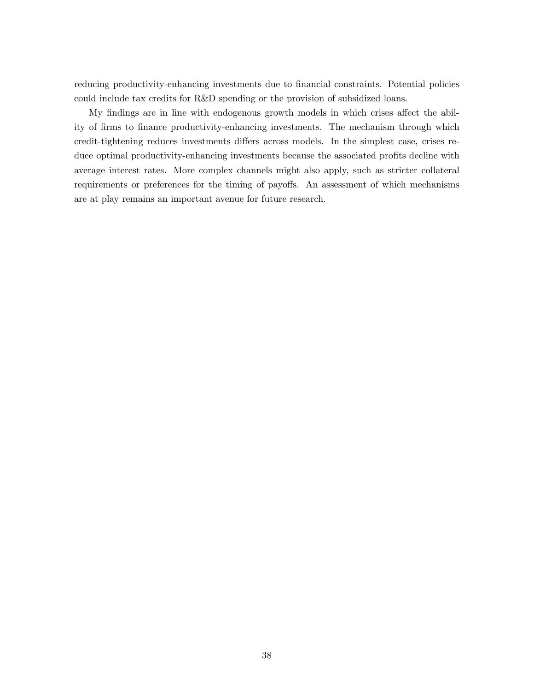reducing productivity-enhancing investments due to financial constraints. Potential policies could include tax credits for R&D spending or the provision of subsidized loans.

My findings are in line with endogenous growth models in which crises affect the ability of firms to finance productivity-enhancing investments. The mechanism through which credit-tightening reduces investments differs across models. In the simplest case, crises reduce optimal productivity-enhancing investments because the associated profits decline with average interest rates. More complex channels might also apply, such as stricter collateral requirements or preferences for the timing of payoffs. An assessment of which mechanisms are at play remains an important avenue for future research.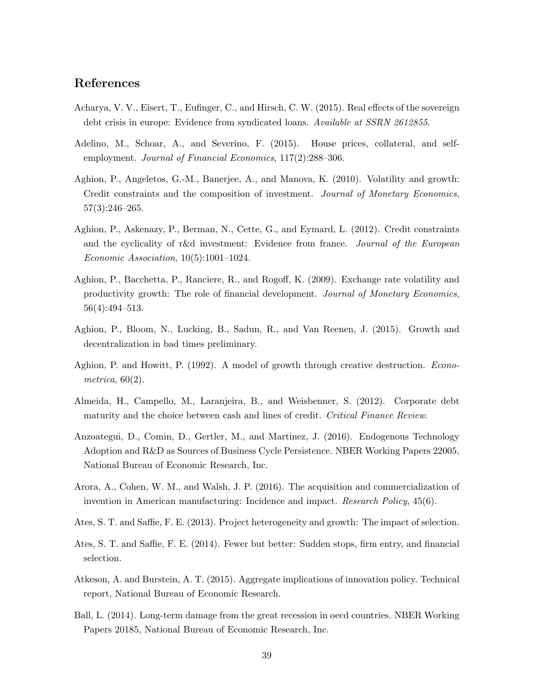## References

- <span id="page-39-7"></span>Acharya, V. V., Eisert, T., Eufinger, C., and Hirsch, C. W. (2015). Real effects of the sovereign debt crisis in europe: Evidence from syndicated loans. Available at SSRN 2612855.
- <span id="page-39-9"></span>Adelino, M., Schoar, A., and Severino, F. (2015). House prices, collateral, and selfemployment. Journal of Financial Economics, 117(2):288-306.
- <span id="page-39-2"></span>Aghion, P., Angeletos, G.-M., Banerjee, A., and Manova, K. (2010). Volatility and growth: Credit constraints and the composition of investment. Journal of Monetary Economics, 57(3):246–265.
- <span id="page-39-6"></span>Aghion, P., Askenazy, P., Berman, N., Cette, G., and Eymard, L. (2012). Credit constraints and the cyclicality of r&d investment: Evidence from france. Journal of the European Economic Association, 10(5):1001–1024.
- <span id="page-39-13"></span>Aghion, P., Bacchetta, P., Ranciere, R., and Rogoff, K. (2009). Exchange rate volatility and productivity growth: The role of financial development. Journal of Monetary Economics, 56(4):494–513.
- <span id="page-39-10"></span>Aghion, P., Bloom, N., Lucking, B., Sadun, R., and Van Reenen, J. (2015). Growth and decentralization in bad times preliminary.
- <span id="page-39-1"></span>Aghion, P. and Howitt, P. (1992). A model of growth through creative destruction. Econometrica,  $60(2)$ .
- <span id="page-39-8"></span>Almeida, H., Campello, M., Laranjeira, B., and Weisbenner, S. (2012). Corporate debt maturity and the choice between cash and lines of credit. Critical Finance Review.
- <span id="page-39-5"></span>Anzoategui, D., Comin, D., Gertler, M., and Martinez, J. (2016). Endogenous Technology Adoption and R&D as Sources of Business Cycle Persistence. NBER Working Papers 22005, National Bureau of Economic Research, Inc.
- <span id="page-39-11"></span>Arora, A., Cohen, W. M., and Walsh, J. P. (2016). The acquisition and commercialization of invention in American manufacturing: Incidence and impact. *Research Policy*, 45(6).
- <span id="page-39-3"></span>Ates, S. T. and Saffie, F. E. (2013). Project heterogeneity and growth: The impact of selection.
- <span id="page-39-4"></span>Ates, S. T. and Saffie, F. E. (2014). Fewer but better: Sudden stops, firm entry, and financial selection.
- <span id="page-39-12"></span>Atkeson, A. and Burstein, A. T. (2015). Aggregate implications of innovation policy. Technical report, National Bureau of Economic Research.
- <span id="page-39-0"></span>Ball, L. (2014). Long-term damage from the great recession in oecd countries. NBER Working Papers 20185, National Bureau of Economic Research, Inc.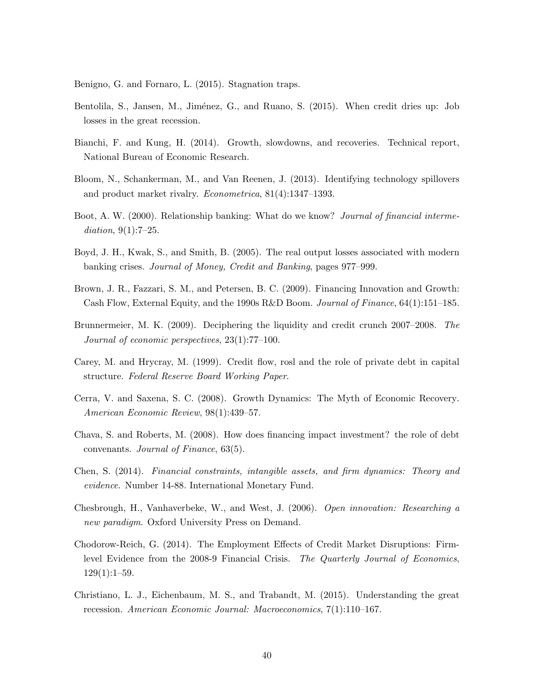<span id="page-40-4"></span>Benigno, G. and Fornaro, L. (2015). Stagnation traps.

- <span id="page-40-7"></span>Bentolila, S., Jansen, M., Jiménez, G., and Ruano, S. (2015). When credit dries up: Job losses in the great recession.
- <span id="page-40-5"></span>Bianchi, F. and Kung, H. (2014). Growth, slowdowns, and recoveries. Technical report, National Bureau of Economic Research.
- <span id="page-40-8"></span>Bloom, N., Schankerman, M., and Van Reenen, J. (2013). Identifying technology spillovers and product market rivalry. Econometrica, 81(4):1347–1393.
- <span id="page-40-13"></span>Boot, A. W. (2000). Relationship banking: What do we know? Journal of financial intermediation,  $9(1)$ :7-25.
- <span id="page-40-0"></span>Boyd, J. H., Kwak, S., and Smith, B. (2005). The real output losses associated with modern banking crises. Journal of Money, Credit and Banking, pages 977–999.
- <span id="page-40-6"></span>Brown, J. R., Fazzari, S. M., and Petersen, B. C. (2009). Financing Innovation and Growth: Cash Flow, External Equity, and the 1990s R&D Boom. Journal of Finance, 64(1):151–185.
- <span id="page-40-14"></span>Brunnermeier, M. K. (2009). Deciphering the liquidity and credit crunch 2007–2008. The Journal of economic perspectives, 23(1):77–100.
- <span id="page-40-9"></span>Carey, M. and Hrycray, M. (1999). Credit flow, rosl and the role of private debt in capital structure. Federal Reserve Board Working Paper.
- <span id="page-40-1"></span>Cerra, V. and Saxena, S. C. (2008). Growth Dynamics: The Myth of Economic Recovery. American Economic Review, 98(1):439–57.
- <span id="page-40-10"></span>Chava, S. and Roberts, M. (2008). How does financing impact investment? the role of debt convenants. Journal of Finance, 63(5).
- <span id="page-40-12"></span>Chen, S. (2014). Financial constraints, intangible assets, and firm dynamics: Theory and evidence. Number 14-88. International Monetary Fund.
- <span id="page-40-11"></span>Chesbrough, H., Vanhaverbeke, W., and West, J. (2006). Open innovation: Researching a new paradigm. Oxford University Press on Demand.
- <span id="page-40-2"></span>Chodorow-Reich, G. (2014). The Employment Effects of Credit Market Disruptions: Firmlevel Evidence from the 2008-9 Financial Crisis. The Quarterly Journal of Economics,  $129(1):1-59.$
- <span id="page-40-3"></span>Christiano, L. J., Eichenbaum, M. S., and Trabandt, M. (2015). Understanding the great recession. American Economic Journal: Macroeconomics, 7(1):110–167.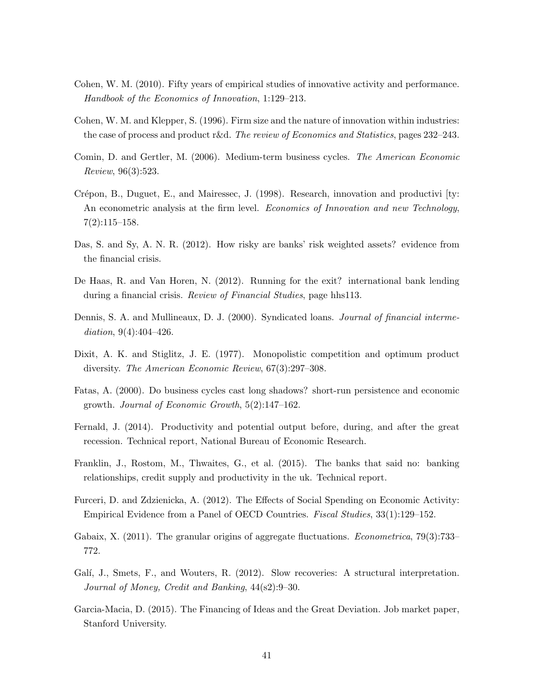- <span id="page-41-7"></span>Cohen, W. M. (2010). Fifty years of empirical studies of innovative activity and performance. Handbook of the Economics of Innovation, 1:129–213.
- <span id="page-41-13"></span>Cohen, W. M. and Klepper, S. (1996). Firm size and the nature of innovation within industries: the case of process and product r&d. The review of Economics and Statistics, pages 232–243.
- <span id="page-41-4"></span>Comin, D. and Gertler, M. (2006). Medium-term business cycles. The American Economic Review, 96(3):523.
- <span id="page-41-14"></span>Crépon, B., Duguet, E., and Mairessec, J. (1998). Research, innovation and productivi [ty: An econometric analysis at the firm level. *Economics of Innovation and new Technology*,  $7(2):115-158.$
- <span id="page-41-11"></span>Das, S. and Sy, A. N. R. (2012). How risky are banks' risk weighted assets? evidence from the financial crisis.
- <span id="page-41-10"></span>De Haas, R. and Van Horen, N. (2012). Running for the exit? international bank lending during a financial crisis. *Review of Financial Studies*, page hhs113.
- <span id="page-41-9"></span>Dennis, S. A. and Mullineaux, D. J. (2000). Syndicated loans. Journal of financial intermediation, 9(4):404-426.
- <span id="page-41-12"></span>Dixit, A. K. and Stiglitz, J. E. (1977). Monopolistic competition and optimum product diversity. The American Economic Review, 67(3):297–308.
- <span id="page-41-3"></span>Fatas, A. (2000). Do business cycles cast long shadows? short-run persistence and economic growth. Journal of Economic Growth, 5(2):147–162.
- <span id="page-41-1"></span>Fernald, J. (2014). Productivity and potential output before, during, and after the great recession. Technical report, National Bureau of Economic Research.
- <span id="page-41-5"></span>Franklin, J., Rostom, M., Thwaites, G., et al. (2015). The banks that said no: banking relationships, credit supply and productivity in the uk. Technical report.
- <span id="page-41-0"></span>Furceri, D. and Zdzienicka, A. (2012). The Effects of Social Spending on Economic Activity: Empirical Evidence from a Panel of OECD Countries. Fiscal Studies, 33(1):129–152.
- <span id="page-41-8"></span>Gabaix, X. (2011). The granular origins of aggregate fluctuations. *Econometrica*, 79(3):733– 772.
- <span id="page-41-6"></span>Galí, J., Smets, F., and Wouters, R. (2012). Slow recoveries: A structural interpretation. Journal of Money, Credit and Banking, 44(s2):9–30.
- <span id="page-41-2"></span>Garcia-Macia, D. (2015). The Financing of Ideas and the Great Deviation. Job market paper, Stanford University.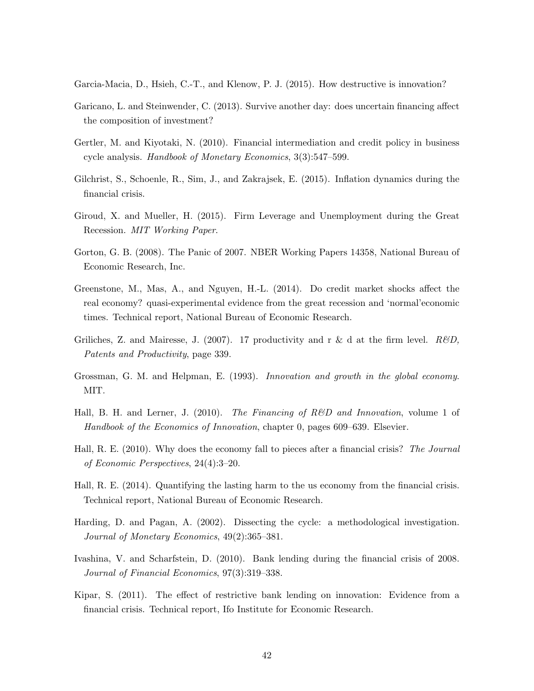<span id="page-42-6"></span>Garcia-Macia, D., Hsieh, C.-T., and Klenow, P. J. (2015). How destructive is innovation?

- <span id="page-42-8"></span>Garicano, L. and Steinwender, C. (2013). Survive another day: does uncertain financing affect the composition of investment?
- <span id="page-42-5"></span>Gertler, M. and Kiyotaki, N. (2010). Financial intermediation and credit policy in business cycle analysis. Handbook of Monetary Economics, 3(3):547–599.
- <span id="page-42-13"></span>Gilchrist, S., Schoenle, R., Sim, J., and Zakrajsek, E. (2015). Inflation dynamics during the financial crisis.
- <span id="page-42-9"></span>Giroud, X. and Mueller, H. (2015). Firm Leverage and Unemployment during the Great Recession. MIT Working Paper.
- <span id="page-42-3"></span>Gorton, G. B. (2008). The Panic of 2007. NBER Working Papers 14358, National Bureau of Economic Research, Inc.
- <span id="page-42-10"></span>Greenstone, M., Mas, A., and Nguyen, H.-L. (2014). Do credit market shocks affect the real economy? quasi-experimental evidence from the great recession and 'normal'economic times. Technical report, National Bureau of Economic Research.
- <span id="page-42-14"></span>Griliches, Z. and Mairesse, J. (2007). 17 productivity and r & d at the firm level.  $R\&D$ , Patents and Productivity, page 339.
- <span id="page-42-4"></span>Grossman, G. M. and Helpman, E. (1993). Innovation and growth in the global economy. MIT.
- <span id="page-42-0"></span>Hall, B. H. and Lerner, J. (2010). The Financing of  $R\&D$  and Innovation, volume 1 of Handbook of the Economics of Innovation, chapter 0, pages 609–639. Elsevier.
- <span id="page-42-11"></span>Hall, R. E. (2010). Why does the economy fall to pieces after a financial crisis? The Journal of Economic Perspectives, 24(4):3–20.
- <span id="page-42-1"></span>Hall, R. E. (2014). Quantifying the lasting harm to the us economy from the financial crisis. Technical report, National Bureau of Economic Research.
- <span id="page-42-12"></span>Harding, D. and Pagan, A. (2002). Dissecting the cycle: a methodological investigation. Journal of Monetary Economics, 49(2):365–381.
- <span id="page-42-2"></span>Ivashina, V. and Scharfstein, D. (2010). Bank lending during the financial crisis of 2008. Journal of Financial Economics, 97(3):319–338.
- <span id="page-42-7"></span>Kipar, S. (2011). The effect of restrictive bank lending on innovation: Evidence from a financial crisis. Technical report, Ifo Institute for Economic Research.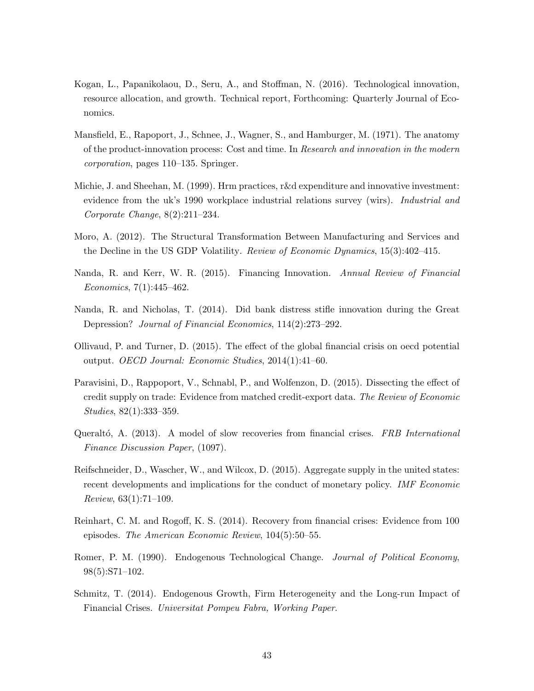- <span id="page-43-9"></span>Kogan, L., Papanikolaou, D., Seru, A., and Stoffman, N. (2016). Technological innovation, resource allocation, and growth. Technical report, Forthcoming: Quarterly Journal of Economics.
- <span id="page-43-11"></span>Mansfield, E., Rapoport, J., Schnee, J., Wagner, S., and Hamburger, M. (1971). The anatomy of the product-innovation process: Cost and time. In Research and innovation in the modern corporation, pages 110–135. Springer.
- <span id="page-43-10"></span>Michie, J. and Sheehan, M. (1999). Hrm practices, r&d expenditure and innovative investment: evidence from the uk's 1990 workplace industrial relations survey (wirs). *Industrial and* Corporate Change, 8(2):211–234.
- <span id="page-43-12"></span>Moro, A. (2012). The Structural Transformation Between Manufacturing and Services and the Decline in the US GDP Volatility. Review of Economic Dynamics, 15(3):402–415.
- <span id="page-43-7"></span>Nanda, R. and Kerr, W. R. (2015). Financing Innovation. Annual Review of Financial Economics, 7(1):445–462.
- <span id="page-43-6"></span>Nanda, R. and Nicholas, T. (2014). Did bank distress stifle innovation during the Great Depression? Journal of Financial Economics, 114(2):273–292.
- <span id="page-43-1"></span>Ollivaud, P. and Turner, D. (2015). The effect of the global financial crisis on oecd potential output. OECD Journal: Economic Studies, 2014(1):41–60.
- <span id="page-43-8"></span>Paravisini, D., Rappoport, V., Schnabl, P., and Wolfenzon, D. (2015). Dissecting the effect of credit supply on trade: Evidence from matched credit-export data. The Review of Economic Studies, 82(1):333–359.
- <span id="page-43-4"></span>Queraltó, A. (2013). A model of slow recoveries from financial crises. FRB International Finance Discussion Paper, (1097).
- <span id="page-43-2"></span>Reifschneider, D., Wascher, W., and Wilcox, D. (2015). Aggregate supply in the united states: recent developments and implications for the conduct of monetary policy. IMF Economic Review, 63(1):71–109.
- <span id="page-43-0"></span>Reinhart, C. M. and Rogoff, K. S. (2014). Recovery from financial crises: Evidence from 100 episodes. The American Economic Review, 104(5):50–55.
- <span id="page-43-3"></span>Romer, P. M. (1990). Endogenous Technological Change. Journal of Political Economy, 98(5):S71–102.
- <span id="page-43-5"></span>Schmitz, T. (2014). Endogenous Growth, Firm Heterogeneity and the Long-run Impact of Financial Crises. Universitat Pompeu Fabra, Working Paper.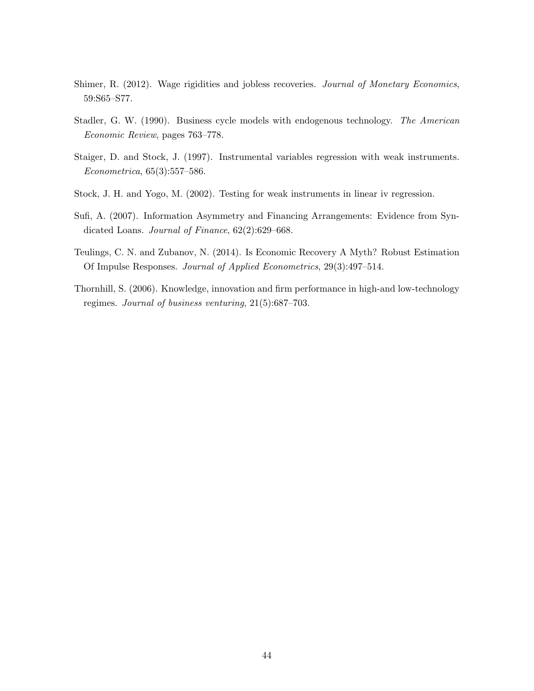- <span id="page-44-1"></span>Shimer, R. (2012). Wage rigidities and jobless recoveries. Journal of Monetary Economics, 59:S65–S77.
- <span id="page-44-6"></span>Stadler, G. W. (1990). Business cycle models with endogenous technology. The American Economic Review, pages 763–778.
- <span id="page-44-5"></span>Staiger, D. and Stock, J. (1997). Instrumental variables regression with weak instruments. Econometrica, 65(3):557–586.
- <span id="page-44-4"></span>Stock, J. H. and Yogo, M. (2002). Testing for weak instruments in linear iv regression.
- <span id="page-44-2"></span>Sufi, A. (2007). Information Asymmetry and Financing Arrangements: Evidence from Syndicated Loans. Journal of Finance, 62(2):629–668.
- <span id="page-44-0"></span>Teulings, C. N. and Zubanov, N. (2014). Is Economic Recovery A Myth? Robust Estimation Of Impulse Responses. Journal of Applied Econometrics, 29(3):497–514.
- <span id="page-44-3"></span>Thornhill, S. (2006). Knowledge, innovation and firm performance in high-and low-technology regimes. Journal of business venturing, 21(5):687–703.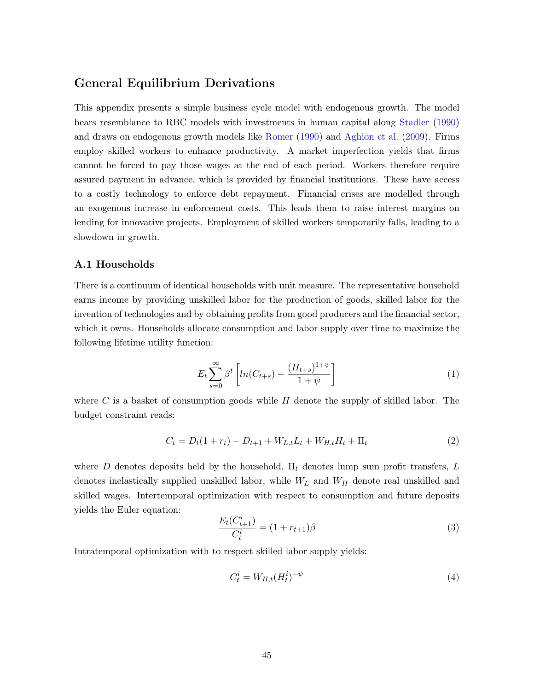## General Equilibrium Derivations

This appendix presents a simple business cycle model with endogenous growth. The model bears resemblance to RBC models with investments in human capital along [Stadler](#page-44-6) [\(1990\)](#page-44-6) and draws on endogenous growth models like [Romer](#page-43-3) [\(1990\)](#page-43-3) and [Aghion et al.](#page-39-13) [\(2009\)](#page-39-13). Firms employ skilled workers to enhance productivity. A market imperfection yields that firms cannot be forced to pay those wages at the end of each period. Workers therefore require assured payment in advance, which is provided by financial institutions. These have access to a costly technology to enforce debt repayment. Financial crises are modelled through an exogenous increase in enforcement costs. This leads them to raise interest margins on lending for innovative projects. Employment of skilled workers temporarily falls, leading to a slowdown in growth.

#### A.1 Households

There is a continuum of identical households with unit measure. The representative household earns income by providing unskilled labor for the production of goods, skilled labor for the invention of technologies and by obtaining profits from good producers and the financial sector, which it owns. Households allocate consumption and labor supply over time to maximize the following lifetime utility function:

$$
E_t \sum_{s=0}^{\infty} \beta^t \left[ ln(C_{t+s}) - \frac{(H_{t+s})^{1+\psi}}{1+\psi} \right]
$$
\n<sup>(1)</sup>

where C is a basket of consumption goods while  $H$  denote the supply of skilled labor. The budget constraint reads:

$$
C_t = D_t(1 + r_t) - D_{t+1} + W_{L,t}L_t + W_{H,t}H_t + \Pi_t
$$
\n(2)

where D denotes deposits held by the household,  $\Pi_t$  denotes lump sum profit transfers, L denotes inelastically supplied unskilled labor, while  $W_L$  and  $W_H$  denote real unskilled and skilled wages. Intertemporal optimization with respect to consumption and future deposits yields the Euler equation:

$$
\frac{E_t(C_{t+1}^i)}{C_t^i} = (1 + r_{t+1})\beta
$$
\n(3)

Intratemporal optimization with to respect skilled labor supply yields:

<span id="page-45-0"></span>
$$
C_t^i = W_{H,t}(H_t^i)^{-\psi} \tag{4}
$$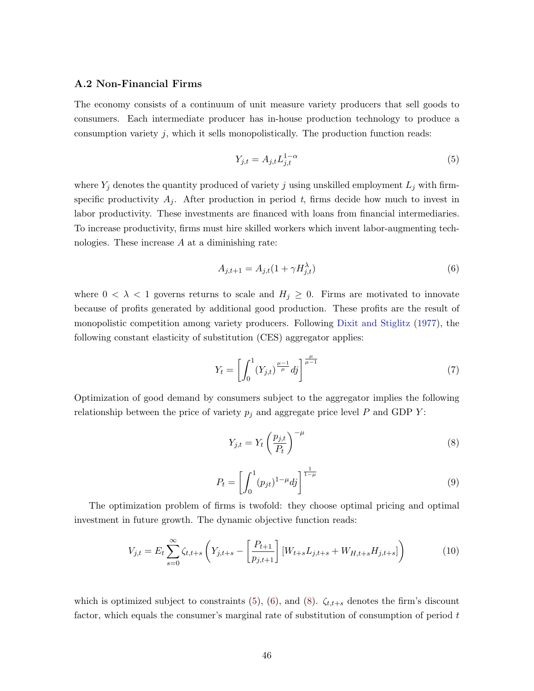#### A.2 Non-Financial Firms

The economy consists of a continuum of unit measure variety producers that sell goods to consumers. Each intermediate producer has in-house production technology to produce a consumption variety  $j$ , which it sells monopolistically. The production function reads:

<span id="page-46-0"></span>
$$
Y_{j,t} = A_{j,t} L_{j,t}^{1-\alpha} \tag{5}
$$

where  $Y_j$  denotes the quantity produced of variety j using unskilled employment  $L_j$  with firmspecific productivity  $A_j$ . After production in period t, firms decide how much to invest in labor productivity. These investments are financed with loans from financial intermediaries. To increase productivity, firms must hire skilled workers which invent labor-augmenting technologies. These increase A at a diminishing rate:

<span id="page-46-1"></span>
$$
A_{j,t+1} = A_{j,t}(1 + \gamma H_{j,t}^{\lambda})
$$
\n<sup>(6)</sup>

where  $0 < \lambda < 1$  governs returns to scale and  $H_j \geq 0$ . Firms are motivated to innovate because of profits generated by additional good production. These profits are the result of monopolistic competition among variety producers. Following [Dixit and Stiglitz](#page-41-12) [\(1977\)](#page-41-12), the following constant elasticity of substitution (CES) aggregator applies:

$$
Y_t = \left[ \int_0^1 (Y_{j,t})^{\frac{\mu - 1}{\mu}} d j \right]^{\frac{\mu}{\mu - 1}} \tag{7}
$$

Optimization of good demand by consumers subject to the aggregator implies the following relationship between the price of variety  $p_j$  and aggregate price level P and GDP Y:

<span id="page-46-2"></span>
$$
Y_{j,t} = Y_t \left(\frac{p_{j,t}}{P_t}\right)^{-\mu} \tag{8}
$$

$$
P_t = \left[ \int_0^1 (p_{jt})^{1-\mu} dj \right]^{1-\mu}
$$
\n(9)

The optimization problem of firms is twofold: they choose optimal pricing and optimal investment in future growth. The dynamic objective function reads:

$$
V_{j,t} = E_t \sum_{s=0}^{\infty} \zeta_{t,t+s} \left( Y_{j,t+s} - \left[ \frac{P_{t+1}}{p_{j,t+1}} \right] \left[ W_{t+s} L_{j,t+s} + W_{H,t+s} H_{j,t+s} \right] \right) \tag{10}
$$

which is optimized subject to constraints [\(5\)](#page-46-0), [\(6\)](#page-46-1), and [\(8\)](#page-46-2).  $\zeta_{t,t+s}$  denotes the firm's discount factor, which equals the consumer's marginal rate of substitution of consumption of period t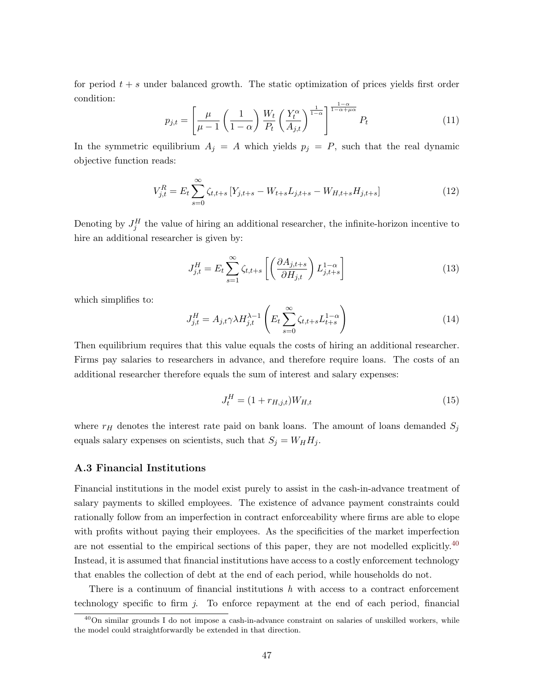for period  $t + s$  under balanced growth. The static optimization of prices yields first order condition:

<span id="page-47-0"></span>
$$
p_{j,t} = \left[\frac{\mu}{\mu - 1} \left(\frac{1}{1 - \alpha}\right) \frac{W_t}{P_t} \left(\frac{Y_t^{\alpha}}{A_{j,t}}\right)^{\frac{1}{1 - \alpha}}\right]^{\frac{1 - \alpha}{1 - \alpha + \mu \alpha}} P_t \tag{11}
$$

In the symmetric equilibrium  $A_j = A$  which yields  $p_j = P$ , such that the real dynamic objective function reads:

$$
V_{j,t}^{R} = E_{t} \sum_{s=0}^{\infty} \zeta_{t,t+s} \left[ Y_{j,t+s} - W_{t+s} L_{j,t+s} - W_{H,t+s} H_{j,t+s} \right]
$$
(12)

Denoting by  $J_j^H$  the value of hiring an additional researcher, the infinite-horizon incentive to hire an additional researcher is given by:

$$
J_{j,t}^H = E_t \sum_{s=1}^{\infty} \zeta_{t,t+s} \left[ \left( \frac{\partial A_{j,t+s}}{\partial H_{j,t}} \right) L_{j,t+s}^{1-\alpha} \right]
$$
 (13)

which simplifies to:

<span id="page-47-1"></span>
$$
J_{j,t}^H = A_{j,t} \gamma \lambda H_{j,t}^{\lambda - 1} \left( E_t \sum_{s=0}^{\infty} \zeta_{t,t+s} L_{t+s}^{1-\alpha} \right)
$$
 (14)

Then equilibrium requires that this value equals the costs of hiring an additional researcher. Firms pay salaries to researchers in advance, and therefore require loans. The costs of an additional researcher therefore equals the sum of interest and salary expenses:

<span id="page-47-2"></span>
$$
J_t^H = (1 + r_{H,j,t})W_{H,t}
$$
\n(15)

where  $r_H$  denotes the interest rate paid on bank loans. The amount of loans demanded  $S_j$ equals salary expenses on scientists, such that  $S_j = W_H H_j$ .

#### A.3 Financial Institutions

Financial institutions in the model exist purely to assist in the cash-in-advance treatment of salary payments to skilled employees. The existence of advance payment constraints could rationally follow from an imperfection in contract enforceability where firms are able to elope with profits without paying their employees. As the specificities of the market imperfection are not essential to the empirical sections of this paper, they are not modelled explicitly.<sup>[40](#page-0-0)</sup> Instead, it is assumed that financial institutions have access to a costly enforcement technology that enables the collection of debt at the end of each period, while households do not.

There is a continuum of financial institutions  $h$  with access to a contract enforcement technology specific to firm  $j$ . To enforce repayment at the end of each period, financial

 $^{40}$ On similar grounds I do not impose a cash-in-advance constraint on salaries of unskilled workers, while the model could straightforwardly be extended in that direction.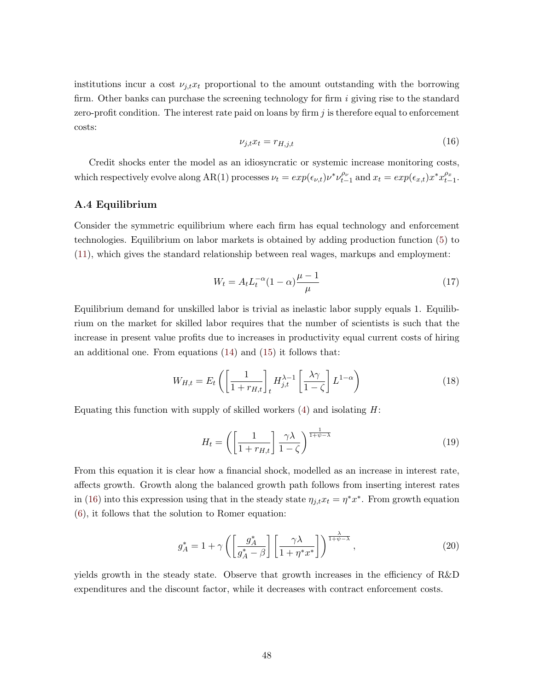institutions incur a cost  $\nu_{j,t}x_t$  proportional to the amount outstanding with the borrowing firm. Other banks can purchase the screening technology for firm  $i$  giving rise to the standard zero-profit condition. The interest rate paid on loans by firm  $j$  is therefore equal to enforcement costs:

<span id="page-48-0"></span>
$$
\nu_{j,t} x_t = r_{H,j,t} \tag{16}
$$

Credit shocks enter the model as an idiosyncratic or systemic increase monitoring costs, which respectively evolve along AR(1) processes  $\nu_t = exp(\epsilon_{\nu,t}) \nu^* \nu_{t-1}^{\rho_{\nu}}$  and  $x_t = exp(\epsilon_{x,t}) x^* x_{t-1}^{\rho_x}$ .

#### A.4 Equilibrium

Consider the symmetric equilibrium where each firm has equal technology and enforcement technologies. Equilibrium on labor markets is obtained by adding production function [\(5\)](#page-46-0) to [\(11\)](#page-47-0), which gives the standard relationship between real wages, markups and employment:

$$
W_t = A_t L_t^{-\alpha} (1 - \alpha) \frac{\mu - 1}{\mu} \tag{17}
$$

Equilibrium demand for unskilled labor is trivial as inelastic labor supply equals 1. Equilibrium on the market for skilled labor requires that the number of scientists is such that the increase in present value profits due to increases in productivity equal current costs of hiring an additional one. From equations [\(14\)](#page-47-1) and [\(15\)](#page-47-2) it follows that:

$$
W_{H,t} = E_t \left( \left[ \frac{1}{1 + r_{H,t}} \right]_t H_{j,t}^{\lambda - 1} \left[ \frac{\lambda \gamma}{1 - \zeta} \right] L^{1 - \alpha} \right) \tag{18}
$$

Equating this function with supply of skilled workers  $(4)$  and isolating  $H$ :

<span id="page-48-1"></span>
$$
H_t = \left( \left[ \frac{1}{1 + r_{H,t}} \right] \frac{\gamma \lambda}{1 - \zeta} \right)^{\frac{1}{1 + \psi - \lambda}} \tag{19}
$$

From this equation it is clear how a financial shock, modelled as an increase in interest rate, affects growth. Growth along the balanced growth path follows from inserting interest rates in [\(16\)](#page-48-0) into this expression using that in the steady state  $\eta_{j,t} x_t = \eta^* x^*$ . From growth equation [\(6\)](#page-46-1), it follows that the solution to Romer equation:

$$
g_A^* = 1 + \gamma \left( \left[ \frac{g_A^*}{g_A^* - \beta} \right] \left[ \frac{\gamma \lambda}{1 + \eta^* x^*} \right] \right)^{\frac{\lambda}{1 + \psi - \lambda}}, \tag{20}
$$

yields growth in the steady state. Observe that growth increases in the efficiency of R&D expenditures and the discount factor, while it decreases with contract enforcement costs.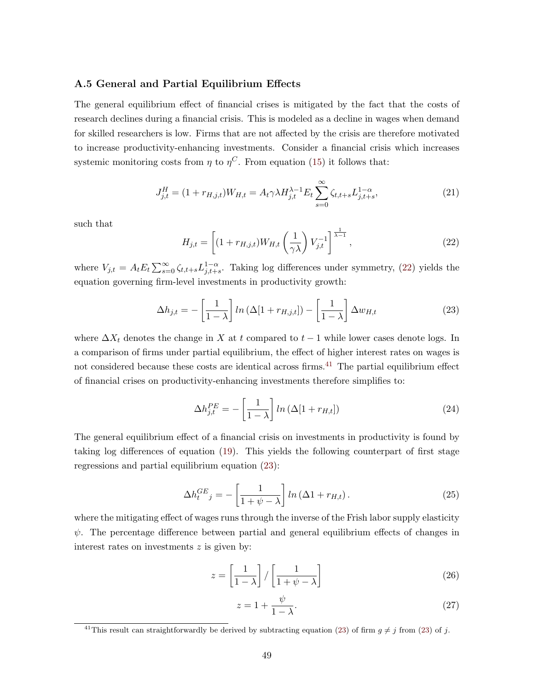#### A.5 General and Partial Equilibrium Effects

The general equilibrium effect of financial crises is mitigated by the fact that the costs of research declines during a financial crisis. This is modeled as a decline in wages when demand for skilled researchers is low. Firms that are not affected by the crisis are therefore motivated to increase productivity-enhancing investments. Consider a financial crisis which increases systemic monitoring costs from  $\eta$  to  $\eta^C$ . From equation [\(15\)](#page-47-2) it follows that:

$$
J_{j,t}^H = (1 + r_{H,j,t})W_{H,t} = A_t \gamma \lambda H_{j,t}^{\lambda - 1} E_t \sum_{s=0}^{\infty} \zeta_{t,t+s} L_{j,t+s}^{1-\alpha}, \tag{21}
$$

such that

<span id="page-49-0"></span>
$$
H_{j,t} = \left[ (1 + r_{H,j,t}) W_{H,t} \left( \frac{1}{\gamma \lambda} \right) V_{j,t}^{-1} \right]^{\frac{1}{\lambda - 1}}, \tag{22}
$$

where  $V_{j,t} = A_t E_t \sum_{s=0}^{\infty} \zeta_{t,t+s} L_{j,t+s}^{1-\alpha}$ . Taking log differences under symmetry, [\(22\)](#page-49-0) yields the equation governing firm-level investments in productivity growth:

<span id="page-49-1"></span>
$$
\Delta h_{j,t} = -\left[\frac{1}{1-\lambda}\right] \ln\left(\Delta[1+r_{H,j,t}]\right) - \left[\frac{1}{1-\lambda}\right] \Delta w_{H,t} \tag{23}
$$

where  $\Delta X_t$  denotes the change in X at t compared to  $t-1$  while lower cases denote logs. In a comparison of firms under partial equilibrium, the effect of higher interest rates on wages is not considered because these costs are identical across firms.<sup>[41](#page-0-0)</sup> The partial equilibrium effect of financial crises on productivity-enhancing investments therefore simplifies to:

$$
\Delta h_{j,t}^{PE} = -\left[\frac{1}{1-\lambda}\right] \ln\left(\Delta[1+r_{H,t}]\right) \tag{24}
$$

The general equilibrium effect of a financial crisis on investments in productivity is found by taking log differences of equation [\(19\)](#page-48-1). This yields the following counterpart of first stage regressions and partial equilibrium equation [\(23\)](#page-49-1):

$$
\Delta h_t^{GE}{}_j = -\left[\frac{1}{1+\psi-\lambda}\right] \ln\left(\Delta 1 + r_{H,t}\right). \tag{25}
$$

where the mitigating effect of wages runs through the inverse of the Frish labor supply elasticity  $\psi$ . The percentage difference between partial and general equilibrium effects of changes in interest rates on investments  $z$  is given by:

$$
z = \left[\frac{1}{1-\lambda}\right] / \left[\frac{1}{1+\psi-\lambda}\right]
$$
 (26)

$$
z = 1 + \frac{\psi}{1 - \lambda}.\tag{27}
$$

<sup>&</sup>lt;sup>41</sup>This result can straightforwardly be derived by subtracting equation [\(23\)](#page-49-1) of firm  $g \neq j$  from (23) of j.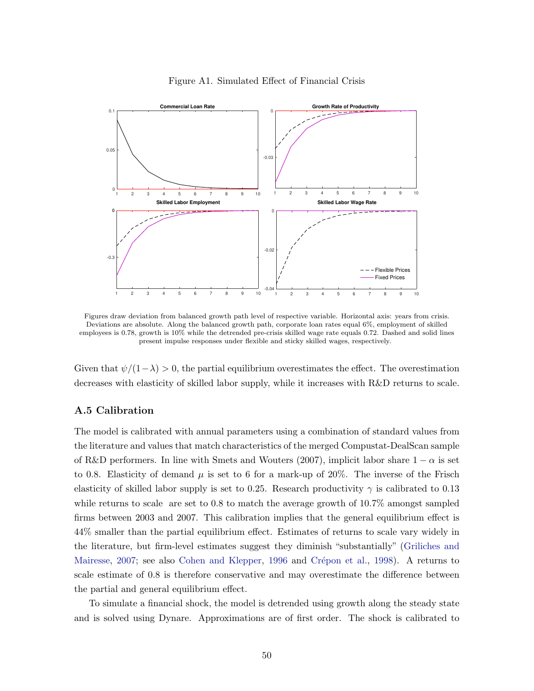

Figure A1. Simulated Effect of Financial Crisis

Figures draw deviation from balanced growth path level of respective variable. Horizontal axis: years from crisis. Deviations are absolute. Along the balanced growth path, corporate loan rates equal 6%, employment of skilled employees is 0.78, growth is 10% while the detrended pre-crisis skilled wage rate equals 0.72. Dashed and solid lines present impulse responses under flexible and sticky skilled wages, respectively.

Given that  $\psi/(1-\lambda) > 0$ , the partial equilibrium overestimates the effect. The overestimation decreases with elasticity of skilled labor supply, while it increases with R&D returns to scale.

#### A.5 Calibration

The model is calibrated with annual parameters using a combination of standard values from the literature and values that match characteristics of the merged Compustat-DealScan sample of R&D performers. In line with Smets and Wouters (2007), implicit labor share  $1 - \alpha$  is set to 0.8. Elasticity of demand  $\mu$  is set to 6 for a mark-up of 20%. The inverse of the Frisch elasticity of skilled labor supply is set to 0.25. Research productivity  $\gamma$  is calibrated to 0.13 while returns to scale are set to 0.8 to match the average growth of 10.7% amongst sampled firms between 2003 and 2007. This calibration implies that the general equilibrium effect is 44% smaller than the partial equilibrium effect. Estimates of returns to scale vary widely in the literature, but firm-level estimates suggest they diminish "substantially" [\(Griliches and](#page-42-14) [Mairesse,](#page-42-14) [2007;](#page-42-14) see also [Cohen and Klepper,](#page-41-13) [1996](#page-41-13) and Crépon et al., [1998\)](#page-41-14). A returns to scale estimate of 0.8 is therefore conservative and may overestimate the difference between the partial and general equilibrium effect.

To simulate a financial shock, the model is detrended using growth along the steady state and is solved using Dynare. Approximations are of first order. The shock is calibrated to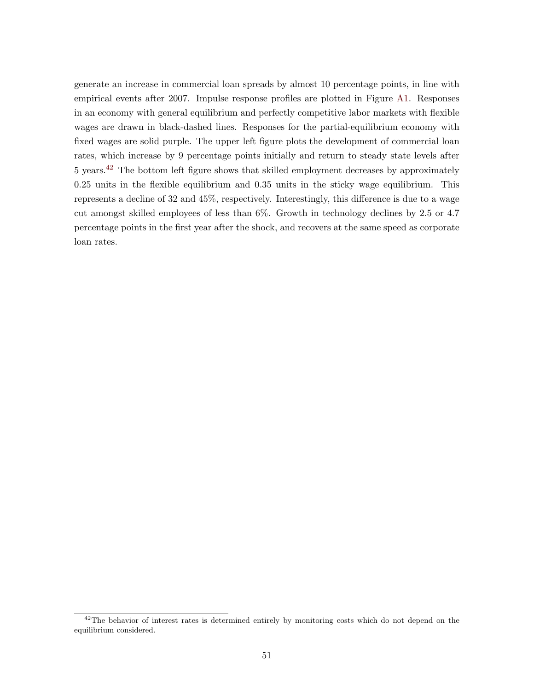generate an increase in commercial loan spreads by almost 10 percentage points, in line with empirical events after 2007. Impulse response profiles are plotted in Figure [A1.](#page-2-0) Responses in an economy with general equilibrium and perfectly competitive labor markets with flexible wages are drawn in black-dashed lines. Responses for the partial-equilibrium economy with fixed wages are solid purple. The upper left figure plots the development of commercial loan rates, which increase by 9 percentage points initially and return to steady state levels after 5 years.[42](#page-0-0) The bottom left figure shows that skilled employment decreases by approximately 0.25 units in the flexible equilibrium and 0.35 units in the sticky wage equilibrium. This represents a decline of 32 and 45%, respectively. Interestingly, this difference is due to a wage cut amongst skilled employees of less than 6%. Growth in technology declines by 2.5 or 4.7 percentage points in the first year after the shock, and recovers at the same speed as corporate loan rates.

 $42$ The behavior of interest rates is determined entirely by monitoring costs which do not depend on the equilibrium considered.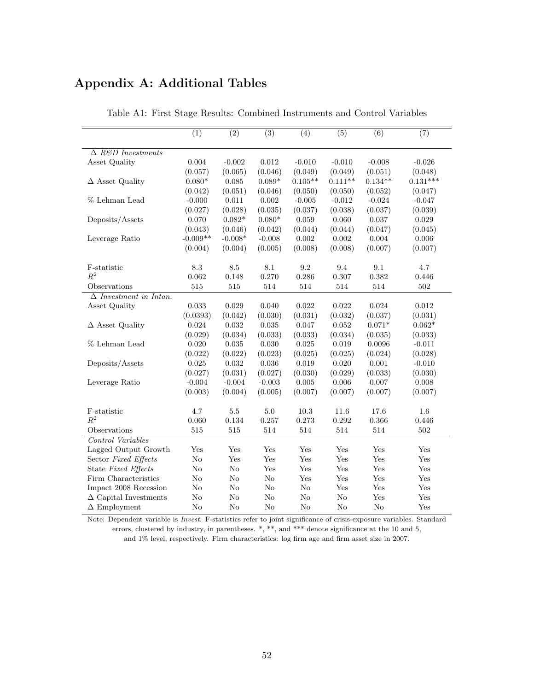# Appendix A: Additional Tables

|                               | $\overline{(1)}$ | $\overline{(2)}$ | $\overline{(3)}$ | $\overline{(4)}$ | $\overline{(5)}$ | $\overline{(6)}$ | $\overline{(7)}$ |
|-------------------------------|------------------|------------------|------------------|------------------|------------------|------------------|------------------|
|                               |                  |                  |                  |                  |                  |                  |                  |
| $\Delta$ R&D Investments      |                  |                  |                  |                  |                  |                  |                  |
| Asset Quality                 | 0.004            | $-0.002$         | 0.012            | $-0.010$         | $-0.010$         | $-0.008$         | $-0.026$         |
|                               | (0.057)          | (0.065)          | (0.046)          | (0.049)          | (0.049)          | (0.051)          | (0.048)          |
| $\Delta$ Asset Quality        | $0.080*$         | 0.085            | $0.089*$         | $0.105**$        | $0.111**$        | $0.134**$        | $0.131***$       |
|                               | (0.042)          | (0.051)          | (0.046)          | (0.050)          | (0.050)          | (0.052)          | (0.047)          |
| % Lehman Lead                 | $-0.000$         | 0.011            | 0.002            | $-0.005$         | $-0.012$         | $-0.024$         | $-0.047$         |
|                               | (0.027)          | (0.028)          | (0.035)          | (0.037)          | (0.038)          | (0.037)          | (0.039)          |
| Deposits/Assets               | 0.070            | $0.082*$         | $0.080*$         | 0.059            | 0.060            | 0.037            | 0.029            |
|                               | (0.043)          | (0.046)          | (0.042)          | (0.044)          | (0.044)          | (0.047)          | (0.045)          |
| Leverage Ratio                | $-0.009**$       | $-0.008*$        | $-0.008$         | 0.002            | 0.002            | 0.004            | 0.006            |
|                               | (0.004)          | (0.004)          | (0.005)          | (0.008)          | (0.008)          | (0.007)          | (0.007)          |
|                               |                  |                  |                  |                  |                  |                  |                  |
| F-statistic                   | 8.3              | 8.5              | 8.1              | 9.2              | 9.4              | 9.1              | 4.7              |
| $R^2$                         | 0.062            | 0.148            | 0.270            | 0.286            | 0.307            | 0.382            | 0.446            |
| Observations                  | 515              | 515              | 514              | 514              | 514              | 514              | 502              |
| $\Delta$ Investment in Intan. |                  |                  |                  |                  |                  |                  |                  |
| Asset Quality                 | 0.033            | 0.029            | 0.040            | 0.022            | 0.022            | 0.024            | 0.012            |
|                               | (0.0393)         | (0.042)          | (0.030)          | (0.031)          | (0.032)          | (0.037)          | (0.031)          |
| $\Delta$ Asset Quality        | 0.024            | 0.032            | $\,0.035\,$      | 0.047            | 0.052            | $0.071*$         | $0.062*$         |
|                               | (0.029)          | (0.034)          | (0.033)          | (0.033)          | (0.034)          | (0.035)          | (0.033)          |
| % Lehman Lead                 | 0.020            | 0.035            | 0.030            | 0.025            | 0.019            | 0.0096           | $-0.011$         |
|                               | (0.022)          | (0.022)          | (0.023)          | (0.025)          | (0.025)          | (0.024)          | (0.028)          |
| Deposits/Assets               | 0.025            | 0.032            | $\,0.036\,$      | 0.019            | 0.020            | $0.001\,$        | $-0.010$         |
|                               | (0.027)          | (0.031)          | (0.027)          | (0.030)          | (0.029)          | (0.033)          | (0.030)          |
| Leverage Ratio                | $-0.004$         | $-0.004$         | $-0.003$         | 0.005            | 0.006            | 0.007            | 0.008            |
|                               | (0.003)          | (0.004)          | (0.005)          | (0.007)          | (0.007)          | (0.007)          | (0.007)          |
|                               |                  |                  |                  |                  |                  |                  |                  |
| F-statistic                   | 4.7              | 5.5              | 5.0              | 10.3             | 11.6             | 17.6             | 1.6              |
| $R^2$                         | 0.060            | 0.134            | 0.257            | 0.273            | 0.292            | 0.366            | 0.446            |
| Observations                  | 515              | 515              | 514              | 514              | 514              | 514              | 502              |
| Control Variables             |                  |                  |                  |                  |                  |                  |                  |
| Lagged Output Growth          | Yes              | Yes              | Yes              | Yes              | Yes              | Yes              | Yes              |
| Sector Fixed Effects          | $\rm No$         | Yes              | Yes              | Yes              | Yes              | Yes              | Yes              |
| State Fixed Effects           | No               | No               | Yes              | Yes              | Yes              | Yes              | Yes              |
| Firm Characteristics          | $\rm No$         | No               | N <sub>o</sub>   | Yes              | Yes              | Yes              | Yes              |
| Impact 2008 Recession         | No               | No               | No               | $\rm No$         | Yes              | Yes              | Yes              |
| $\Delta$ Capital Investments  | No               | No               | No               | No               | $\rm No$         | Yes              | Yes              |
| $\Delta$ Employment           | No               | $\rm No$         | No               | No               | No               | No               | Yes              |

Table A1: First Stage Results: Combined Instruments and Control Variables

Note: Dependent variable is Invest. F-statistics refer to joint significance of crisis-exposure variables. Standard errors, clustered by industry, in parentheses. \*, \*\*, and \*\*\* denote significance at the 10 and 5, and 1% level, respectively. Firm characteristics: log firm age and firm asset size in 2007.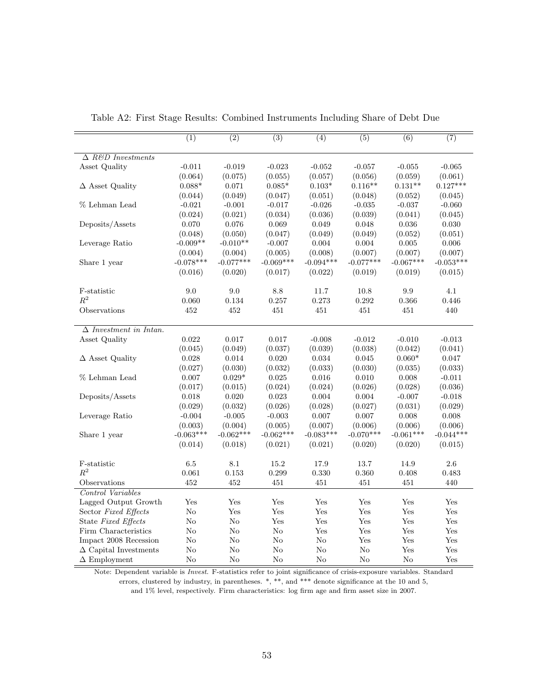|                               | $\overline{(1)}$ | $\overline{(2)}$ | $\overline{(3)}$ | $\overline{(4)}$ | $\overline{(5)}$ | $\overline{(6)}$ | $\overline{(7)}$ |
|-------------------------------|------------------|------------------|------------------|------------------|------------------|------------------|------------------|
|                               |                  |                  |                  |                  |                  |                  |                  |
| $\triangle$ R&D Investments   |                  |                  |                  |                  |                  |                  |                  |
| Asset Quality                 | $-0.011$         | $-0.019$         | $-0.023$         | $-0.052$         | $-0.057$         | $-0.055$         | $-0.065$         |
|                               | (0.064)          | (0.075)          | (0.055)          | (0.057)          | (0.056)          | (0.059)          | (0.061)          |
| $\Delta$ Asset Quality        | $0.088*$         | 0.071            | $0.085*$         | $0.103*$         | $0.116**$        | $0.131**$        | $0.127***$       |
|                               | (0.044)          | (0.049)          | (0.047)          | (0.051)          | (0.048)          | (0.052)          | (0.045)          |
| % Lehman Lead                 | $-0.021$         | $-0.001$         | $-0.017$         | $-0.026$         | $-0.035$         | $-0.037$         | $-0.060$         |
|                               | (0.024)          | (0.021)          | (0.034)          | (0.036)          | (0.039)          | (0.041)          | (0.045)          |
| Deposits/Assets               | 0.070            | 0.076            | 0.069            | 0.049            | 0.048            | 0.036            | 0.030            |
|                               | (0.048)          | (0.050)          | (0.047)          | (0.049)          | (0.049)          | (0.052)          | (0.051)          |
| Leverage Ratio                | $-0.009**$       | $-0.010**$       | $-0.007$         | 0.004            | 0.004            | 0.005            | 0.006            |
|                               | (0.004)          | (0.004)          | (0.005)          | (0.008)          | (0.007)          | (0.007)          | (0.007)          |
| Share 1 year                  | $-0.078***$      | $-0.077***$      | $-0.069***$      | $-0.094***$      | $-0.077***$      | $-0.067***$      | $-0.053***$      |
|                               | (0.016)          | (0.020)          | (0.017)          | (0.022)          | (0.019)          | (0.019)          | (0.015)          |
| F-statistic                   | 9.0              | 9.0              | 8.8              | 11.7             | 10.8             | 9.9              | 4.1              |
| $R^2$                         | 0.060            | 0.134            | 0.257            | 0.273            | 0.292            | 0.366            | 0.446            |
| Observations                  | 452              | 452              | 451              | 451              | 451              | 451              | 440              |
|                               |                  |                  |                  |                  |                  |                  |                  |
| $\Delta$ Investment in Intan. |                  |                  |                  |                  |                  |                  |                  |
| Asset Quality                 | 0.022            | 0.017            | 0.017            | $-0.008$         | $-0.012$         | $-0.010$         | $-0.013$         |
|                               | (0.045)          | (0.049)          | (0.037)          | (0.039)          | (0.038)          | (0.042)          | (0.041)          |
| $\Delta$ Asset Quality        | 0.028            | 0.014            | 0.020            | 0.034            | 0.045            | $0.060*$         | 0.047            |
|                               | (0.027)          | (0.030)          | (0.032)          | (0.033)          | (0.030)          | (0.035)          | (0.033)          |
| % Lehman Lead                 | 0.007            | $0.029*$         | 0.025            | 0.016            | 0.010            | 0.008            | $-0.011$         |
|                               | (0.017)          | (0.015)          | (0.024)          | (0.024)          | (0.026)          | (0.028)          | (0.036)          |
| Deposits/Assets               | 0.018            | 0.020            | 0.023            | 0.004            | 0.004            | $-0.007$         | $-0.018$         |
|                               | (0.029)          | (0.032)          | (0.026)          | (0.028)          | (0.027)          | (0.031)          | (0.029)          |
| Leverage Ratio                | $-0.004$         | $-0.005$         | $-0.003$         | 0.007            | 0.007            | 0.008            | 0.008            |
|                               | (0.003)          | (0.004)          | (0.005)          | (0.007)          | (0.006)          | (0.006)          | (0.006)          |
| Share 1 year                  | $-0.063***$      | $-0.062***$      | $-0.062***$      | $-0.083***$      | $-0.070***$      | $-0.061***$      | $-0.044***$      |
|                               | (0.014)          | (0.018)          | (0.021)          | (0.021)          | (0.020)          | (0.020)          | (0.015)          |
| F-statistic                   | 6.5              | 8.1              | 15.2             | 17.9             | 13.7             | 14.9             | 2.6              |
| $R^2$                         | 0.061            | 0.153            | 0.299            | 0.330            | 0.360            | 0.408            | 0.483            |
| Observations                  | 452              | $452\,$          | 451              | 451              | 451              | 451              | 440              |
| Control Variables             |                  |                  |                  |                  |                  |                  |                  |
| Lagged Output Growth          | Yes              | Yes              | Yes              | Yes              | Yes              | Yes              | Yes              |
| Sector Fixed Effects          | No               | $_{\rm Yes}$     | Yes              | Yes              | Yes              | Yes              | Yes              |
| State Fixed Effects           | No               | No               | Yes              | Yes              | Yes              | Yes              | Yes              |
| Firm Characteristics          | No               | No               | No               | Yes              | Yes              | Yes              | Yes              |
| Impact 2008 Recession         | $\rm No$         | No               | $\rm No$         | $\rm No$         | Yes              | Yes              | Yes              |
| $\Delta$ Capital Investments  | No               | No               | No               | No               | No               | Yes              | Yes              |
| $\Delta$ Employment           | No               | No               | No               | No               | No               | $\rm No$         | $_{\rm Yes}$     |

Table A2: First Stage Results: Combined Instruments Including Share of Debt Due

Note: Dependent variable is Invest. F-statistics refer to joint significance of crisis-exposure variables. Standard errors, clustered by industry, in parentheses. \*, \*\*, and \*\*\* denote significance at the 10 and 5,

and  $1\%$  level, respectively. Firm characteristics: log firm age and firm asset size in 2007.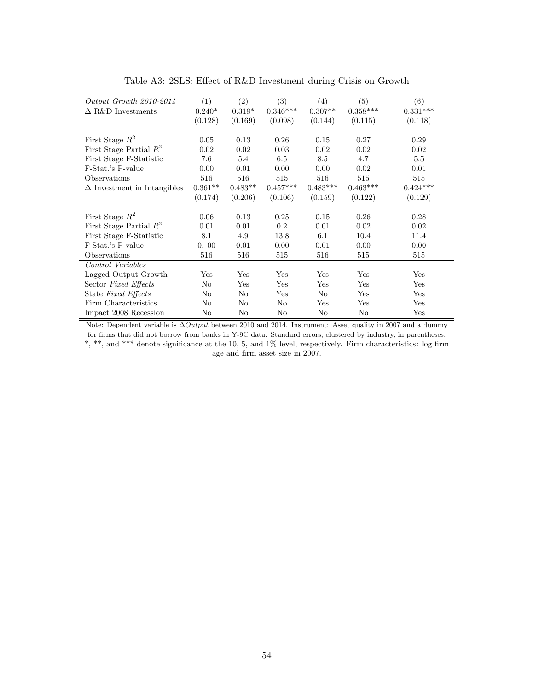| Output Growth 2010-2014            | (1)            | (2)            | $\overline{(3)}$ | (4)        | (5)        | (6)        |
|------------------------------------|----------------|----------------|------------------|------------|------------|------------|
| $\Delta$ R&D Investments           | $0.240*$       | $0.319*$       | $0.346***$       | $0.307**$  | $0.358***$ | $0.331***$ |
|                                    |                |                |                  |            |            |            |
|                                    | (0.128)        | (0.169)        | (0.098)          | (0.144)    | (0.115)    | (0.118)    |
| First Stage $R^2$                  | 0.05           | 0.13           | 0.26             | 0.15       | 0.27       | 0.29       |
| First Stage Partial $R^2$          | 0.02           | 0.02           | 0.03             | 0.02       | 0.02       | 0.02       |
| First Stage F-Statistic            | 7.6            | 5.4            | 6.5              | 8.5        | 4.7        | 5.5        |
| F-Stat.'s P-value                  | 0.00           | 0.01           | 0.00             | 0.00       | 0.02       | 0.01       |
| Observations                       | 516            | 516            | 515              | 516        | 515        | 515        |
| $\Delta$ Investment in Intangibles | $0.361**$      | $0.483**$      | $0.457***$       | $0.483***$ | $0.463***$ | $0.424***$ |
|                                    | (0.174)        | (0.206)        | (0.106)          | (0.159)    | (0.122)    | (0.129)    |
|                                    |                |                |                  |            |            |            |
| First Stage $R^2$                  | 0.06           | 0.13           | 0.25             | 0.15       | 0.26       | 0.28       |
| First Stage Partial $R^2$          | 0.01           | 0.01           | 0.2              | 0.01       | 0.02       | 0.02       |
| First Stage F-Statistic            | 8.1            | 4.9            | 13.8             | 6.1        | 10.4       | 11.4       |
| F-Stat.'s P-value                  | 0.00           | 0.01           | 0.00             | 0.01       | 0.00       | 0.00       |
| Observations                       | 516            | 516            | 515              | 516        | 515        | 515        |
| Control Variables                  |                |                |                  |            |            |            |
| Lagged Output Growth               | Yes            | Yes            | Yes              | Yes        | Yes        | Yes        |
| Sector Fixed Effects               | N <sub>o</sub> | Yes            | Yes              | Yes        | Yes        | Yes        |
| State Fixed Effects                | No             | No             | Yes              | No         | Yes        | Yes        |
| Firm Characteristics               | No             | No             | No               | Yes        | Yes        | Yes        |
| Impact 2008 Recession              | No             | N <sub>o</sub> | No               | No         | No         | Yes        |

Table A3: 2SLS: Effect of R&D Investment during Crisis on Growth

Note: Dependent variable is ∆Output between 2010 and 2014. Instrument: Asset quality in 2007 and a dummy

for firms that did not borrow from banks in Y-9C data. Standard errors, clustered by industry, in parentheses. \*, \*\*, and \*\*\* denote significance at the 10, 5, and 1% level, respectively. Firm characteristics: log firm

age and firm asset size in 2007.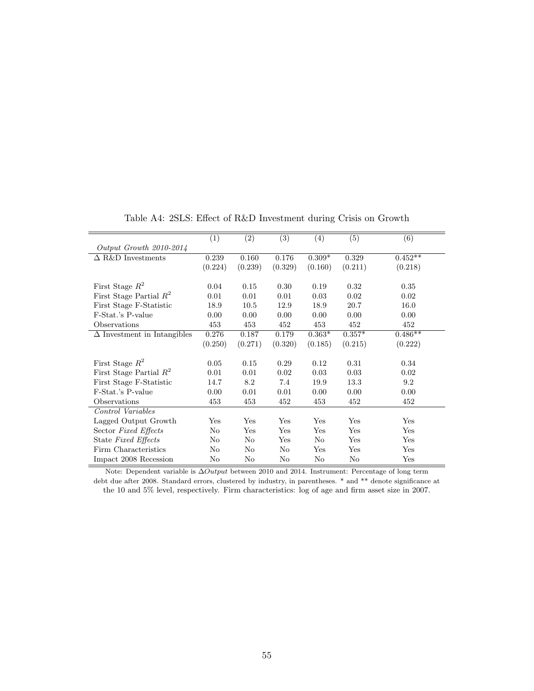|                                    | $\overline{(1)}$ | $\overline{(2)}$ | $\overline{(3)}$ | $\left( 4\right)$ | $\overline{(5)}$ | $\overline{(6)}$ |
|------------------------------------|------------------|------------------|------------------|-------------------|------------------|------------------|
| Output Growth $2010-2014$          |                  |                  |                  |                   |                  |                  |
| $\Delta$ R&D Investments           | 0.239            | 0.160            | 0.176            | $0.309*$          | 0.329            | $0.452**$        |
|                                    | (0.224)          | (0.239)          | (0.329)          | (0.160)           | (0.211)          | (0.218)          |
|                                    |                  |                  |                  |                   |                  |                  |
| First Stage $R^2$                  | 0.04             | 0.15             | 0.30             | 0.19              | 0.32             | 0.35             |
| First Stage Partial $R^2$          | 0.01             | 0.01             | 0.01             | 0.03              | 0.02             | 0.02             |
| First Stage F-Statistic            | 18.9             | 10.5             | 12.9             | 18.9              | 20.7             | 16.0             |
| F-Stat.'s P-value                  | 0.00             | 0.00             | 0.00             | 0.00              | 0.00             | 0.00             |
| Observations                       | 453              | 453              | 452              | 453               | 452              | 452              |
| $\Delta$ Investment in Intangibles | 0.276            | 0.187            | 0.179            | $0.363*$          | $0.357*$         | $0.486**$        |
|                                    | (0.250)          | (0.271)          | (0.320)          | (0.185)           | (0.215)          | (0.222)          |
|                                    |                  |                  |                  |                   |                  |                  |
| First Stage $R^2$                  | 0.05             | 0.15             | 0.29             | 0.12              | 0.31             | 0.34             |
| First Stage Partial $R^2$          | 0.01             | 0.01             | 0.02             | 0.03              | 0.03             | 0.02             |
| First Stage F-Statistic            | 14.7             | 8.2              | 7.4              | 19.9              | 13.3             | 9.2              |
| F-Stat.'s P-value                  | 0.00             | 0.01             | 0.01             | 0.00              | 0.00             | 0.00             |
| Observations                       | 453              | 453              | 452              | 453               | 452              | 452              |
| Control Variables                  |                  |                  |                  |                   |                  |                  |
| Lagged Output Growth               | Yes              | Yes              | Yes              | Yes               | Yes              | Yes              |
| Sector Fixed Effects               | No               | Yes              | Yes              | Yes               | Yes              | Yes              |
| State Fixed Effects                | No               | No               | Yes              | No                | Yes              | Yes              |
| Firm Characteristics               | No               | No               | No               | Yes               | Yes              | Yes              |
| Impact 2008 Recession              | No               | No               | No               | No                | No               | Yes              |

Table A4: 2SLS: Effect of R&D Investment during Crisis on Growth

Note: Dependent variable is  $ΔOutput$  between 2010 and 2014. Instrument: Percentage of long term debt due after 2008. Standard errors, clustered by industry, in parentheses. \* and \*\* denote significance at the 10 and 5% level, respectively. Firm characteristics: log of age and firm asset size in 2007.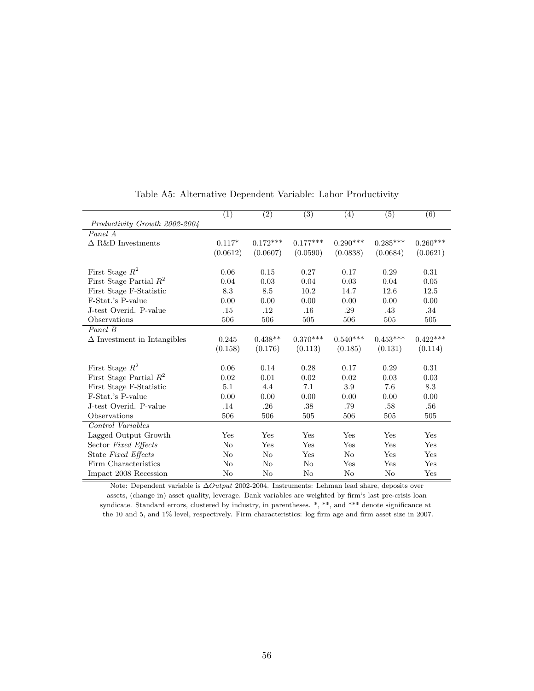|                                    | $\overline{(1)}$ | $\overline{(2)}$ | $\overline{(3)}$ | $\overline{(4)}$ | $\overline{(5)}$ | $\overline{(6)}$ |
|------------------------------------|------------------|------------------|------------------|------------------|------------------|------------------|
| Productivity Growth 2002-2004      |                  |                  |                  |                  |                  |                  |
| Panel A                            |                  |                  |                  |                  |                  |                  |
| $\Delta$ R&D Investments           | $0.117*$         | $0.172***$       | $0.177***$       | $0.290***$       | $0.285***$       | $0.260***$       |
|                                    | (0.0612)         | (0.0607)         | (0.0590)         | (0.0838)         | (0.0684)         | (0.0621)         |
|                                    |                  |                  |                  |                  |                  |                  |
| First Stage $R^2$                  | 0.06             | 0.15             | 0.27             | 0.17             | 0.29             | 0.31             |
| First Stage Partial $R^2$          | 0.04             | 0.03             | 0.04             | 0.03             | 0.04             | 0.05             |
| First Stage F-Statistic            | 8.3              | 8.5              | 10.2             | 14.7             | 12.6             | 12.5             |
| F-Stat.'s P-value                  | 0.00             | 0.00             | 0.00             | 0.00             | 0.00             | 0.00             |
| J-test Overid. P-value             | .15              | .12              | .16              | .29              | .43              | .34              |
| Observations                       | 506              | 506              | 505              | 506              | 505              | 505              |
| Panel B                            |                  |                  |                  |                  |                  |                  |
| $\Delta$ Investment in Intangibles | 0.245            | $0.438**$        | $0.370***$       | $0.540***$       | $0.453***$       | $0.422***$       |
|                                    | (0.158)          | (0.176)          | (0.113)          | (0.185)          | (0.131)          | (0.114)          |
| First Stage $R^2$                  | 0.06             | 0.14             | 0.28             | 0.17             | 0.29             | 0.31             |
| First Stage Partial $R^2$          | 0.02             | 0.01             | 0.02             | 0.02             | 0.03             | 0.03             |
| First Stage F-Statistic            | 5.1              | 4.4              | 7.1              | 3.9              | 7.6              | 8.3              |
| F-Stat.'s P-value                  | 0.00             | 0.00             | 0.00             | 0.00             | 0.00             | 0.00             |
| J-test Overid. P-value             | .14              | .26              | .38              | .79              | .58              | .56              |
| Observations                       | 506              | 506              | 505              | 506              | 505              | 505              |
| Control Variables                  |                  |                  |                  |                  |                  |                  |
| Lagged Output Growth               | Yes              | Yes              | Yes              | Yes              | Yes              | Yes              |
| Sector Fixed Effects               | No               | Yes              | Yes              | Yes              | Yes              | Yes              |
| State Fixed Effects                | N <sub>o</sub>   | No               | Yes              | $\rm No$         | Yes              | Yes              |
| Firm Characteristics               | $\rm No$         | N <sub>o</sub>   | No               | Yes              | Yes              | Yes              |
| Impact 2008 Recession              | No               | No               | No               | No               | No               | Yes              |

Table A5: Alternative Dependent Variable: Labor Productivity

Note: Dependent variable is ∆Output 2002-2004. Instruments: Lehman lead share, deposits over assets, (change in) asset quality, leverage. Bank variables are weighted by firm's last pre-crisis loan syndicate. Standard errors, clustered by industry, in parentheses. \*, \*\*, and \*\*\* denote significance at the 10 and 5, and 1% level, respectively. Firm characteristics: log firm age and firm asset size in 2007.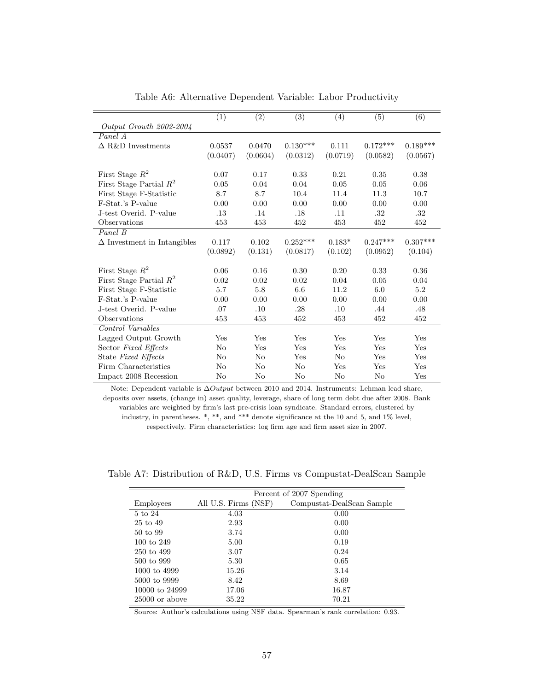|                                    | (1)      | $\overline{(2)}$ | $\overline{(3)}$ | (4)      | $\overline{(5)}$ | (6)        |
|------------------------------------|----------|------------------|------------------|----------|------------------|------------|
| Output Growth 2002-2004            |          |                  |                  |          |                  |            |
| Panel A                            |          |                  |                  |          |                  |            |
| $\Delta$ R&D Investments           | 0.0537   | 0.0470           | $0.130***$       | 0.111    | $0.172***$       | $0.189***$ |
|                                    | (0.0407) | (0.0604)         | (0.0312)         | (0.0719) | (0.0582)         | (0.0567)   |
|                                    |          |                  |                  |          |                  |            |
| First Stage $R^2$                  | 0.07     | 0.17             | 0.33             | 0.21     | 0.35             | 0.38       |
| First Stage Partial $R^2$          | 0.05     | 0.04             | 0.04             | 0.05     | 0.05             | 0.06       |
| First Stage F-Statistic            | 8.7      | 8.7              | 10.4             | 11.4     | 11.3             | 10.7       |
| F-Stat.'s P-value                  | 0.00     | 0.00             | 0.00             | 0.00     | 0.00             | 0.00       |
| J-test Overid. P-value             | .13      | .14              | .18              | .11      | .32              | .32        |
| Observations                       | 453      | 453              | 452              | 453      | 452              | 452        |
| Panel B                            |          |                  |                  |          |                  |            |
| $\Delta$ Investment in Intangibles | 0.117    | 0.102            | $0.252***$       | $0.183*$ | $0.247***$       | $0.307***$ |
|                                    | (0.0892) | (0.131)          | (0.0817)         | (0.102)  | (0.0952)         | (0.104)    |
|                                    |          |                  |                  |          |                  |            |
| First Stage $R^2$                  | 0.06     | 0.16             | 0.30             | 0.20     | 0.33             | 0.36       |
| First Stage Partial $R^2$          | 0.02     | 0.02             | 0.02             | 0.04     | 0.05             | 0.04       |
| First Stage F-Statistic            | 5.7      | 5.8              | 6.6              | 11.2     | 6.0              | 5.2        |
| F-Stat.'s P-value                  | 0.00     | 0.00             | 0.00             | 0.00     | 0.00             | 0.00       |
| J-test Overid. P-value             | .07      | .10              | .28              | .10      | .44              | .48        |
| Observations                       | 453      | 453              | 452              | 453      | 452              | 452        |
| Control Variables                  |          |                  |                  |          |                  |            |
| Lagged Output Growth               | Yes      | Yes              | Yes              | Yes      | Yes              | Yes        |
| Sector Fixed Effects               | No       | Yes              | Yes              | Yes      | Yes              | Yes        |
| State Fixed Effects                | No       | No               | Yes              | No       | Yes              | Yes        |
| Firm Characteristics               | No       | No               | No               | Yes      | Yes              | Yes        |
| Impact 2008 Recession              | $\rm No$ | No               | No               | No       | No               | Yes        |

Table A6: Alternative Dependent Variable: Labor Productivity

Note: Dependent variable is  $ΔOutput$  between 2010 and 2014. Instruments: Lehman lead share, deposits over assets, (change in) asset quality, leverage, share of long term debt due after 2008. Bank variables are weighted by firm's last pre-crisis loan syndicate. Standard errors, clustered by industry, in parentheses. \*, \*\*, and \*\*\* denote significance at the 10 and 5, and 1% level, respectively. Firm characteristics: log firm age and firm asset size in 2007.

Table A7: Distribution of R&D, U.S. Firms vs Compustat-DealScan Sample

|                       |                      | Percent of 2007 Spending  |
|-----------------------|----------------------|---------------------------|
| <b>Employees</b>      | All U.S. Firms (NSF) | Compustat-DealScan Sample |
| 5 to 24               | 4.03                 | 0.00                      |
| 25 to 49              | 2.93                 | 0.00                      |
| 50 to 99              | 3.74                 | 0.00                      |
| 100 to 249            | 5.00                 | 0.19                      |
| 250 to 499            | 3.07                 | 0.24                      |
| $500 \text{ to } 999$ | 5.30                 | 0.65                      |
| 1000 to 4999          | 15.26                | 3.14                      |
| 5000 to 9999          | 8.42                 | 8.69                      |
| 10000 to 24999        | 17.06                | 16.87                     |
| $25000$ or above      | 35.22                | 70.21                     |

Source: Author's calculations using NSF data. Spearman's rank correlation: 0.93.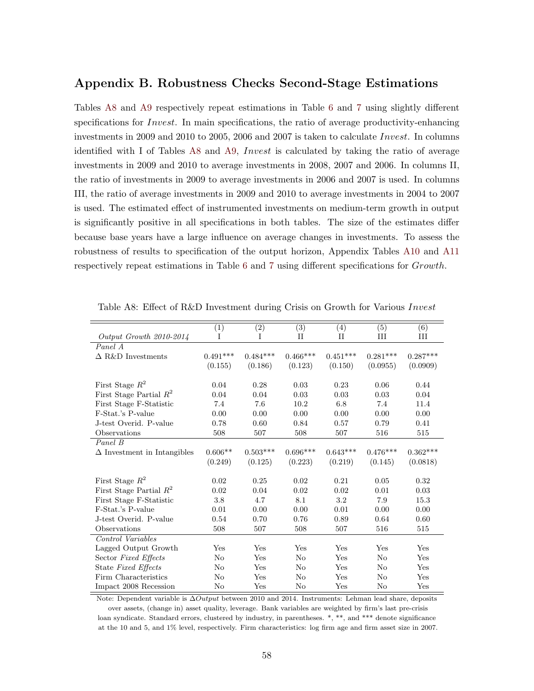## Appendix B. Robustness Checks Second-Stage Estimations

Tables [A8](#page-29-0) and [A9](#page-30-0) respectively repeat estimations in Table [6](#page-26-0) and [7](#page-27-0) using slightly different specifications for *Invest*. In main specifications, the ratio of average productivity-enhancing investments in 2009 and 2010 to 2005, 2006 and 2007 is taken to calculate Invest. In columns identified with I of Tables [A8](#page-29-0) and [A9,](#page-30-0) Invest is calculated by taking the ratio of average investments in 2009 and 2010 to average investments in 2008, 2007 and 2006. In columns II, the ratio of investments in 2009 to average investments in 2006 and 2007 is used. In columns III, the ratio of average investments in 2009 and 2010 to average investments in 2004 to 2007 is used. The estimated effect of instrumented investments on medium-term growth in output is significantly positive in all specifications in both tables. The size of the estimates differ because base years have a large influence on average changes in investments. To assess the robustness of results to specification of the output horizon, Appendix Tables [A10](#page-31-0) and [A11](#page-33-0) respectively repeat estimations in Table [6](#page-26-0) and [7](#page-27-0) using different specifications for Growth.

|                                    | (1)        | (2)        | $\overline{(3)}$ | (4)         | (5)            | (6)        |
|------------------------------------|------------|------------|------------------|-------------|----------------|------------|
| Output Growth 2010-2014            | T          | T          | $_{\rm II}$      | $_{\rm II}$ | III            | III        |
| Panel A                            |            |            |                  |             |                |            |
| $\Delta$ R&D Investments           | $0.491***$ | $0.484***$ | $0.466***$       | $0.451***$  | $0.281***$     | $0.287***$ |
|                                    | (0.155)    | (0.186)    | (0.123)          | (0.150)     | (0.0955)       | (0.0909)   |
|                                    |            |            |                  |             |                |            |
| First Stage $R^2$                  | 0.04       | 0.28       | 0.03             | 0.23        | 0.06           | 0.44       |
| First Stage Partial $R^2$          | 0.04       | 0.04       | 0.03             | 0.03        | $\rm 0.03$     | 0.04       |
| First Stage F-Statistic            | 7.4        | 7.6        | 10.2             | 6.8         | 7.4            | 11.4       |
| F-Stat.'s P-value                  | 0.00       | 0.00       | 0.00             | 0.00        | 0.00           | 0.00       |
| J-test Overid. P-value             | 0.78       | 0.60       | 0.84             | 0.57        | 0.79           | 0.41       |
| Observations                       | 508        | 507        | 508              | 507         | 516            | 515        |
| Panel B                            |            |            |                  |             |                |            |
| $\Delta$ Investment in Intangibles | $0.606**$  | $0.503***$ | $0.696***$       | $0.643***$  | $0.476***$     | $0.362***$ |
|                                    | (0.249)    | (0.125)    | (0.223)          | (0.219)     | (0.145)        | (0.0818)   |
|                                    |            |            |                  |             |                |            |
| First Stage $R^2$                  | 0.02       | 0.25       | 0.02             | 0.21        | 0.05           | 0.32       |
| First Stage Partial $R^2$          | 0.02       | 0.04       | 0.02             | 0.02        | 0.01           | 0.03       |
| First Stage F-Statistic            | 3.8        | 4.7        | 8.1              | 3.2         | 7.9            | 15.3       |
| F-Stat.'s P-value                  | 0.01       | 0.00       | 0.00             | 0.01        | 0.00           | 0.00       |
| J-test Overid. P-value             | 0.54       | 0.70       | 0.76             | 0.89        | 0.64           | 0.60       |
| Observations                       | 508        | 507        | 508              | 507         | 516            | 515        |
| Control Variables                  |            |            |                  |             |                |            |
| Lagged Output Growth               | Yes        | Yes        | Yes              | Yes         | Yes            | Yes        |
| Sector Fixed Effects               | No         | Yes        | N <sub>o</sub>   | Yes         | N <sub>o</sub> | Yes        |
| State Fixed Effects                | No         | Yes        | N <sub>o</sub>   | Yes         | N <sub>o</sub> | Yes        |
| Firm Characteristics               | No         | Yes        | N <sub>o</sub>   | Yes         | No             | Yes        |
| Impact 2008 Recession              | No         | Yes        | No               | Yes         | No             | Yes        |

Table A8: Effect of R&D Investment during Crisis on Growth for Various Invest

Note: Dependent variable is  $ΔOutput$  between 2010 and 2014. Instruments: Lehman lead share, deposits over assets, (change in) asset quality, leverage. Bank variables are weighted by firm's last pre-crisis loan syndicate. Standard errors, clustered by industry, in parentheses. \*, \*\*, and \*\*\* denote significance at the 10 and 5, and 1% level, respectively. Firm characteristics: log firm age and firm asset size in 2007.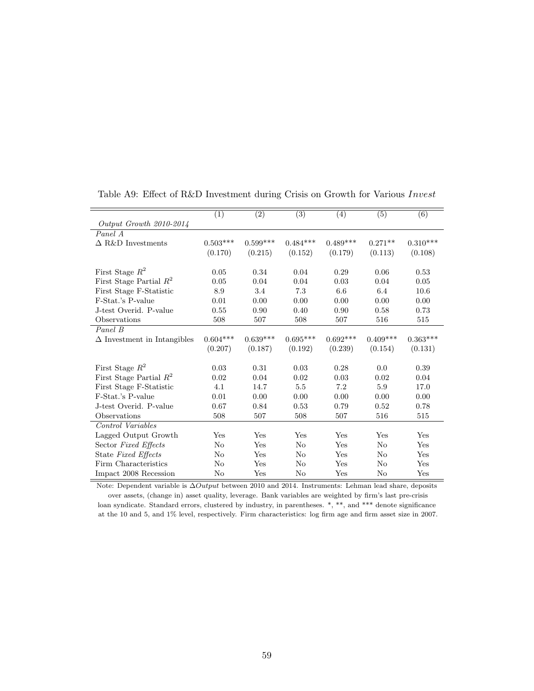|                                    | $\overline{(1)}$ | $\overline{(2)}$ | $\overline{(3)}$ | (4)        | $\overline{(5)}$ | $\overline{(6)}$ |
|------------------------------------|------------------|------------------|------------------|------------|------------------|------------------|
| Output Growth 2010-2014            |                  |                  |                  |            |                  |                  |
| Panel A                            |                  |                  |                  |            |                  |                  |
| $\Delta$ R&D Investments           | $0.503***$       | $0.599***$       | $0.484***$       | $0.489***$ | $0.271**$        | $0.310***$       |
|                                    | (0.170)          | (0.215)          | (0.152)          | (0.179)    | (0.113)          | (0.108)          |
|                                    |                  |                  |                  |            |                  |                  |
| First Stage $R^2$                  | 0.05             | 0.34             | 0.04             | 0.29       | 0.06             | 0.53             |
| First Stage Partial $R^2$          | 0.05             | 0.04             | 0.04             | 0.03       | 0.04             | 0.05             |
| First Stage F-Statistic            | 8.9              | 3.4              | 7.3              | 6.6        | 6.4              | 10.6             |
| F-Stat.'s P-value                  | 0.01             | 0.00             | 0.00             | 0.00       | 0.00             | 0.00             |
| J-test Overid. P-value             | 0.55             | 0.90             | 0.40             | 0.90       | 0.58             | 0.73             |
| Observations                       | 508              | 507              | 508              | 507        | 516              | 515              |
| Panel B                            |                  |                  |                  |            |                  |                  |
| $\Delta$ Investment in Intangibles | $0.604***$       | $0.639***$       | $0.695***$       | $0.692***$ | $0.409***$       | $0.363***$       |
|                                    | (0.207)          | (0.187)          | (0.192)          | (0.239)    | (0.154)          | (0.131)          |
| First Stage $R^2$                  | 0.03             | 0.31             | 0.03             | 0.28       | 0.0              | 0.39             |
| First Stage Partial $R^2$          | 0.02             | 0.04             | 0.02             | 0.03       | 0.02             | 0.04             |
| First Stage F-Statistic            | 4.1              | 14.7             | 5.5              | 7.2        | 5.9              | 17.0             |
| F-Stat.'s P-value                  | 0.01             | 0.00             | 0.00             | 0.00       | 0.00             | 0.00             |
| J-test Overid. P-value             | 0.67             | 0.84             | 0.53             | 0.79       | 0.52             | 0.78             |
| Observations                       | 508              | 507              | 508              | 507        | 516              | 515              |
| Control Variables                  |                  |                  |                  |            |                  |                  |
| Lagged Output Growth               | Yes              | Yes              | Yes              | Yes        | Yes              | Yes              |
| Sector Fixed Effects               | No               | Yes              | No               | Yes        | No               | Yes              |
| State Fixed Effects                | No               | Yes              | No               | Yes        | $\rm No$         | Yes              |
| Firm Characteristics               | No               | Yes              | No               | Yes        | No               | Yes              |
| Impact 2008 Recession              | No               | Yes              | No               | Yes        | No               | Yes              |

Table A9: Effect of R&D Investment during Crisis on Growth for Various Invest

Note: Dependent variable is  $\Delta Output$  between 2010 and 2014. Instruments: Lehman lead share, deposits over assets, (change in) asset quality, leverage. Bank variables are weighted by firm's last pre-crisis loan syndicate. Standard errors, clustered by industry, in parentheses. \*, \*\*, and \*\*\* denote significance at the 10 and 5, and 1% level, respectively. Firm characteristics: log firm age and firm asset size in 2007.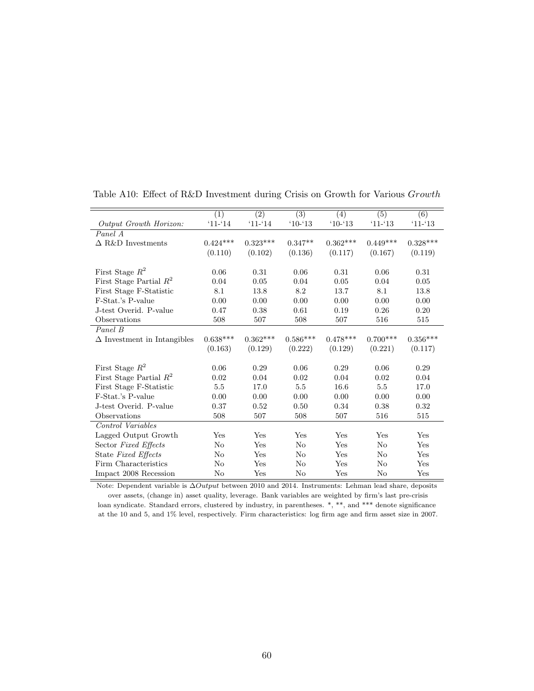|                                    | $\overline{(1)}$ | $\overline{(2)}$ | $\overline{(3)}$ | $\overline{(4)}$ | $\overline{(5)}$ | $\overline{(6)}$ |
|------------------------------------|------------------|------------------|------------------|------------------|------------------|------------------|
| Output Growth Horizon:             | $'11 - 14$       | $'11 - 14$       | $'10-13$         | $'10-13$         | $'11 - 13$       | $'11 - 13$       |
| Panel A                            |                  |                  |                  |                  |                  |                  |
| $\Delta$ R&D Investments           | $0.424***$       | $0.323***$       | $0.347**$        | $0.362***$       | $0.449***$       | $0.328***$       |
|                                    | (0.110)          | (0.102)          | (0.136)          | (0.117)          | (0.167)          | (0.119)          |
|                                    |                  |                  |                  |                  |                  |                  |
| First Stage $R^2$                  | 0.06             | 0.31             | 0.06             | 0.31             | 0.06             | 0.31             |
| First Stage Partial $R^2$          | 0.04             | 0.05             | 0.04             | 0.05             | 0.04             | 0.05             |
| First Stage F-Statistic            | 8.1              | 13.8             | 8.2              | 13.7             | 8.1              | 13.8             |
| F-Stat.'s P-value                  | 0.00             | 0.00             | 0.00             | 0.00             | 0.00             | 0.00             |
| J-test Overid. P-value             | 0.47             | 0.38             | 0.61             | 0.19             | 0.26             | 0.20             |
| Observations                       | 508              | 507              | 508              | 507              | 516              | 515              |
| Panel B                            |                  |                  |                  |                  |                  |                  |
| $\Delta$ Investment in Intangibles | $0.638***$       | $0.362***$       | $0.586***$       | $0.478***$       | $0.700***$       | $0.356***$       |
|                                    | (0.163)          | (0.129)          | (0.222)          | (0.129)          | (0.221)          | (0.117)          |
|                                    |                  |                  |                  |                  |                  |                  |
| First Stage $R^2$                  | 0.06             | 0.29             | 0.06             | 0.29             | 0.06             | 0.29             |
| First Stage Partial $R^2$          | 0.02             | 0.04             | 0.02             | 0.04             | 0.02             | 0.04             |
| First Stage F-Statistic            | 5.5              | 17.0             | 5.5              | 16.6             | 5.5              | 17.0             |
| F-Stat.'s P-value                  | 0.00             | 0.00             | 0.00             | 0.00             | 0.00             | 0.00             |
| J-test Overid. P-value             | 0.37             | 0.52             | 0.50             | 0.34             | 0.38             | 0.32             |
| Observations                       | 508              | 507              | 508              | 507              | 516              | 515              |
| Control Variables                  |                  |                  |                  |                  |                  |                  |
| Lagged Output Growth               | Yes              | Yes              | Yes              | Yes              | Yes              | Yes              |
| Sector Fixed Effects               | No               | Yes              | No               | Yes              | N <sub>o</sub>   | Yes              |
| State Fixed Effects                | $\rm No$         | Yes              | $\rm No$         | Yes              | N <sub>o</sub>   | Yes              |
| Firm Characteristics               | No               | Yes              | N <sub>o</sub>   | Yes              | N <sub>o</sub>   | Yes              |
| Impact 2008 Recession              | No               | Yes              | No               | Yes              | No               | Yes              |

Table A10: Effect of R&D Investment during Crisis on Growth for Various Growth

Note: Dependent variable is  $\Delta Output$  between 2010 and 2014. Instruments: Lehman lead share, deposits over assets, (change in) asset quality, leverage. Bank variables are weighted by firm's last pre-crisis loan syndicate. Standard errors, clustered by industry, in parentheses. \*, \*\*, and \*\*\* denote significance at the 10 and 5, and 1% level, respectively. Firm characteristics: log firm age and firm asset size in 2007.